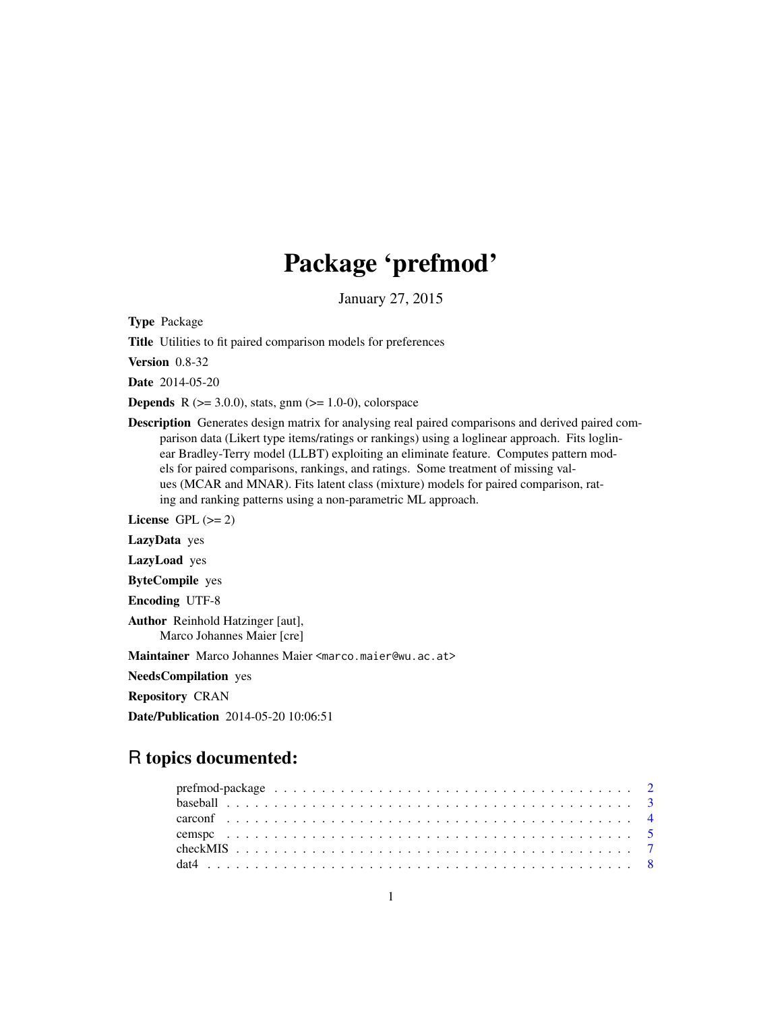# Package 'prefmod'

January 27, 2015

<span id="page-0-0"></span>Type Package

Title Utilities to fit paired comparison models for preferences

Version 0.8-32

Date 2014-05-20

**Depends** R  $(>= 3.0.0)$ , stats, gnm  $(>= 1.0-0)$ , colorspace

Description Generates design matrix for analysing real paired comparisons and derived paired comparison data (Likert type items/ratings or rankings) using a loglinear approach. Fits loglinear Bradley-Terry model (LLBT) exploiting an eliminate feature. Computes pattern models for paired comparisons, rankings, and ratings. Some treatment of missing values (MCAR and MNAR). Fits latent class (mixture) models for paired comparison, rating and ranking patterns using a non-parametric ML approach.

License GPL  $(>= 2)$ 

LazyData yes

LazyLoad yes

ByteCompile yes

Encoding UTF-8

Author Reinhold Hatzinger [aut], Marco Johannes Maier [cre]

Maintainer Marco Johannes Maier <marco.maier@wu.ac.at>

NeedsCompilation yes

Repository CRAN

Date/Publication 2014-05-20 10:06:51

## R topics documented: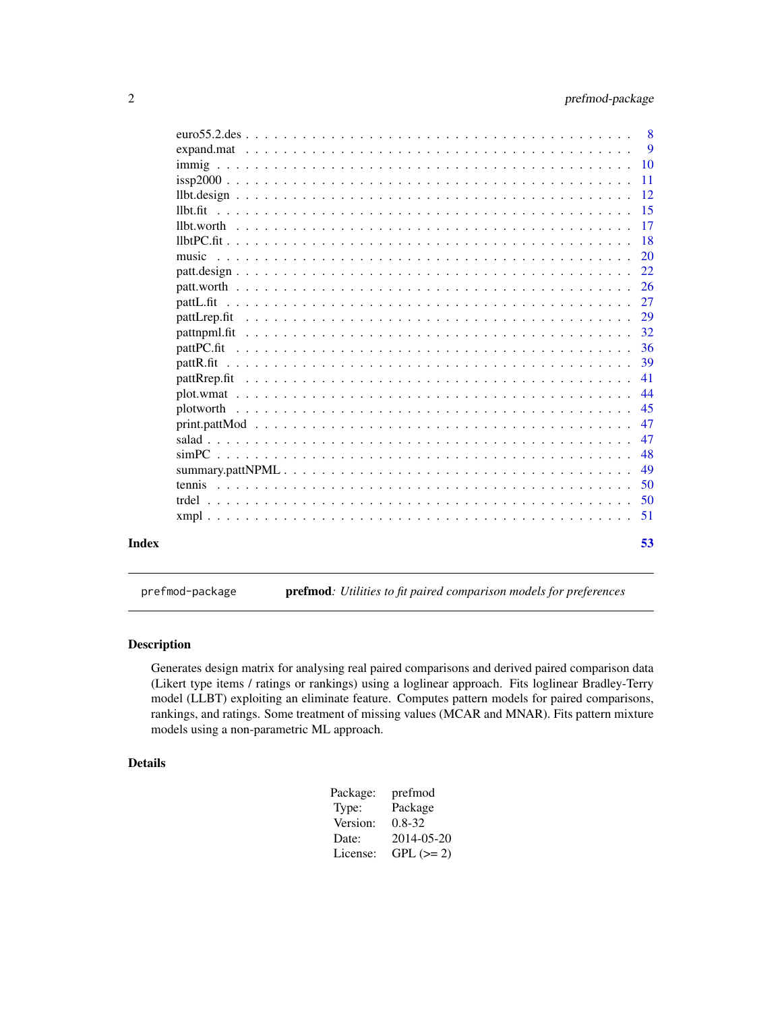<span id="page-1-0"></span>

| Index |              | 53              |
|-------|--------------|-----------------|
|       |              | 51              |
|       |              | 50              |
|       |              | 50              |
|       |              | 49              |
|       |              | 48              |
|       |              | 47              |
|       |              | 47              |
|       | plotworth    | 45              |
|       |              | 44              |
|       |              | 41              |
|       |              | 39              |
|       |              | 36              |
|       |              | 32              |
|       | pattLrep.fit | 29              |
|       |              | 27              |
|       |              | 26              |
|       |              | 22              |
|       | music        | <b>20</b>       |
|       |              | <b>18</b>       |
|       |              | 15<br>-17       |
|       |              | -12             |
|       |              | 11              |
|       |              | $\overline{10}$ |
|       |              | -9              |
|       |              | -8              |
|       |              |                 |

prefmod-package prefmod*: Utilities to fit paired comparison models for preferences*

## Description

Generates design matrix for analysing real paired comparisons and derived paired comparison data (Likert type items / ratings or rankings) using a loglinear approach. Fits loglinear Bradley-Terry model (LLBT) exploiting an eliminate feature. Computes pattern models for paired comparisons, rankings, and ratings. Some treatment of missing values (MCAR and MNAR). Fits pattern mixture models using a non-parametric ML approach.

## Details

| Package: | prefmod     |
|----------|-------------|
| Type:    | Package     |
| Version: | $0.8 - 32$  |
| Date:    | 2014-05-20  |
| License: | $GPL (= 2)$ |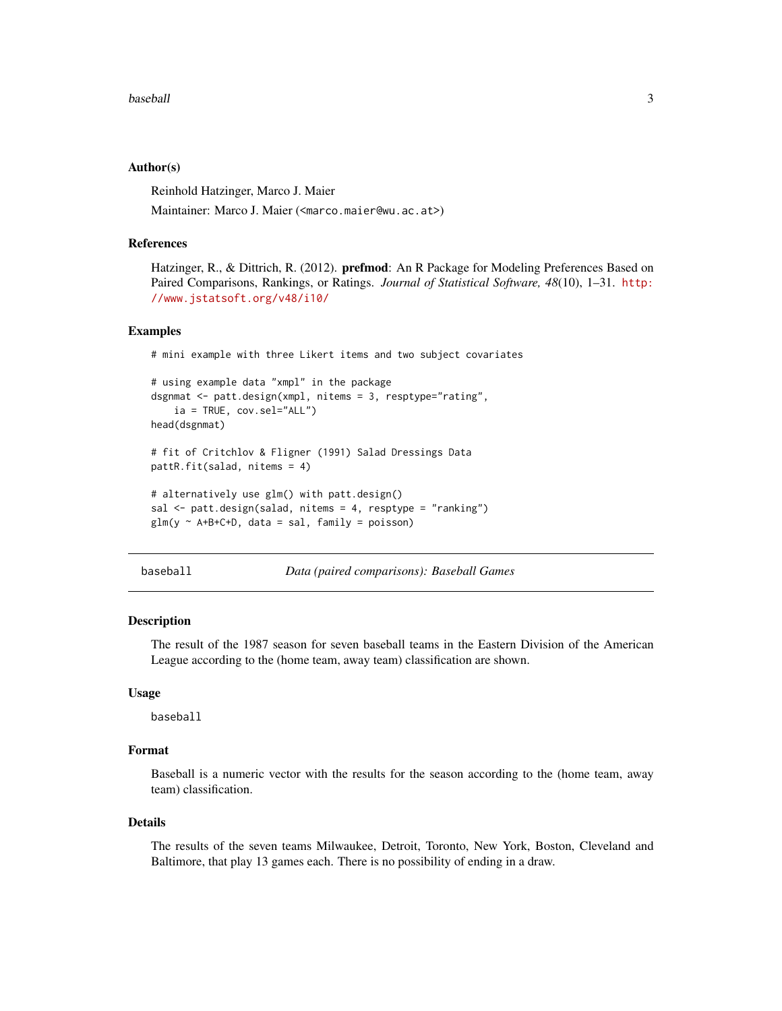#### <span id="page-2-0"></span>baseball 3

## Author(s)

Reinhold Hatzinger, Marco J. Maier

Maintainer: Marco J. Maier (<marco.maier@wu.ac.at>)

## References

Hatzinger, R., & Dittrich, R. (2012). **prefmod**: An R Package for Modeling Preferences Based on Paired Comparisons, Rankings, or Ratings. *Journal of Statistical Software, 48*(10), 1–31. [http:](http://www.jstatsoft.org/v48/i10/) [//www.jstatsoft.org/v48/i10/](http://www.jstatsoft.org/v48/i10/)

## Examples

# mini example with three Likert items and two subject covariates

```
# using example data "xmpl" in the package
dsgnmat <- patt.design(xmpl, nitems = 3, resptype="rating",
    ia = TRUE, cov.sel="ALL")
head(dsgnmat)
# fit of Critchlov & Fligner (1991) Salad Dressings Data
pattR.fit(salad, nitems = 4)
# alternatively use glm() with patt.design()
sal <- patt.design(salad, nitems = 4, resptype = "ranking")
glm(y \sim A+B+C+D, data = sal, family = poisson)
```
baseball *Data (paired comparisons): Baseball Games*

## Description

The result of the 1987 season for seven baseball teams in the Eastern Division of the American League according to the (home team, away team) classification are shown.

## Usage

baseball

## Format

Baseball is a numeric vector with the results for the season according to the (home team, away team) classification.

#### Details

The results of the seven teams Milwaukee, Detroit, Toronto, New York, Boston, Cleveland and Baltimore, that play 13 games each. There is no possibility of ending in a draw.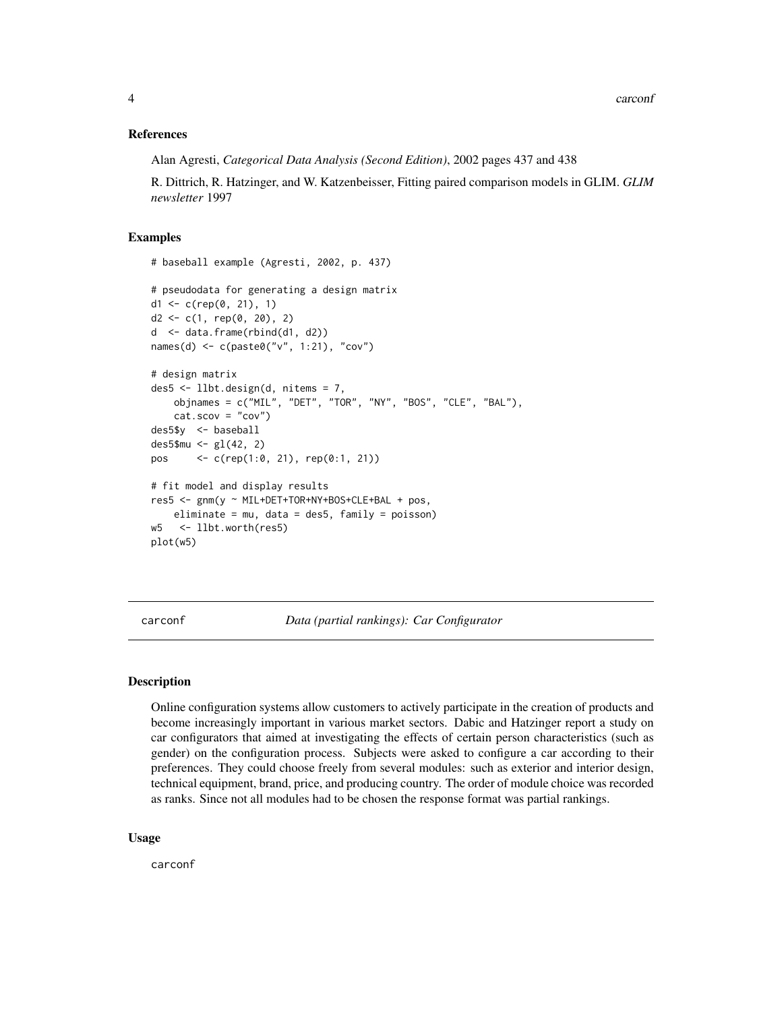## <span id="page-3-0"></span>References

Alan Agresti, *Categorical Data Analysis (Second Edition)*, 2002 pages 437 and 438

R. Dittrich, R. Hatzinger, and W. Katzenbeisser, Fitting paired comparison models in GLIM. *GLIM newsletter* 1997

## Examples

```
# baseball example (Agresti, 2002, p. 437)
# pseudodata for generating a design matrix
d1 <- c(rep(0, 21), 1)
d2 \leq c(1, rep(0, 20), 2)d <- data.frame(rbind(d1, d2))
names(d) <- c(paste0("v", 1:21), "cov")
# design matrix
des5 <- llbt.design(d, nitems = 7,
   objnames = c("MIL", "DET", "TOR", "NY", "BOS", "CLE", "BAL"),
   cat.scov = "cov")des5$y <- baseball
des5$mu <- gl(42, 2)pos <- c(rep(1:0, 21), rep(0:1, 21))
# fit model and display results
res5 <- gnm(y ~ MIL+DET+TOR+NY+BOS+CLE+BAL + pos,
   eliminate = mu, data = des5, family = poisson)
w5 <- llbt.worth(res5)
plot(w5)
```
carconf *Data (partial rankings): Car Configurator*

## **Description**

Online configuration systems allow customers to actively participate in the creation of products and become increasingly important in various market sectors. Dabic and Hatzinger report a study on car configurators that aimed at investigating the effects of certain person characteristics (such as gender) on the configuration process. Subjects were asked to configure a car according to their preferences. They could choose freely from several modules: such as exterior and interior design, technical equipment, brand, price, and producing country. The order of module choice was recorded as ranks. Since not all modules had to be chosen the response format was partial rankings.

#### Usage

carconf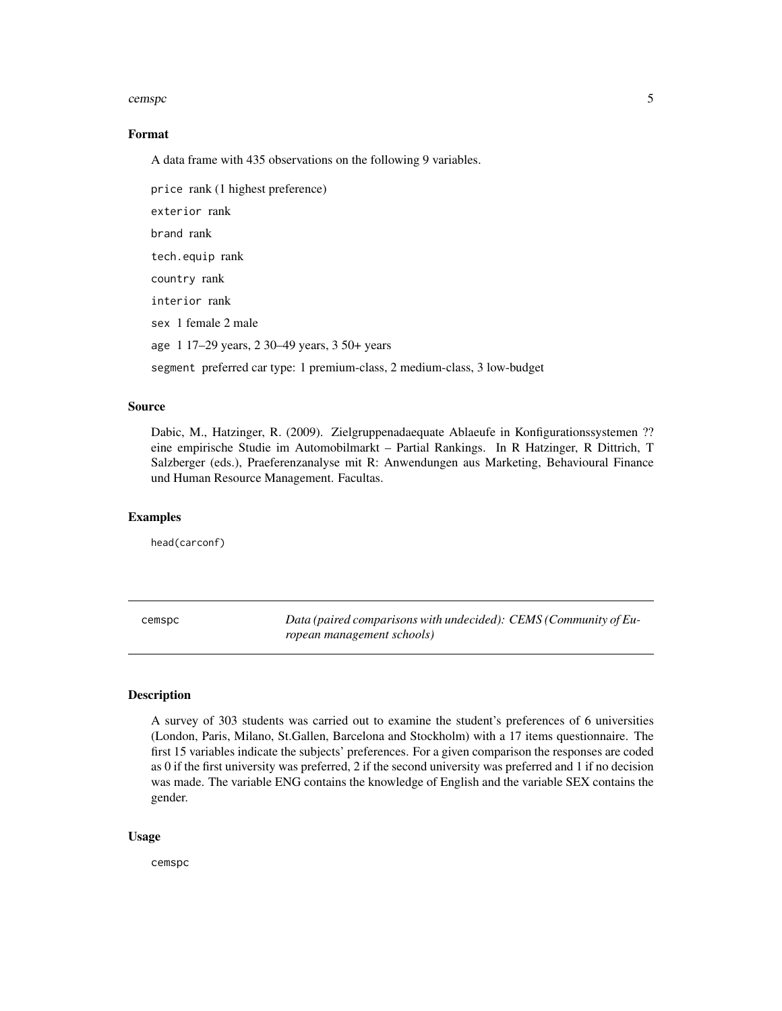#### <span id="page-4-0"></span>cemspc 5

## Format

A data frame with 435 observations on the following 9 variables.

price rank (1 highest preference) exterior rank brand rank tech.equip rank country rank interior rank sex 1 female 2 male age 1 17–29 years, 2 30–49 years, 3 50+ years segment preferred car type: 1 premium-class, 2 medium-class, 3 low-budget

#### Source

Dabic, M., Hatzinger, R. (2009). Zielgruppenadaequate Ablaeufe in Konfigurationssystemen ?? eine empirische Studie im Automobilmarkt – Partial Rankings. In R Hatzinger, R Dittrich, T Salzberger (eds.), Praeferenzanalyse mit R: Anwendungen aus Marketing, Behavioural Finance und Human Resource Management. Facultas.

#### Examples

head(carconf)

<span id="page-4-1"></span>cemspc *Data (paired comparisons with undecided): CEMS (Community of European management schools)*

## Description

A survey of 303 students was carried out to examine the student's preferences of 6 universities (London, Paris, Milano, St.Gallen, Barcelona and Stockholm) with a 17 items questionnaire. The first 15 variables indicate the subjects' preferences. For a given comparison the responses are coded as 0 if the first university was preferred, 2 if the second university was preferred and 1 if no decision was made. The variable ENG contains the knowledge of English and the variable SEX contains the gender.

## Usage

cemspc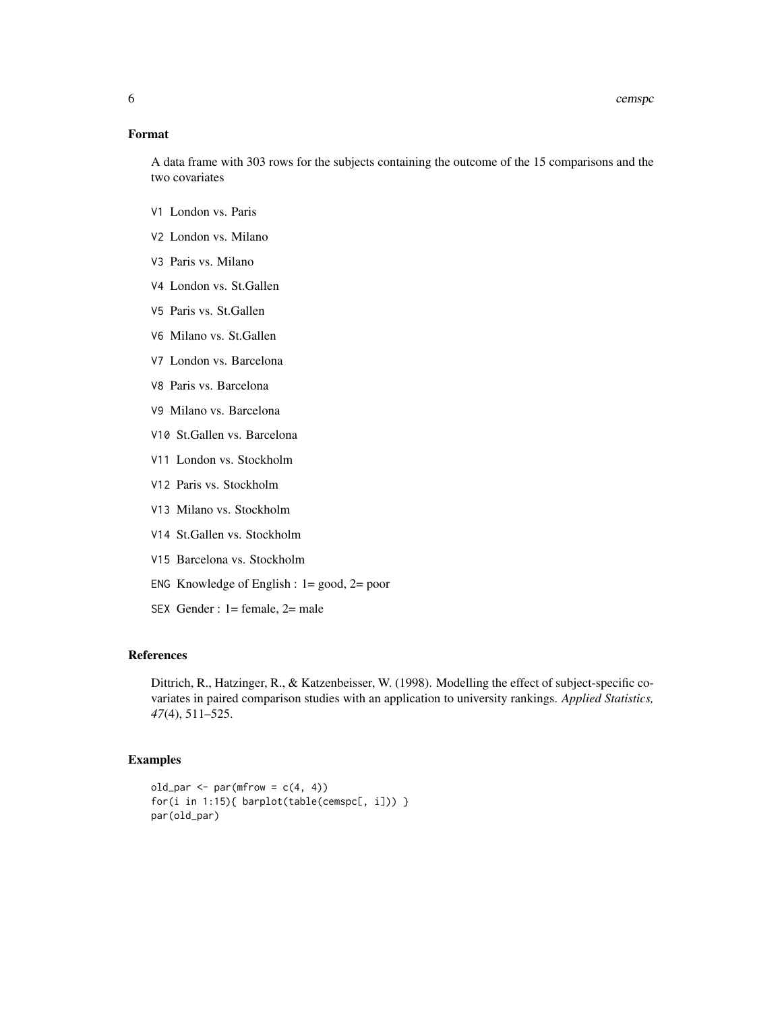6 cemspc compared by the compared of the compared by the compared by the compared by  $\alpha$ 

## Format

A data frame with 303 rows for the subjects containing the outcome of the 15 comparisons and the two covariates

- V1 London vs. Paris
- V2 London vs. Milano
- V3 Paris vs. Milano
- V4 London vs. St.Gallen
- V5 Paris vs. St.Gallen
- V6 Milano vs. St.Gallen
- V7 London vs. Barcelona
- V8 Paris vs. Barcelona
- V9 Milano vs. Barcelona
- V10 St.Gallen vs. Barcelona
- V11 London vs. Stockholm
- V12 Paris vs. Stockholm
- V13 Milano vs. Stockholm
- V14 St.Gallen vs. Stockholm
- V15 Barcelona vs. Stockholm
- ENG Knowledge of English : 1= good, 2= poor
- SEX Gender : 1= female, 2= male

## References

Dittrich, R., Hatzinger, R., & Katzenbeisser, W. (1998). Modelling the effect of subject-specific covariates in paired comparison studies with an application to university rankings. *Applied Statistics, 47*(4), 511–525.

## Examples

```
old_par <- par(mfrow = c(4, 4))for(i in 1:15){ barplot(table(cemspc[, i])) }
par(old_par)
```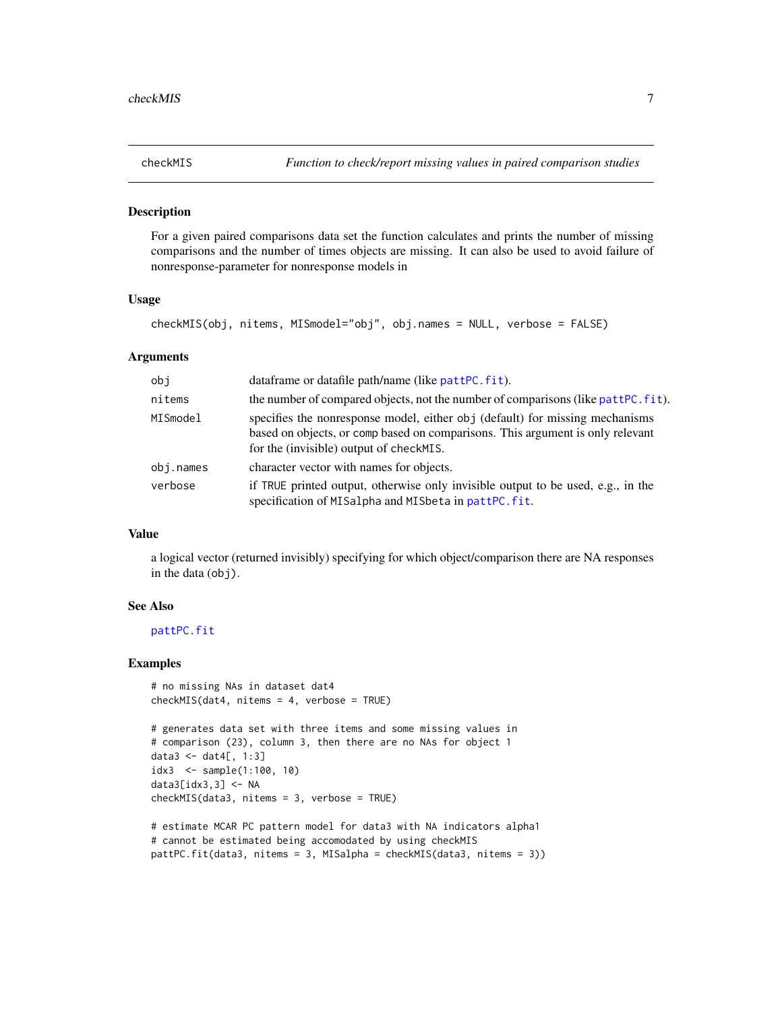<span id="page-6-1"></span><span id="page-6-0"></span>

#### **Description**

For a given paired comparisons data set the function calculates and prints the number of missing comparisons and the number of times objects are missing. It can also be used to avoid failure of nonresponse-parameter for nonresponse models in

#### Usage

```
checkMIS(obj, nitems, MISmodel="obj", obj.names = NULL, verbose = FALSE)
```
## Arguments

| obj      | dataframe or datafile path/name (like pattPC.fit).                                                                                                                                                        |
|----------|-----------------------------------------------------------------------------------------------------------------------------------------------------------------------------------------------------------|
| nitems   | the number of compared objects, not the number of comparisons (like pattPC. fit).                                                                                                                         |
| MISmodel | specifies the nonresponse model, either obj (default) for missing mechanisms<br>based on objects, or comp based on comparisons. This argument is only relevant<br>for the (invisible) output of checkMIS. |
| obj.name | character vector with names for objects.                                                                                                                                                                  |
| verbose  | if TRUE printed output, otherwise only invisible output to be used, e.g., in the<br>specification of MISalpha and MISbeta in pattPC.fit.                                                                  |

## Value

a logical vector (returned invisibly) specifying for which object/comparison there are NA responses in the data (obj).

#### See Also

[pattPC.fit](#page-35-1)

#### Examples

```
# no missing NAs in dataset dat4
checkMIS(dat4, nitems = 4, verbose = TRUE)
```

```
# generates data set with three items and some missing values in
# comparison (23), column 3, then there are no NAs for object 1
data3 <- dat4[, 1:3]
idx3 <- sample(1:100, 10)
data3[idx3,3] <- NA
checkMIS(data3, nitems = 3, verbose = TRUE)
```

```
# estimate MCAR PC pattern model for data3 with NA indicators alpha1
# cannot be estimated being accomodated by using checkMIS
pattPC.fit(data3, nitems = 3, MISalpha = checkMIS(data3, nitems = 3))
```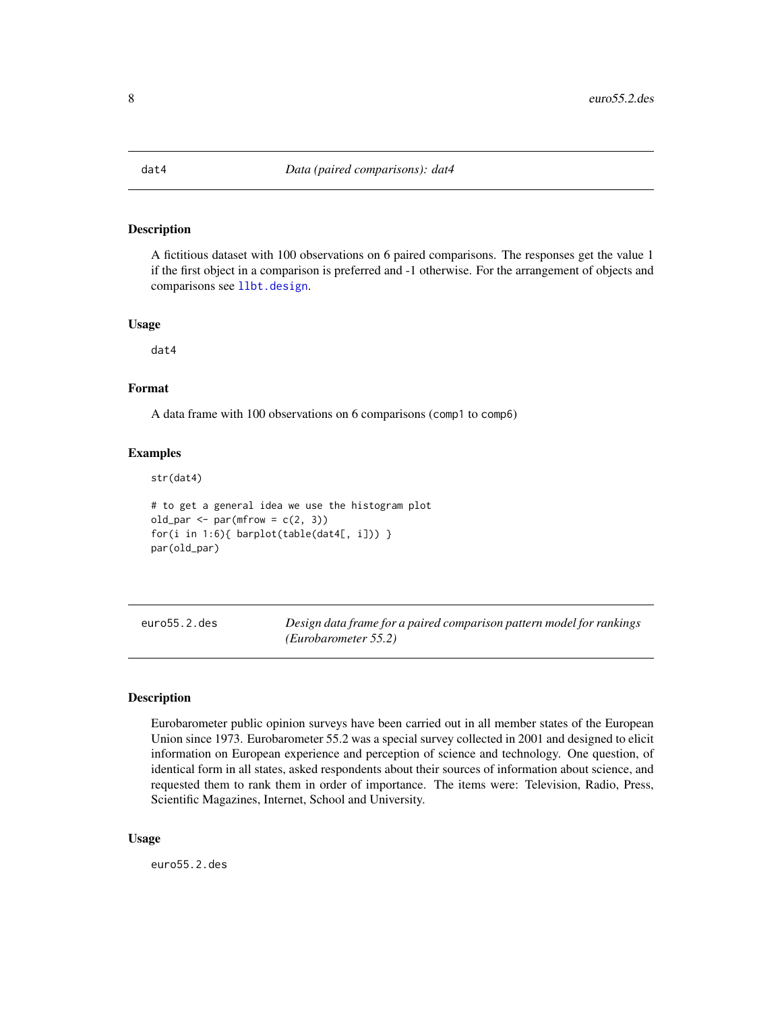## <span id="page-7-0"></span>Description

A fictitious dataset with 100 observations on 6 paired comparisons. The responses get the value 1 if the first object in a comparison is preferred and -1 otherwise. For the arrangement of objects and comparisons see [llbt.design](#page-11-1).

#### Usage

dat4

## Format

A data frame with 100 observations on 6 comparisons (comp1 to comp6)

## Examples

str(dat4)

```
# to get a general idea we use the histogram plot
old_par <- par(mfrow = c(2, 3))for(i in 1:6){ barplot(table(dat4[, i])) }
par(old_par)
```
euro55.2.des *Design data frame for a paired comparison pattern model for rankings (Eurobarometer 55.2)*

## Description

Eurobarometer public opinion surveys have been carried out in all member states of the European Union since 1973. Eurobarometer 55.2 was a special survey collected in 2001 and designed to elicit information on European experience and perception of science and technology. One question, of identical form in all states, asked respondents about their sources of information about science, and requested them to rank them in order of importance. The items were: Television, Radio, Press, Scientific Magazines, Internet, School and University.

#### Usage

euro55.2.des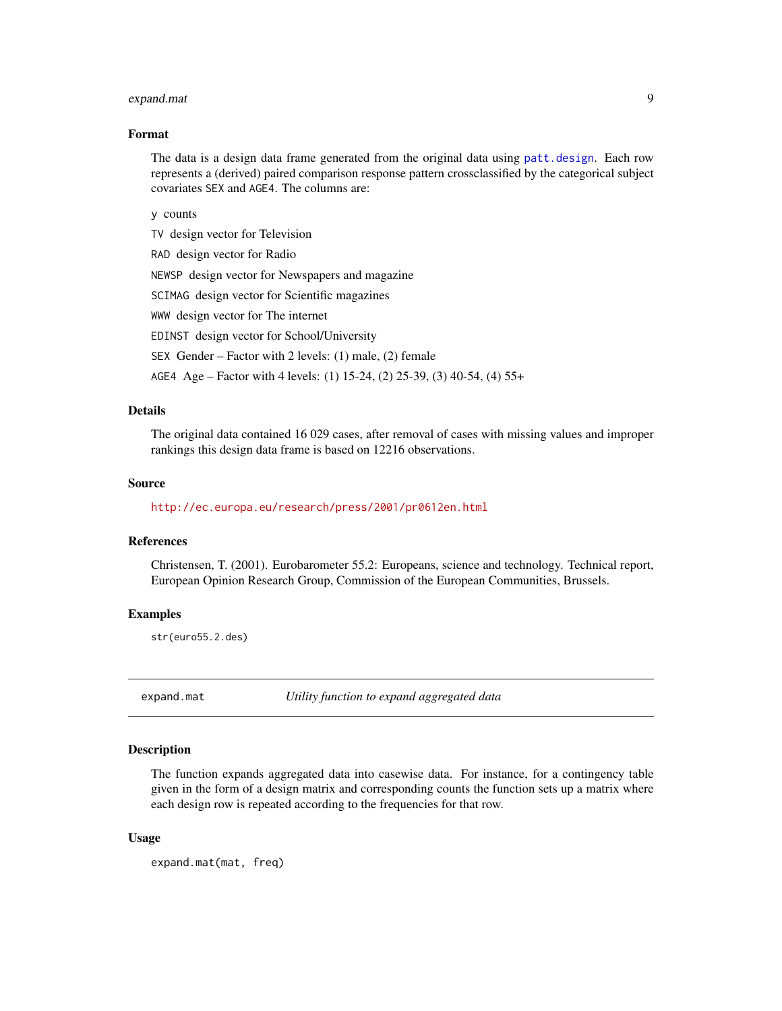## <span id="page-8-0"></span>expand.mat 9

#### Format

The data is a design data frame generated from the original data using [patt.design](#page-21-1). Each row represents a (derived) paired comparison response pattern crossclassified by the categorical subject covariates SEX and AGE4. The columns are:

y counts

TV design vector for Television

RAD design vector for Radio

NEWSP design vector for Newspapers and magazine

SCIMAG design vector for Scientific magazines

WWW design vector for The internet

EDINST design vector for School/University

SEX Gender – Factor with 2 levels: (1) male, (2) female

AGE4 Age – Factor with 4 levels: (1) 15-24, (2) 25-39, (3) 40-54, (4) 55+

## Details

The original data contained 16 029 cases, after removal of cases with missing values and improper rankings this design data frame is based on 12216 observations.

## Source

<http://ec.europa.eu/research/press/2001/pr0612en.html>

## References

Christensen, T. (2001). Eurobarometer 55.2: Europeans, science and technology. Technical report, European Opinion Research Group, Commission of the European Communities, Brussels.

## Examples

str(euro55.2.des)

expand.mat *Utility function to expand aggregated data*

## Description

The function expands aggregated data into casewise data. For instance, for a contingency table given in the form of a design matrix and corresponding counts the function sets up a matrix where each design row is repeated according to the frequencies for that row.

#### Usage

expand.mat(mat, freq)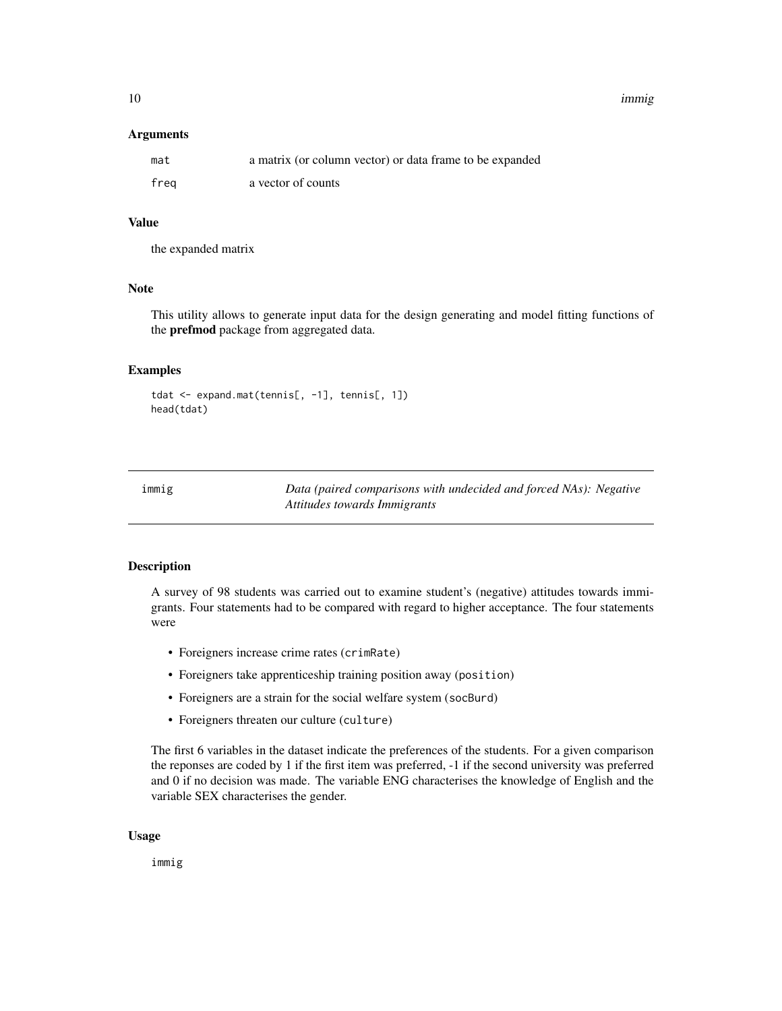<span id="page-9-0"></span>10 immig

#### Arguments

| mat  | a matrix (or column vector) or data frame to be expanded |
|------|----------------------------------------------------------|
| freg | a vector of counts                                       |

## Value

the expanded matrix

## Note

This utility allows to generate input data for the design generating and model fitting functions of the **prefmod** package from aggregated data.

## Examples

```
tdat <- expand.mat(tennis[, -1], tennis[, 1])
head(tdat)
```

| immig | Data (paired comparisons with undecided and forced NAs): Negative |
|-------|-------------------------------------------------------------------|
|       | Attitudes towards Immigrants                                      |

## Description

A survey of 98 students was carried out to examine student's (negative) attitudes towards immigrants. Four statements had to be compared with regard to higher acceptance. The four statements were

- Foreigners increase crime rates (crimRate)
- Foreigners take apprenticeship training position away (position)
- Foreigners are a strain for the social welfare system (socBurd)
- Foreigners threaten our culture (culture)

The first 6 variables in the dataset indicate the preferences of the students. For a given comparison the reponses are coded by 1 if the first item was preferred, -1 if the second university was preferred and 0 if no decision was made. The variable ENG characterises the knowledge of English and the variable SEX characterises the gender.

## Usage

immig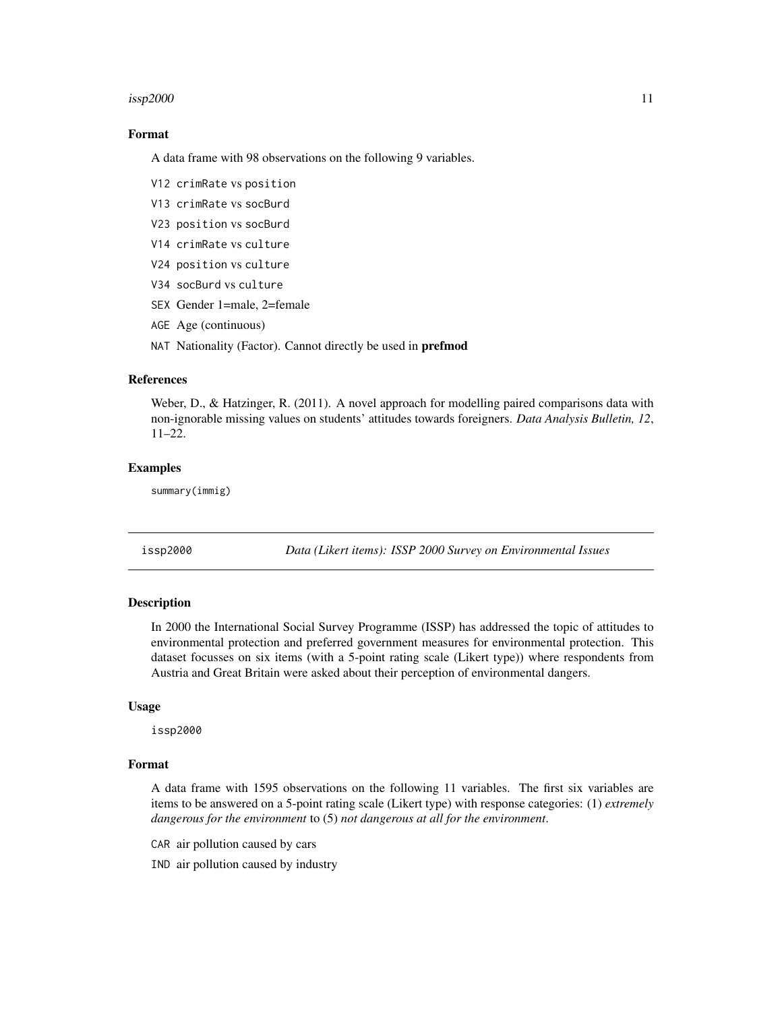#### <span id="page-10-0"></span> $issp2000$  11

## Format

A data frame with 98 observations on the following 9 variables.

- V12 crimRate vs position
- V13 crimRate vs socBurd
- V23 position vs socBurd
- V14 crimRate vs culture
- V24 position vs culture
- V34 socBurd vs culture
- SEX Gender 1=male, 2=female
- AGE Age (continuous)
- NAT Nationality (Factor). Cannot directly be used in **prefmod**

## References

Weber, D., & Hatzinger, R. (2011). A novel approach for modelling paired comparisons data with non-ignorable missing values on students' attitudes towards foreigners. *Data Analysis Bulletin, 12*, 11–22.

#### Examples

summary(immig)

<span id="page-10-1"></span>issp2000 *Data (Likert items): ISSP 2000 Survey on Environmental Issues*

## Description

In 2000 the International Social Survey Programme (ISSP) has addressed the topic of attitudes to environmental protection and preferred government measures for environmental protection. This dataset focusses on six items (with a 5-point rating scale (Likert type)) where respondents from Austria and Great Britain were asked about their perception of environmental dangers.

#### Usage

issp2000

## Format

A data frame with 1595 observations on the following 11 variables. The first six variables are items to be answered on a 5-point rating scale (Likert type) with response categories: (1) *extremely dangerous for the environment* to (5) *not dangerous at all for the environment*.

CAR air pollution caused by cars

IND air pollution caused by industry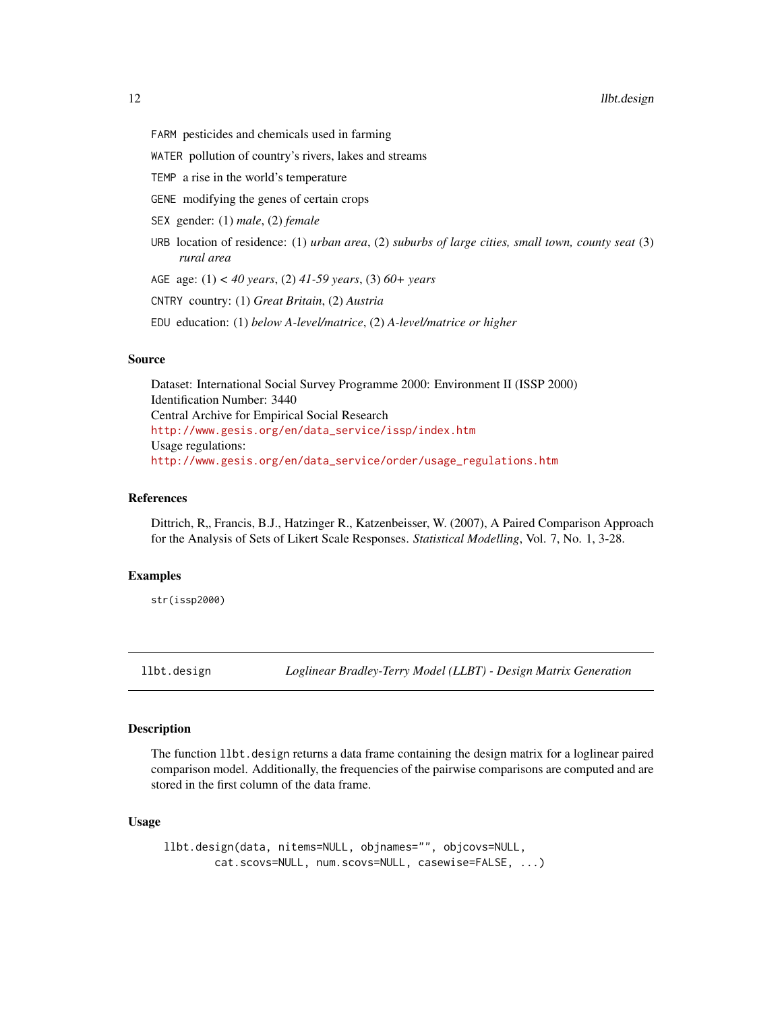- <span id="page-11-0"></span>FARM pesticides and chemicals used in farming
- WATER pollution of country's rivers, lakes and streams
- TEMP a rise in the world's temperature
- GENE modifying the genes of certain crops
- SEX gender: (1) *male*, (2) *female*
- URB location of residence: (1) *urban area*, (2) *suburbs of large cities, small town, county seat* (3) *rural area*
- AGE age: (1) *< 40 years*, (2) *41-59 years*, (3) *60+ years*
- CNTRY country: (1) *Great Britain*, (2) *Austria*
- EDU education: (1) *below A-level/matrice*, (2) *A-level/matrice or higher*

## Source

Dataset: International Social Survey Programme 2000: Environment II (ISSP 2000) Identification Number: 3440 Central Archive for Empirical Social Research [http://www.gesis.org/en/data\\_service/issp/index.htm](http://www.gesis.org/en/data_service/issp/index.htm) Usage regulations: [http://www.gesis.org/en/data\\_service/order/usage\\_regulations.htm](http://www.gesis.org/en/data_service/order/usage_regulations.htm)

#### References

Dittrich, R., Francis, B.J., Hatzinger R., Katzenbeisser, W. (2007), A Paired Comparison Approach for the Analysis of Sets of Likert Scale Responses. *Statistical Modelling*, Vol. 7, No. 1, 3-28.

## Examples

str(issp2000)

<span id="page-11-1"></span>

llbt.design *Loglinear Bradley-Terry Model (LLBT) - Design Matrix Generation*

## Description

The function llbt.design returns a data frame containing the design matrix for a loglinear paired comparison model. Additionally, the frequencies of the pairwise comparisons are computed and are stored in the first column of the data frame.

#### Usage

```
llbt.design(data, nitems=NULL, objnames="", objcovs=NULL,
       cat.scovs=NULL, num.scovs=NULL, casewise=FALSE, ...)
```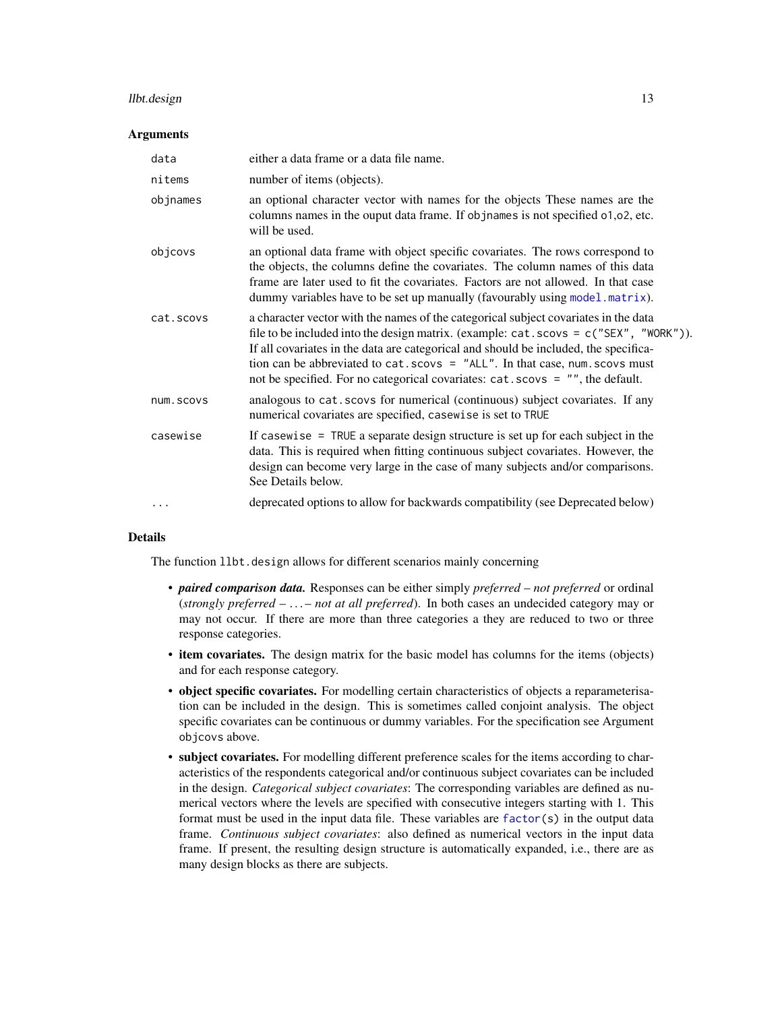#### <span id="page-12-0"></span>llbt.design the control of the control of the control of the control of the control of the control of the control of the control of the control of the control of the control of the control of the control of the control of

#### Arguments

| data      | either a data frame or a data file name.                                                                                                                                                                                                                                                                                                                                                                                               |
|-----------|----------------------------------------------------------------------------------------------------------------------------------------------------------------------------------------------------------------------------------------------------------------------------------------------------------------------------------------------------------------------------------------------------------------------------------------|
| nitems    | number of items (objects).                                                                                                                                                                                                                                                                                                                                                                                                             |
| objnames  | an optional character vector with names for the objects These names are the<br>columns names in the ouput data frame. If objnames is not specified 01,02, etc.<br>will be used.                                                                                                                                                                                                                                                        |
| objcovs   | an optional data frame with object specific covariates. The rows correspond to<br>the objects, the columns define the covariates. The column names of this data<br>frame are later used to fit the covariates. Factors are not allowed. In that case<br>dummy variables have to be set up manually (favourably using model matrix).                                                                                                    |
| cat.scovs | a character vector with the names of the categorical subject covariates in the data<br>file to be included into the design matrix. (example: cat.scovs = c("SEX", "WORK")).<br>If all covariates in the data are categorical and should be included, the specifica-<br>tion can be abbreviated to $cat.scovs = "ALL".$ In that case, num. scovs must<br>not be specified. For no categorical covariates: cat. scovs = "", the default. |
| num.scovs | analogous to cat. scovs for numerical (continuous) subject covariates. If any<br>numerical covariates are specified, casewise is set to TRUE                                                                                                                                                                                                                                                                                           |
| casewise  | If casewise $=$ TRUE a separate design structure is set up for each subject in the<br>data. This is required when fitting continuous subject covariates. However, the<br>design can become very large in the case of many subjects and/or comparisons.<br>See Details below.                                                                                                                                                           |
| .         | deprecated options to allow for backwards compatibility (see Deprecated below)                                                                                                                                                                                                                                                                                                                                                         |

## Details

The function 11bt.design allows for different scenarios mainly concerning

- *paired comparison data.* Responses can be either simply *preferred not preferred* or ordinal (*strongly preferred* – . . . – *not at all preferred*). In both cases an undecided category may or may not occur. If there are more than three categories a they are reduced to two or three response categories.
- item covariates. The design matrix for the basic model has columns for the items (objects) and for each response category.
- object specific covariates. For modelling certain characteristics of objects a reparameterisation can be included in the design. This is sometimes called conjoint analysis. The object specific covariates can be continuous or dummy variables. For the specification see Argument objcovs above.
- subject covariates. For modelling different preference scales for the items according to characteristics of the respondents categorical and/or continuous subject covariates can be included in the design. *Categorical subject covariates*: The corresponding variables are defined as numerical vectors where the levels are specified with consecutive integers starting with 1. This format must be used in the input data file. These variables are  $factor(s)$  $factor(s)$  in the output data frame. *Continuous subject covariates*: also defined as numerical vectors in the input data frame. If present, the resulting design structure is automatically expanded, i.e., there are as many design blocks as there are subjects.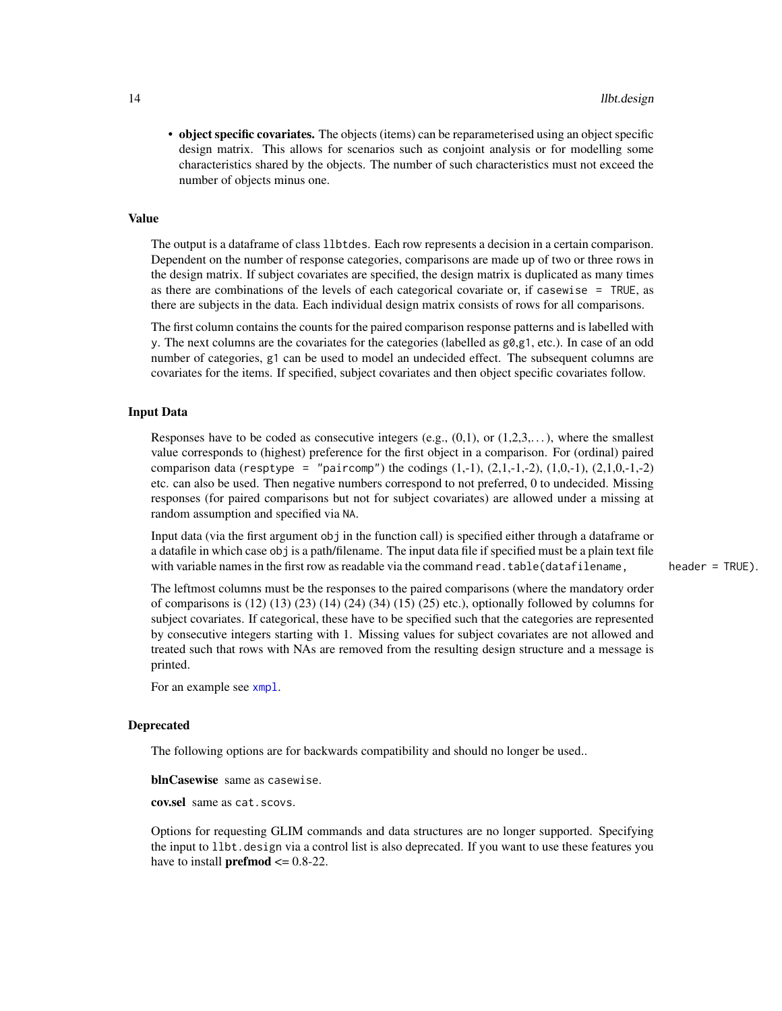<span id="page-13-0"></span>• object specific covariates. The objects (items) can be reparameterised using an object specific design matrix. This allows for scenarios such as conjoint analysis or for modelling some characteristics shared by the objects. The number of such characteristics must not exceed the number of objects minus one.

## Value

The output is a dataframe of class llbtdes. Each row represents a decision in a certain comparison. Dependent on the number of response categories, comparisons are made up of two or three rows in the design matrix. If subject covariates are specified, the design matrix is duplicated as many times as there are combinations of the levels of each categorical covariate or, if casewise = TRUE, as there are subjects in the data. Each individual design matrix consists of rows for all comparisons.

The first column contains the counts for the paired comparison response patterns and is labelled with y. The next columns are the covariates for the categories (labelled as  $g0, g1$ , etc.). In case of an odd number of categories, g1 can be used to model an undecided effect. The subsequent columns are covariates for the items. If specified, subject covariates and then object specific covariates follow.

## Input Data

Responses have to be coded as consecutive integers (e.g.,  $(0,1)$ , or  $(1,2,3,...)$ , where the smallest value corresponds to (highest) preference for the first object in a comparison. For (ordinal) paired comparison data (resptype = "paircomp") the codings  $(1,-1)$ ,  $(2,1,-1,-2)$ ,  $(1,0,-1)$ ,  $(2,1,0,-1,-2)$ etc. can also be used. Then negative numbers correspond to not preferred, 0 to undecided. Missing responses (for paired comparisons but not for subject covariates) are allowed under a missing at random assumption and specified via NA.

Input data (via the first argument obj in the function call) is specified either through a dataframe or a datafile in which case obj is a path/filename. The input data file if specified must be a plain text file with variable names in the first row as readable via the command read.table(datafilename, header = TRUE).

The leftmost columns must be the responses to the paired comparisons (where the mandatory order of comparisons is (12) (13) (23) (14) (24) (34) (15) (25) etc.), optionally followed by columns for subject covariates. If categorical, these have to be specified such that the categories are represented by consecutive integers starting with 1. Missing values for subject covariates are not allowed and treated such that rows with NAs are removed from the resulting design structure and a message is printed.

For an example see [xmpl](#page-50-1).

#### Deprecated

The following options are for backwards compatibility and should no longer be used..

blnCasewise same as casewise.

cov.sel same as cat.scovs.

Options for requesting GLIM commands and data structures are no longer supported. Specifying the input to llbt.design via a control list is also deprecated. If you want to use these features you have to install **prefmod**  $\leq 0.8-22$ .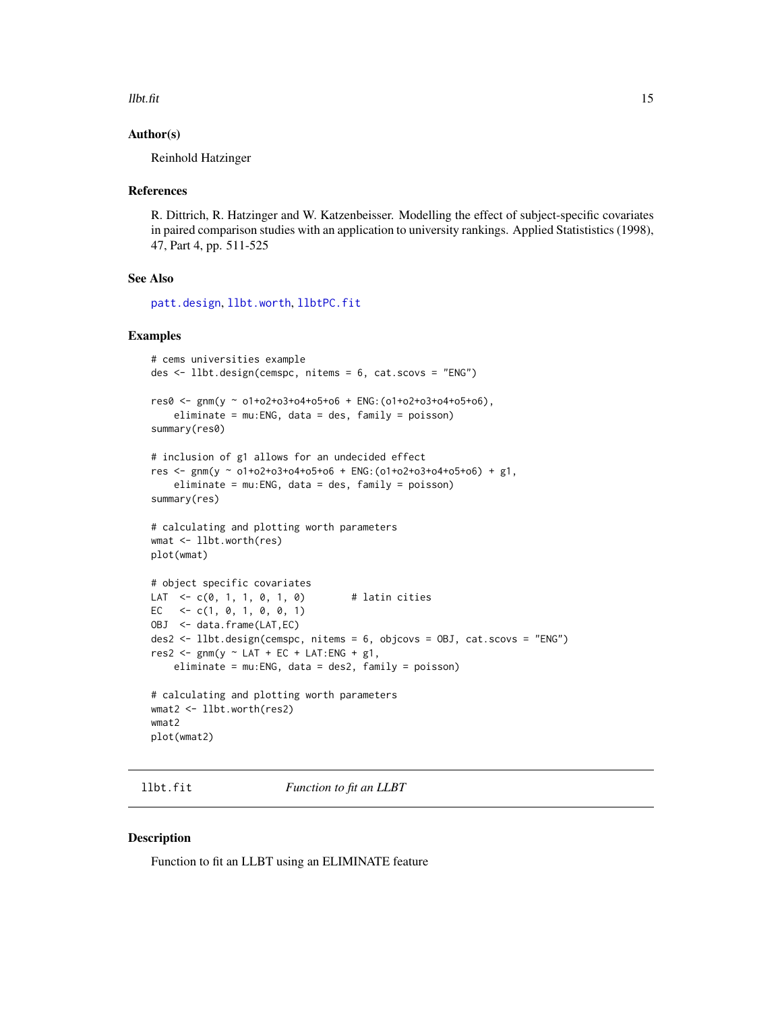#### <span id="page-14-0"></span> $llb$ t.fit 15

## Author(s)

Reinhold Hatzinger

## References

R. Dittrich, R. Hatzinger and W. Katzenbeisser. Modelling the effect of subject-specific covariates in paired comparison studies with an application to university rankings. Applied Statististics (1998), 47, Part 4, pp. 511-525

## See Also

[patt.design](#page-21-1), [llbt.worth](#page-16-1), [llbtPC.fit](#page-17-1)

## Examples

```
# cems universities example
des <- llbt.design(cemspc, nitems = 6, cat.scovs = "ENG")
res0 <- gnm(y ~ o1+o2+o3+o4+o5+o6 + ENG:(o1+o2+o3+o4+o5+o6),
    eliminate = mu:ENG, data = des, family = poisson)
summary(res0)
# inclusion of g1 allows for an undecided effect
res <- gnm(y ~ o1+o2+o3+o4+o5+o6 + ENG:(o1+o2+o3+o4+o5+o6) + g1,
    eliminate = mu:ENG, data = des, family = poisson)
summary(res)
# calculating and plotting worth parameters
wmat <- llbt.worth(res)
plot(wmat)
# object specific covariates
LAT <-c(0, 1, 1, 0, 1, 0) # latin cities
EC \leftarrow c(1, 0, 1, 0, 0, 1)OBJ <- data.frame(LAT,EC)
des2 <- llbt.design(cemspc, nitems = 6, objcovs = OBJ, cat.scovs = "ENG")
res2 \leq smm(y \sim LAT + EC + LAT:ENG + g1,eliminate = mu:ENG, data = des2, family = poisson)
# calculating and plotting worth parameters
wmat2 <- llbt.worth(res2)
wmat2
plot(wmat2)
```
llbt.fit *Function to fit an LLBT*

#### Description

Function to fit an LLBT using an ELIMINATE feature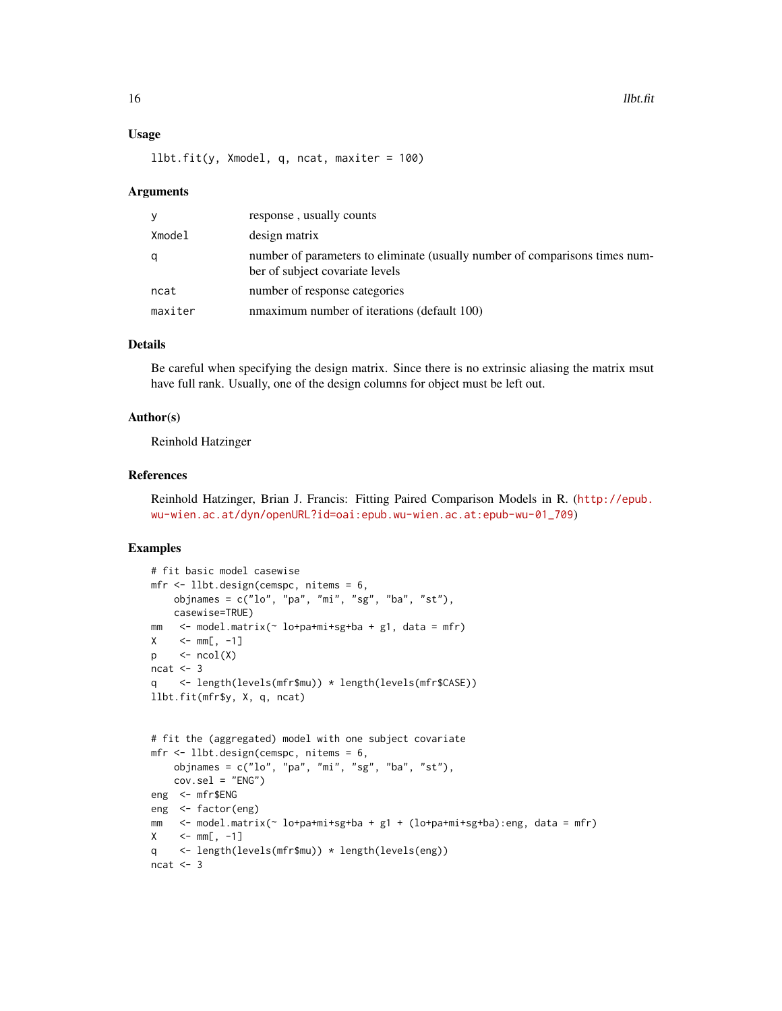## Usage

 $llbt.fit(y, Xmodel, q, ncat, maxiter = 100)$ 

#### Arguments

| y       | response, usually counts                                                                                       |
|---------|----------------------------------------------------------------------------------------------------------------|
| Xmodel  | design matrix                                                                                                  |
| q       | number of parameters to eliminate (usually number of comparisons times num-<br>ber of subject covariate levels |
| ncat    | number of response categories                                                                                  |
| maxiter | nmaximum number of iterations (default 100)                                                                    |

## Details

Be careful when specifying the design matrix. Since there is no extrinsic aliasing the matrix msut have full rank. Usually, one of the design columns for object must be left out.

## Author(s)

Reinhold Hatzinger

## References

Reinhold Hatzinger, Brian J. Francis: Fitting Paired Comparison Models in R. ([http://epub.](http://epub.wu-wien.ac.at/dyn/openURL?id=oai:epub.wu-wien.ac.at:epub-wu-01_709) [wu-wien.ac.at/dyn/openURL?id=oai:epub.wu-wien.ac.at:epub-wu-01\\_709](http://epub.wu-wien.ac.at/dyn/openURL?id=oai:epub.wu-wien.ac.at:epub-wu-01_709))

## Examples

```
# fit basic model casewise
mfr <- llbt.design(cemspc, nitems = 6,
    objnames = c("lo", "pa", "mi", "sg", "ba", "st"),
    casewise=TRUE)
mm <- model.matrix(~ lo+pa+mi+sg+ba + g1, data = mfr)
X \leq -m m[, -1]p \le -\text{ncol}(X)ncat <-3q <- length(levels(mfr$mu)) * length(levels(mfr$CASE))
llbt.fit(mfr$y, X, q, ncat)
# fit the (aggregated) model with one subject covariate
mfr <- llbt.design(cemspc, nitems = 6,
    objnames = c("lo", "pa", "mi", "sg", "ba", "st"),
   cov.set = "ENG")eng <- mfr$ENG
eng <- factor(eng)
mm <- model.matrix(~ lo+pa+mi+sg+ba + g1 + (lo+pa+mi+sg+ba):eng, data = mfr)
X \le -m m[, -1]q <- length(levels(mfr$mu)) * length(levels(eng))
ncat <-3
```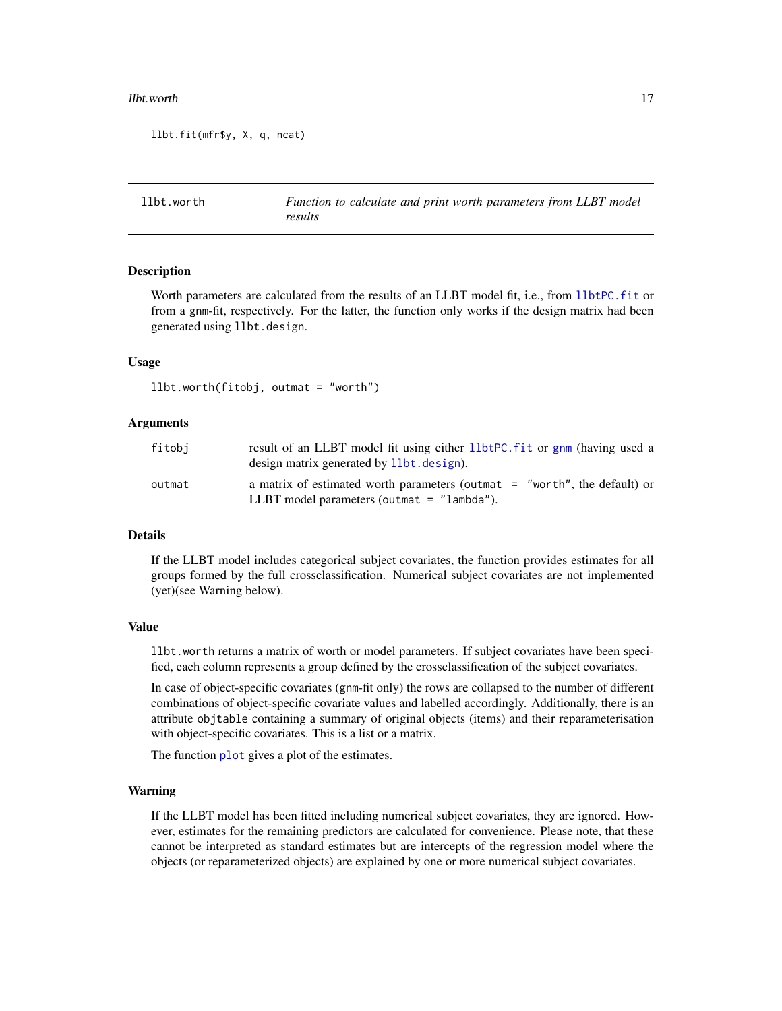#### <span id="page-16-0"></span>llbt.worth 17

```
llbt.fit(mfr$y, X, q, ncat)
```
<span id="page-16-1"></span>llbt.worth *Function to calculate and print worth parameters from LLBT model results*

#### Description

Worth parameters are calculated from the results of an LLBT model fit, i.e., from 11btPC.fit or from a gnm-fit, respectively. For the latter, the function only works if the design matrix had been generated using llbt.design.

## Usage

```
llbt.worth(fitobj, outmat = "worth")
```
## Arguments

| fitobj | result of an LLBT model fit using either 11btPC fit or gnm (having used a<br>design matrix generated by 11bt. design).      |
|--------|-----------------------------------------------------------------------------------------------------------------------------|
| outmat | a matrix of estimated worth parameters (outmat $=$ "worth", the default) or<br>LLBT model parameters (outmat $=$ "lambda"). |

## Details

If the LLBT model includes categorical subject covariates, the function provides estimates for all groups formed by the full crossclassification. Numerical subject covariates are not implemented (yet)(see Warning below).

#### Value

llbt.worth returns a matrix of worth or model parameters. If subject covariates have been specified, each column represents a group defined by the crossclassification of the subject covariates.

In case of object-specific covariates (gnm-fit only) the rows are collapsed to the number of different combinations of object-specific covariate values and labelled accordingly. Additionally, there is an attribute objtable containing a summary of original objects (items) and their reparameterisation with object-specific covariates. This is a list or a matrix.

The function [plot](#page-0-0) gives a plot of the estimates.

#### Warning

If the LLBT model has been fitted including numerical subject covariates, they are ignored. However, estimates for the remaining predictors are calculated for convenience. Please note, that these cannot be interpreted as standard estimates but are intercepts of the regression model where the objects (or reparameterized objects) are explained by one or more numerical subject covariates.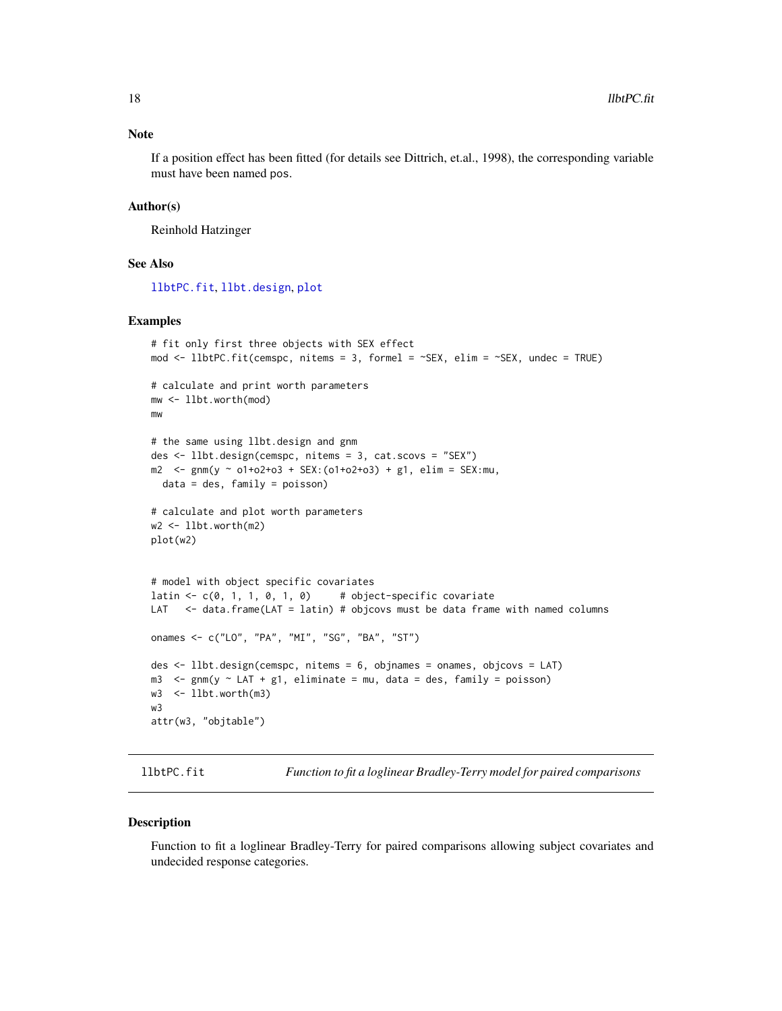## <span id="page-17-0"></span>Note

If a position effect has been fitted (for details see Dittrich, et.al., 1998), the corresponding variable must have been named pos.

## Author(s)

Reinhold Hatzinger

## See Also

[llbtPC.fit](#page-17-1), [llbt.design](#page-11-1), [plot](#page-0-0)

## Examples

```
# fit only first three objects with SEX effect
mod <- llbtPC.fit(cemspc, nitems = 3, formel = ~SEX, elim = ~SEX, undec = TRUE)
# calculate and print worth parameters
mw <- llbt.worth(mod)
mw
# the same using llbt.design and gnm
des <- llbt.design(cemspc, nitems = 3, cat.scovs = "SEX")
m2 < - \text{gmm}(y \sim o1+o2+o3 + \text{SEX}: (o1+o2+o3) + g1, \text{ elim} = \text{SEX}:mu,data = des, family = poisson)
# calculate and plot worth parameters
w2 <- llbt.worth(m2)
plot(w2)
# model with object specific covariates
latin \leq c(0, 1, 1, 0, 1, 0) # object-specific covariate
LAT <- data.frame(LAT = latin) # objcovs must be data frame with named columns
onames <- c("LO", "PA", "MI", "SG", "BA", "ST")
des <- llbt.design(cemspc, nitems = 6, objnames = onames, objcovs = LAT)
m3 \le gnm(y \sim LAT + g1, eliminate = mu, data = des, family = poisson)
w3 <- llbt.worth(m3)
w3
attr(w3, "objtable")
```
<span id="page-17-1"></span>

llbtPC.fit *Function to fit a loglinear Bradley-Terry model for paired comparisons*

## Description

Function to fit a loglinear Bradley-Terry for paired comparisons allowing subject covariates and undecided response categories.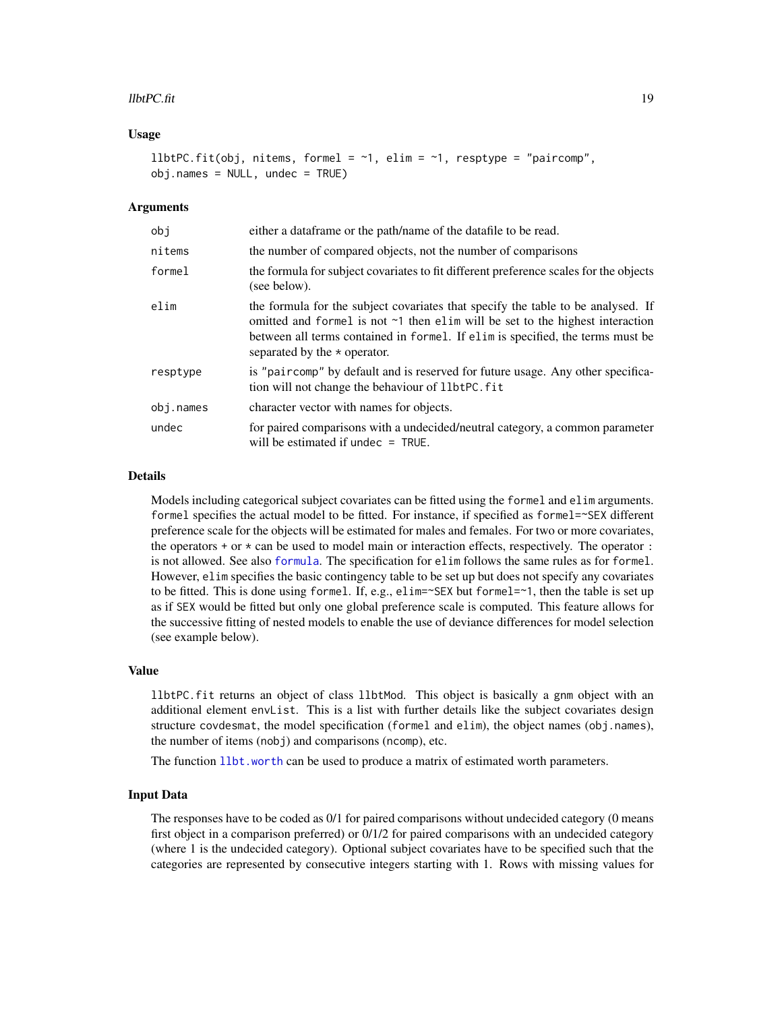#### <span id="page-18-0"></span> $\mu$ btPC.fit 19

## Usage

```
llbtPC.fit(obj, nitems, formel = \sim1, elim = \sim1, resptype = "paircomp",
obj.name = NULL, under = TRUE)
```
## **Arguments**

| obi       | either a dataframe or the path/name of the datafile to be read.                                                                                                                                                                                                                                 |
|-----------|-------------------------------------------------------------------------------------------------------------------------------------------------------------------------------------------------------------------------------------------------------------------------------------------------|
| nitems    | the number of compared objects, not the number of comparisons                                                                                                                                                                                                                                   |
| formel    | the formula for subject covariates to fit different preference scales for the objects<br>(see below).                                                                                                                                                                                           |
| elim      | the formula for the subject covariates that specify the table to be analysed. If<br>omitted and formel is not $\sim$ 1 then elim will be set to the highest interaction<br>between all terms contained in formel. If elim is specified, the terms must be<br>separated by the $\star$ operator. |
| resptype  | is "paircomp" by default and is reserved for future usage. Any other specifica-<br>tion will not change the behaviour of llbtPC. fit                                                                                                                                                            |
| obj.names | character vector with names for objects.                                                                                                                                                                                                                                                        |
| undec     | for paired comparisons with a undecided/neutral category, a common parameter<br>will be estimated if undec $=$ TRUE.                                                                                                                                                                            |

## Details

Models including categorical subject covariates can be fitted using the formel and elim arguments. formel specifies the actual model to be fitted. For instance, if specified as formel=~SEX different preference scale for the objects will be estimated for males and females. For two or more covariates, the operators  $+$  or  $\star$  can be used to model main or interaction effects, respectively. The operator : is not allowed. See also [formula](#page-0-0). The specification for elim follows the same rules as for formel. However, elim specifies the basic contingency table to be set up but does not specify any covariates to be fitted. This is done using formel. If, e.g., elim=~SEX but formel=~1, then the table is set up as if SEX would be fitted but only one global preference scale is computed. This feature allows for the successive fitting of nested models to enable the use of deviance differences for model selection (see example below).

#### Value

llbtPC.fit returns an object of class llbtMod. This object is basically a gnm object with an additional element envList. This is a list with further details like the subject covariates design structure covdesmat, the model specification (formel and elim), the object names (obj.names), the number of items (nobj) and comparisons (ncomp), etc.

The function [llbt.worth](#page-16-1) can be used to produce a matrix of estimated worth parameters.

## Input Data

The responses have to be coded as 0/1 for paired comparisons without undecided category (0 means first object in a comparison preferred) or 0/1/2 for paired comparisons with an undecided category (where 1 is the undecided category). Optional subject covariates have to be specified such that the categories are represented by consecutive integers starting with 1. Rows with missing values for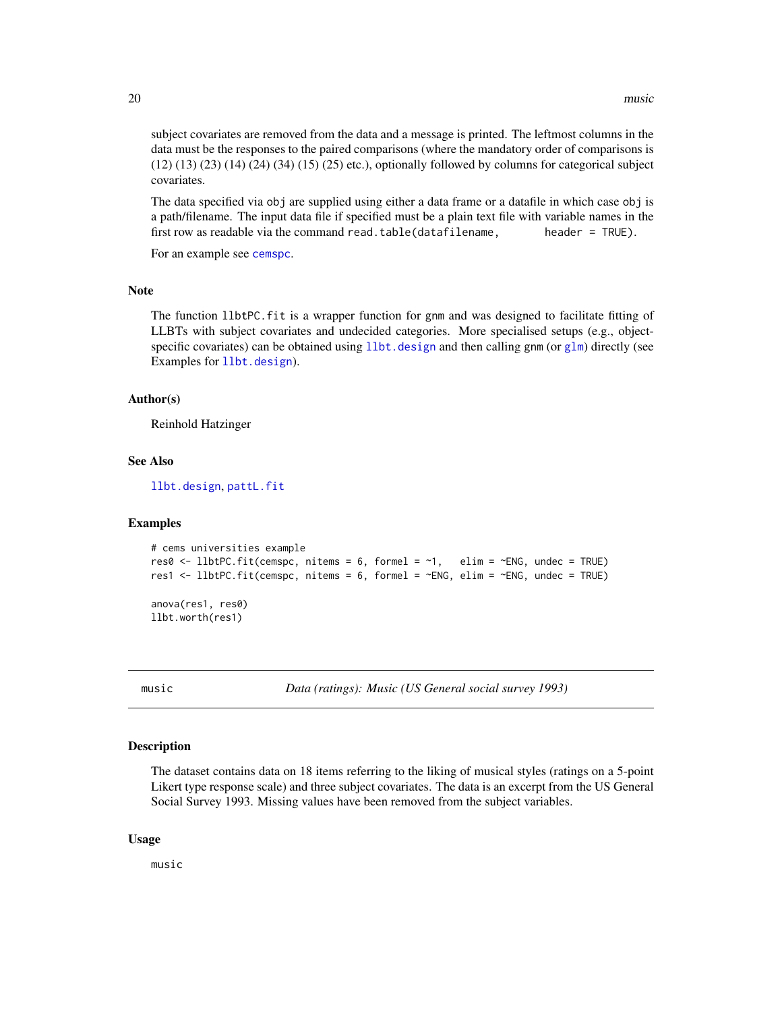<span id="page-19-0"></span>subject covariates are removed from the data and a message is printed. The leftmost columns in the data must be the responses to the paired comparisons (where the mandatory order of comparisons is  $(12)$   $(13)$   $(23)$   $(14)$   $(24)$   $(34)$   $(15)$   $(25)$  etc.), optionally followed by columns for categorical subject covariates.

The data specified via obj are supplied using either a data frame or a datafile in which case obj is a path/filename. The input data file if specified must be a plain text file with variable names in the first row as readable via the command read.table(datafilename, header =  $TRUE$ ).

For an example see [cemspc](#page-4-1).

#### Note

The function llbtPC.fit is a wrapper function for gnm and was designed to facilitate fitting of LLBTs with subject covariates and undecided categories. More specialised setups (e.g., objectspecific covariates) can be obtained using  $llb$ . design and then calling gnm (or [glm](#page-0-0)) directly (see Examples for [llbt.design](#page-11-1)).

## Author(s)

Reinhold Hatzinger

## See Also

[llbt.design](#page-11-1), [pattL.fit](#page-26-1)

## Examples

```
# cems universities example
res0 \le 1lbtPC.fit(cemspc, nitems = 6, formel = \sim1, elim = \simENG, undec = TRUE)
res1 <- llbtPC.fit(cemspc, nitems = 6, formel = ~ENG, elim = ~ENG, undec = TRUE)
anova(res1, res0)
llbt.worth(res1)
```
music *Data (ratings): Music (US General social survey 1993)*

#### Description

The dataset contains data on 18 items referring to the liking of musical styles (ratings on a 5-point Likert type response scale) and three subject covariates. The data is an excerpt from the US General Social Survey 1993. Missing values have been removed from the subject variables.

## Usage

music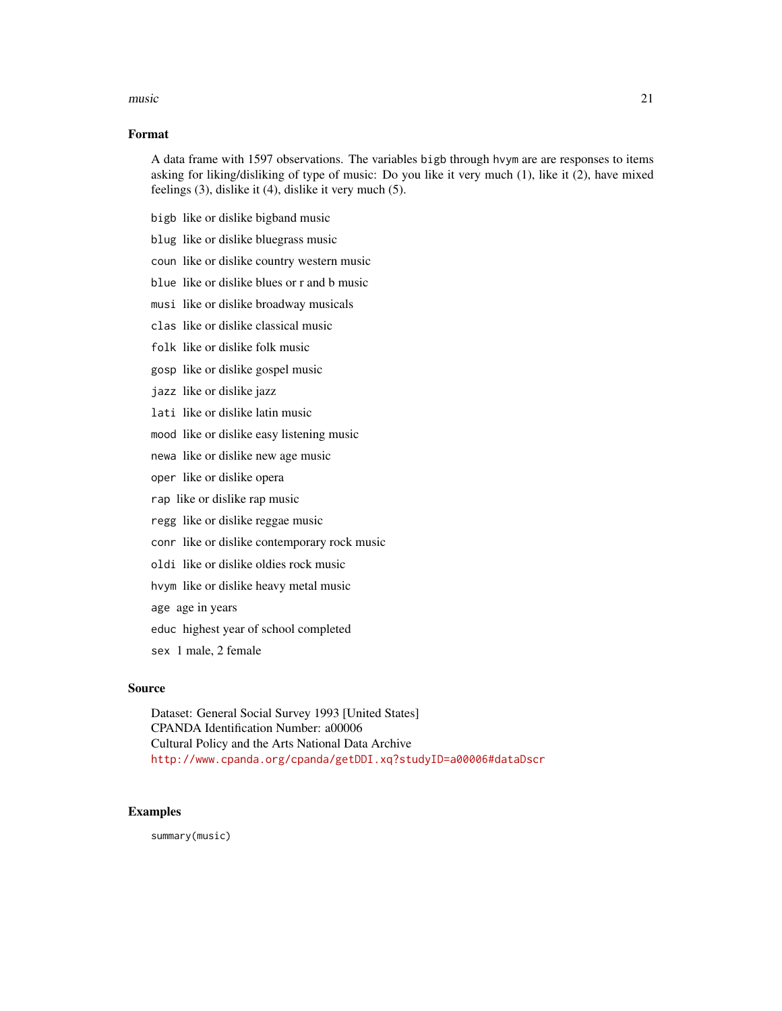#### music 21

## Format

A data frame with 1597 observations. The variables bigb through hvym are are responses to items asking for liking/disliking of type of music: Do you like it very much (1), like it (2), have mixed feelings (3), dislike it (4), dislike it very much (5).

- bigb like or dislike bigband music
- blug like or dislike bluegrass music
- coun like or dislike country western music
- blue like or dislike blues or r and b music
- musi like or dislike broadway musicals
- clas like or dislike classical music
- folk like or dislike folk music
- gosp like or dislike gospel music
- jazz like or dislike jazz
- lati like or dislike latin music
- mood like or dislike easy listening music
- newa like or dislike new age music
- oper like or dislike opera
- rap like or dislike rap music
- regg like or dislike reggae music
- conr like or dislike contemporary rock music
- oldi like or dislike oldies rock music
- hvym like or dislike heavy metal music
- age age in years
- educ highest year of school completed
- sex 1 male, 2 female

## Source

Dataset: General Social Survey 1993 [United States] CPANDA Identification Number: a00006 Cultural Policy and the Arts National Data Archive <http://www.cpanda.org/cpanda/getDDI.xq?studyID=a00006#dataDscr>

#### Examples

summary(music)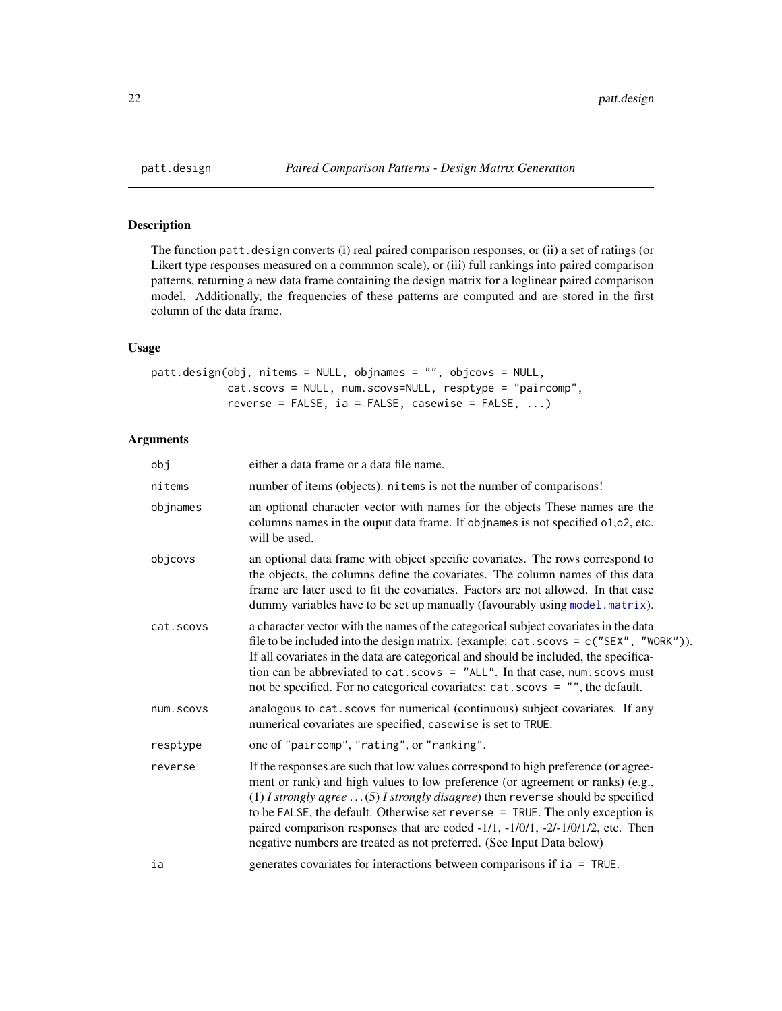## Description

The function patt.design converts (i) real paired comparison responses, or (ii) a set of ratings (or Likert type responses measured on a commmon scale), or (iii) full rankings into paired comparison patterns, returning a new data frame containing the design matrix for a loglinear paired comparison model. Additionally, the frequencies of these patterns are computed and are stored in the first column of the data frame.

## Usage

```
patt.design(obj, nitems = NULL, objnames = "", objcovs = NULL,
            cat.scovs = NULL, num.scovs=NULL, resptype = "paircomp",
            reverse = FALSE, ia = FALSE, casewise = FALSE, \ldots)
```
## Arguments

| obj       | either a data frame or a data file name.                                                                                                                                                                                                                                                                                                                                                                                                                                                                      |
|-----------|---------------------------------------------------------------------------------------------------------------------------------------------------------------------------------------------------------------------------------------------------------------------------------------------------------------------------------------------------------------------------------------------------------------------------------------------------------------------------------------------------------------|
| nitems    | number of items (objects). nitems is not the number of comparisons!                                                                                                                                                                                                                                                                                                                                                                                                                                           |
| objnames  | an optional character vector with names for the objects These names are the<br>columns names in the ouput data frame. If objnames is not specified 01,02, etc.<br>will be used.                                                                                                                                                                                                                                                                                                                               |
| objcovs   | an optional data frame with object specific covariates. The rows correspond to<br>the objects, the columns define the covariates. The column names of this data<br>frame are later used to fit the covariates. Factors are not allowed. In that case<br>dummy variables have to be set up manually (favourably using model matrix).                                                                                                                                                                           |
| cat.scovs | a character vector with the names of the categorical subject covariates in the data<br>file to be included into the design matrix. (example: $cat.scovs = c("SEX", "WORK"))$ .<br>If all covariates in the data are categorical and should be included, the specifica-<br>tion can be abbreviated to $cat.scovs = "ALL".$ In that case, num. scovs must<br>not be specified. For no categorical covariates: cat.scovs = "", the default.                                                                      |
| num.scovs | analogous to cat. scovs for numerical (continuous) subject covariates. If any<br>numerical covariates are specified, casewise is set to TRUE.                                                                                                                                                                                                                                                                                                                                                                 |
| resptype  | one of "paircomp", "rating", or "ranking".                                                                                                                                                                                                                                                                                                                                                                                                                                                                    |
| reverse   | If the responses are such that low values correspond to high preference (or agree-<br>ment or rank) and high values to low preference (or agreement or ranks) (e.g.,<br>(1) I strongly agree $\dots$ (5) I strongly disagree) then reverse should be specified<br>to be FALSE, the default. Otherwise set reverse $=$ TRUE. The only exception is<br>paired comparison responses that are coded -1/1, -1/0/1, -2/-1/0/1/2, etc. Then<br>negative numbers are treated as not preferred. (See Input Data below) |
| ia        | generates covariates for interactions between comparisons if ia = TRUE.                                                                                                                                                                                                                                                                                                                                                                                                                                       |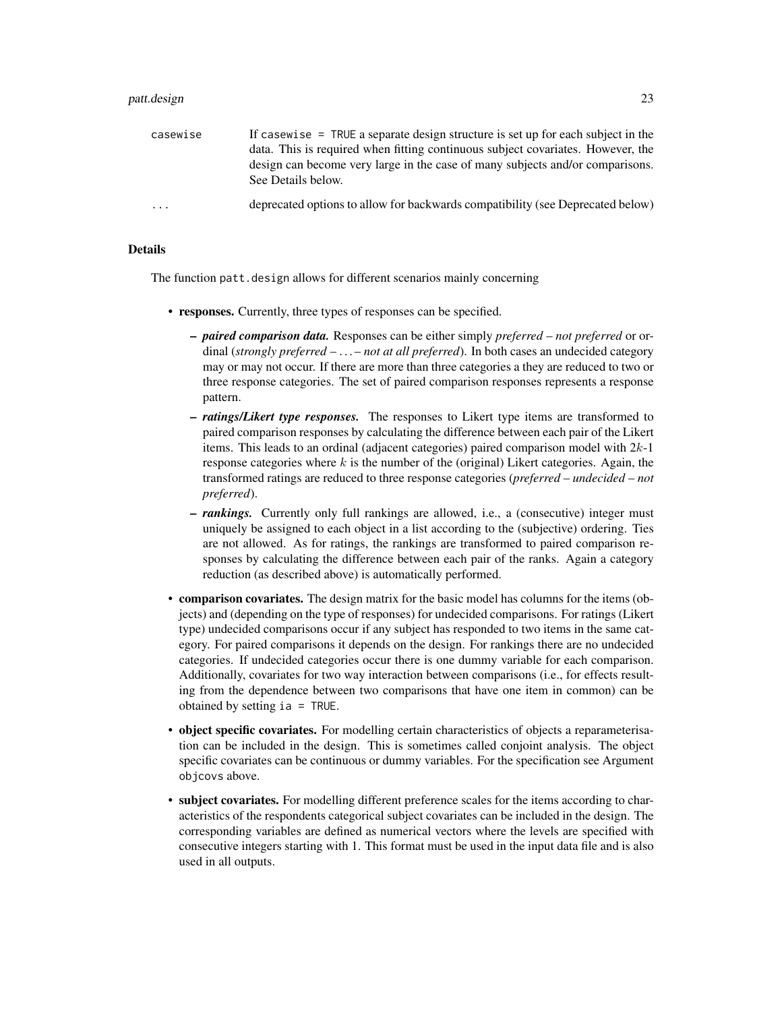#### patt.design 23

| casewise          | If casewise $=$ TRUE a separate design structure is set up for each subject in the |
|-------------------|------------------------------------------------------------------------------------|
|                   | data. This is required when fitting continuous subject covariates. However, the    |
|                   | design can become very large in the case of many subjects and/or comparisons.      |
|                   | See Details below.                                                                 |
| $\cdot\cdot\cdot$ | deprecated options to allow for backwards compatibility (see Deprecated below)     |

## Details

The function patt.design allows for different scenarios mainly concerning

- responses. Currently, three types of responses can be specified.
	- *paired comparison data.* Responses can be either simply *preferred not preferred* or ordinal (*strongly preferred* – . . . – *not at all preferred*). In both cases an undecided category may or may not occur. If there are more than three categories a they are reduced to two or three response categories. The set of paired comparison responses represents a response pattern.
	- *ratings/Likert type responses.* The responses to Likert type items are transformed to paired comparison responses by calculating the difference between each pair of the Likert items. This leads to an ordinal (adjacent categories) paired comparison model with  $2k-1$ response categories where  $k$  is the number of the (original) Likert categories. Again, the transformed ratings are reduced to three response categories (*preferred* – *undecided* – *not preferred*).
	- *rankings.* Currently only full rankings are allowed, i.e., a (consecutive) integer must uniquely be assigned to each object in a list according to the (subjective) ordering. Ties are not allowed. As for ratings, the rankings are transformed to paired comparison responses by calculating the difference between each pair of the ranks. Again a category reduction (as described above) is automatically performed.
- comparison covariates. The design matrix for the basic model has columns for the items (objects) and (depending on the type of responses) for undecided comparisons. For ratings (Likert type) undecided comparisons occur if any subject has responded to two items in the same category. For paired comparisons it depends on the design. For rankings there are no undecided categories. If undecided categories occur there is one dummy variable for each comparison. Additionally, covariates for two way interaction between comparisons (i.e., for effects resulting from the dependence between two comparisons that have one item in common) can be obtained by setting ia = TRUE.
- object specific covariates. For modelling certain characteristics of objects a reparameterisation can be included in the design. This is sometimes called conjoint analysis. The object specific covariates can be continuous or dummy variables. For the specification see Argument objcovs above.
- subject covariates. For modelling different preference scales for the items according to characteristics of the respondents categorical subject covariates can be included in the design. The corresponding variables are defined as numerical vectors where the levels are specified with consecutive integers starting with 1. This format must be used in the input data file and is also used in all outputs.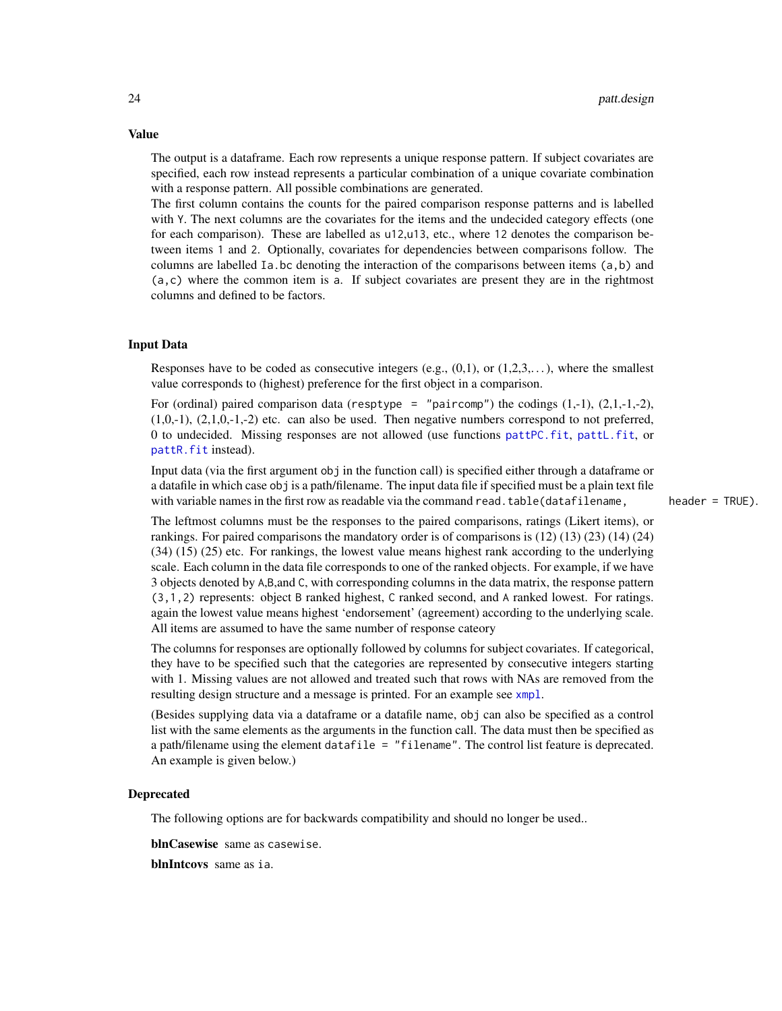The output is a dataframe. Each row represents a unique response pattern. If subject covariates are specified, each row instead represents a particular combination of a unique covariate combination with a response pattern. All possible combinations are generated.

The first column contains the counts for the paired comparison response patterns and is labelled with Y. The next columns are the covariates for the items and the undecided category effects (one for each comparison). These are labelled as u12,u13, etc., where 12 denotes the comparison between items 1 and 2. Optionally, covariates for dependencies between comparisons follow. The columns are labelled Ia.bc denoting the interaction of the comparisons between items (a,b) and (a,c) where the common item is a. If subject covariates are present they are in the rightmost columns and defined to be factors.

## Input Data

Responses have to be coded as consecutive integers (e.g.,  $(0,1)$ , or  $(1,2,3,...)$ , where the smallest value corresponds to (highest) preference for the first object in a comparison.

For (ordinal) paired comparison data (resptype = "paircomp") the codings  $(1,-1)$ ,  $(2,1,-1,-2)$ ,  $(1,0,-1)$ ,  $(2,1,0,-1,-2)$  etc. can also be used. Then negative numbers correspond to not preferred, 0 to undecided. Missing responses are not allowed (use functions [pattPC.fit](#page-35-1), [pattL.fit](#page-26-1), or [pattR.fit](#page-38-1) instead).

Input data (via the first argument obj in the function call) is specified either through a dataframe or a datafile in which case obj is a path/filename. The input data file if specified must be a plain text file with variable names in the first row as readable via the command read.table(datafilename, header = TRUE).

The leftmost columns must be the responses to the paired comparisons, ratings (Likert items), or rankings. For paired comparisons the mandatory order is of comparisons is (12) (13) (23) (14) (24) (34) (15) (25) etc. For rankings, the lowest value means highest rank according to the underlying scale. Each column in the data file corresponds to one of the ranked objects. For example, if we have 3 objects denoted by A,B,and C, with corresponding columns in the data matrix, the response pattern (3,1,2) represents: object B ranked highest, C ranked second, and A ranked lowest. For ratings. again the lowest value means highest 'endorsement' (agreement) according to the underlying scale. All items are assumed to have the same number of response cateory

The columns for responses are optionally followed by columns for subject covariates. If categorical, they have to be specified such that the categories are represented by consecutive integers starting with 1. Missing values are not allowed and treated such that rows with NAs are removed from the resulting design structure and a message is printed. For an example see [xmpl](#page-50-1).

(Besides supplying data via a dataframe or a datafile name, obj can also be specified as a control list with the same elements as the arguments in the function call. The data must then be specified as a path/filename using the element datafile = "filename". The control list feature is deprecated. An example is given below.)

## Deprecated

The following options are for backwards compatibility and should no longer be used..

blnCasewise same as casewise.

blnIntcovs same as ia.

## <span id="page-23-0"></span>Value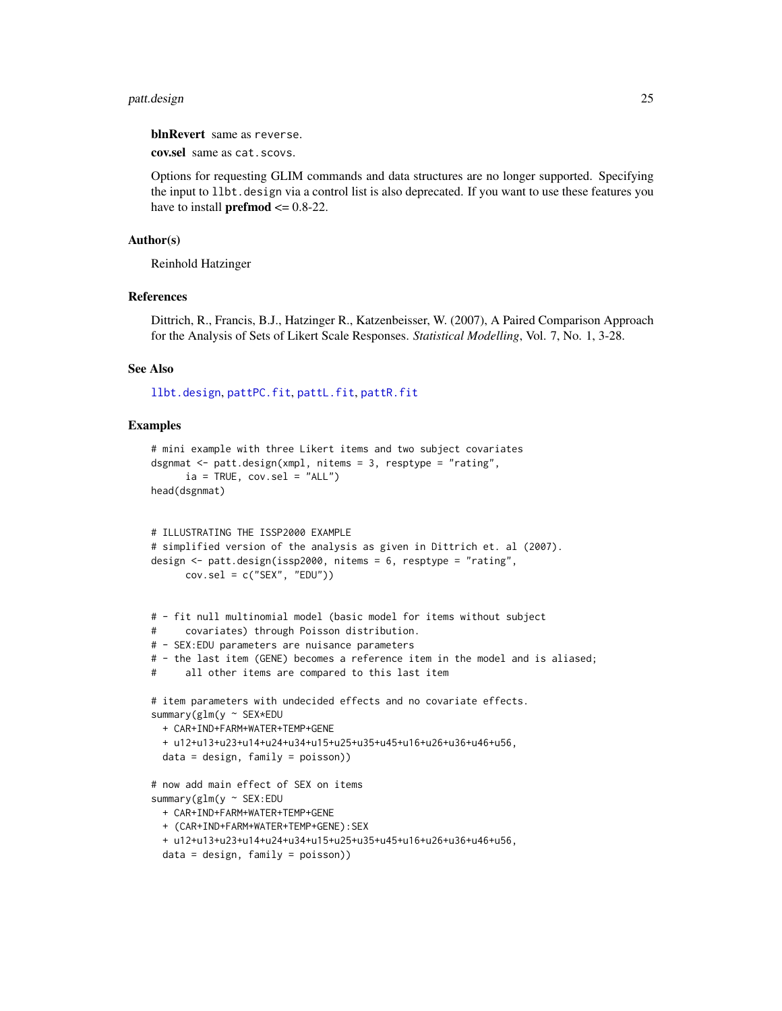#### <span id="page-24-0"></span>patt.design 25

blnRevert same as reverse.

cov.sel same as cat.scovs.

Options for requesting GLIM commands and data structures are no longer supported. Specifying the input to llbt.design via a control list is also deprecated. If you want to use these features you have to install **prefmod**  $\leq 0.8-22$ .

## Author(s)

Reinhold Hatzinger

#### References

Dittrich, R., Francis, B.J., Hatzinger R., Katzenbeisser, W. (2007), A Paired Comparison Approach for the Analysis of Sets of Likert Scale Responses. *Statistical Modelling*, Vol. 7, No. 1, 3-28.

## See Also

[llbt.design](#page-11-1), [pattPC.fit](#page-35-1), [pattL.fit](#page-26-1), [pattR.fit](#page-38-1)

## Examples

```
# mini example with three Likert items and two subject covariates
dsgnmat <- patt.design(xmpl, nitems = 3, resptype = "rating",
     ia = TRUE, cov.sel = "ALL")head(dsgnmat)
# ILLUSTRATING THE ISSP2000 EXAMPLE
# simplified version of the analysis as given in Dittrich et. al (2007).
design <- patt.design(issp2000, nitems = 6, resptype = "rating",
     cov.sel = c("SEX", "EDU"))
# - fit null multinomial model (basic model for items without subject
# covariates) through Poisson distribution.
# - SEX:EDU parameters are nuisance parameters
# - the last item (GENE) becomes a reference item in the model and is aliased;
# all other items are compared to this last item
# item parameters with undecided effects and no covariate effects.
summary(glm(y ~ SEX*EDU
 + CAR+IND+FARM+WATER+TEMP+GENE
 + u12+u13+u23+u14+u24+u34+u15+u25+u35+u45+u16+u26+u36+u46+u56,
 data = design, family = poisson))
# now add main effect of SEX on items
summary(glm(y ~ SEX:EDU
 + CAR+IND+FARM+WATER+TEMP+GENE
 + (CAR+IND+FARM+WATER+TEMP+GENE):SEX
 + u12+u13+u23+u14+u24+u34+u15+u25+u35+u45+u16+u26+u36+u46+u56,
 data = design, family = poisson))
```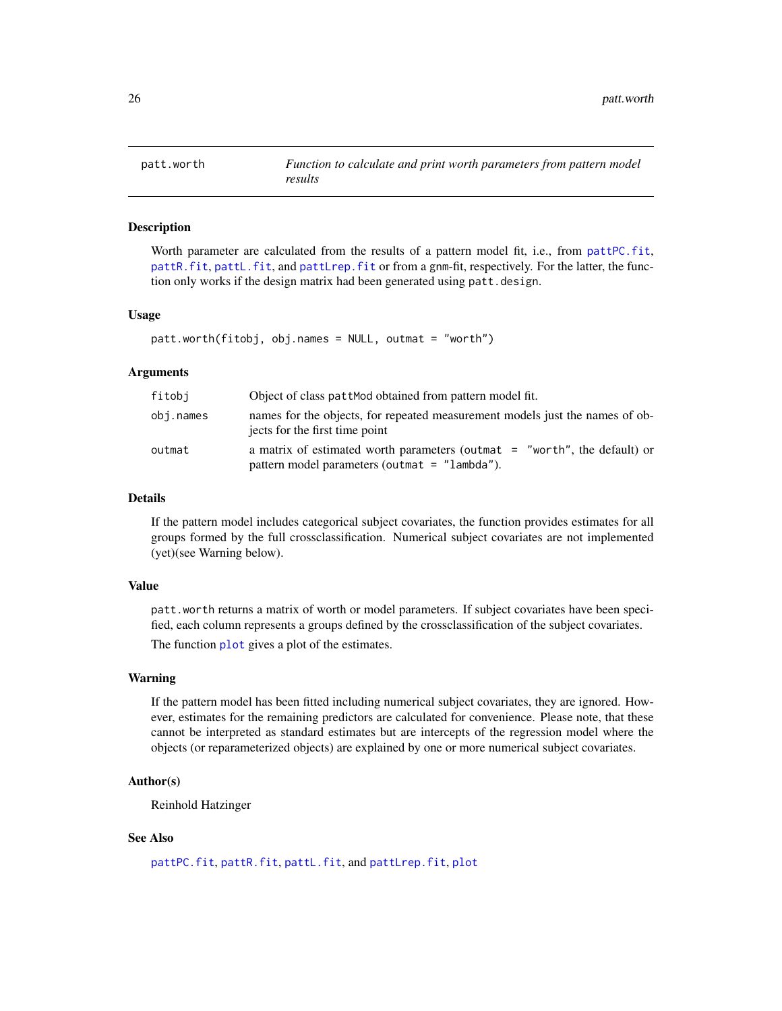<span id="page-25-1"></span><span id="page-25-0"></span>

#### Description

Worth parameter are calculated from the results of a pattern model fit, i.e., from [pattPC.fit](#page-35-1), [pattR.fit](#page-38-1), [pattL.fit](#page-26-1), and [pattLrep.fit](#page-28-1) or from a gnm-fit, respectively. For the latter, the function only works if the design matrix had been generated using patt.design.

## Usage

```
patt.worth(fitobj, obj.names = NULL, outmat = "worth")
```
## Arguments

| fitobi    | Object of class patt Mod obtained from pattern model fit.                                                                    |
|-----------|------------------------------------------------------------------------------------------------------------------------------|
| obj.names | names for the objects, for repeated measurement models just the names of ob-<br>jects for the first time point               |
| outmat    | a matrix of estimated worth parameters (outmat $=$ "worth", the default) or<br>pattern model parameters (outmat = "lambda"). |

## Details

If the pattern model includes categorical subject covariates, the function provides estimates for all groups formed by the full crossclassification. Numerical subject covariates are not implemented (yet)(see Warning below).

#### Value

patt.worth returns a matrix of worth or model parameters. If subject covariates have been specified, each column represents a groups defined by the crossclassification of the subject covariates.

The function [plot](#page-0-0) gives a plot of the estimates.

## Warning

If the pattern model has been fitted including numerical subject covariates, they are ignored. However, estimates for the remaining predictors are calculated for convenience. Please note, that these cannot be interpreted as standard estimates but are intercepts of the regression model where the objects (or reparameterized objects) are explained by one or more numerical subject covariates.

## Author(s)

Reinhold Hatzinger

## See Also

[pattPC.fit](#page-35-1), [pattR.fit](#page-38-1), [pattL.fit](#page-26-1), and [pattLrep.fit](#page-28-1), [plot](#page-0-0)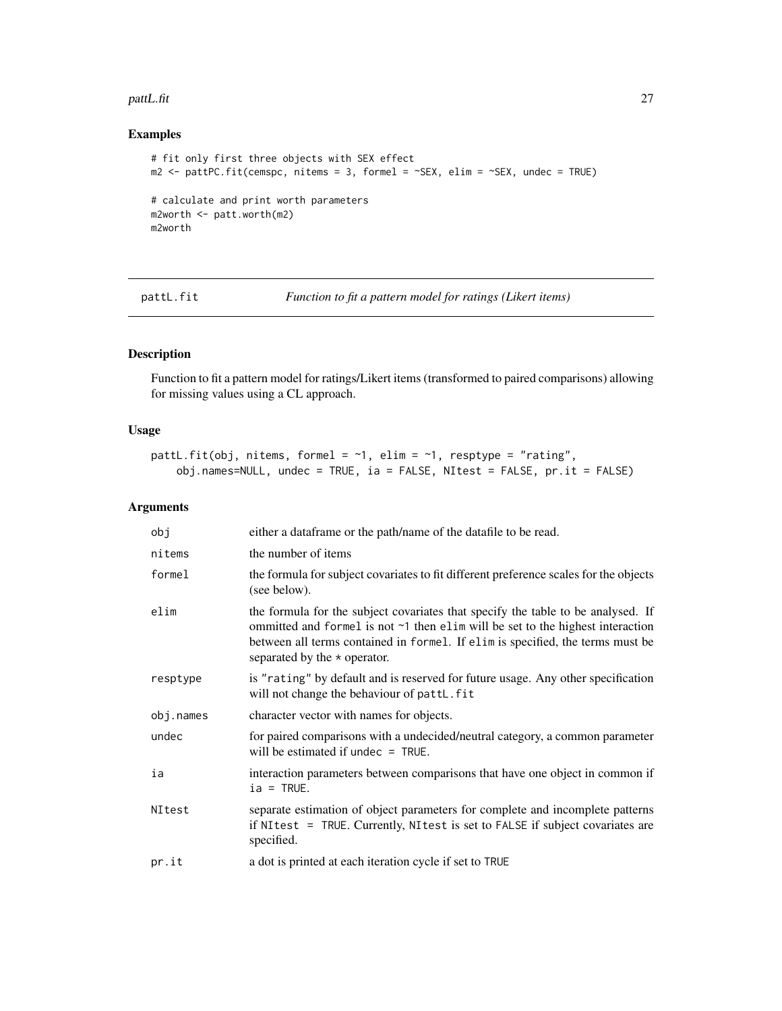#### <span id="page-26-0"></span>pattL.fit 27

## Examples

```
# fit only first three objects with SEX effect
m2 <- pattPC.fit(cemspc, nitems = 3, formel = ~SEX, elim = ~SEX, undec = TRUE)
# calculate and print worth parameters
m2worth <- patt.worth(m2)
m2worth
```
<span id="page-26-1"></span>pattL.fit *Function to fit a pattern model for ratings (Likert items)*

## Description

Function to fit a pattern model for ratings/Likert items (transformed to paired comparisons) allowing for missing values using a CL approach.

## Usage

```
pattL.fit(obj, nitems, formel = \sim1, elim = \sim1, resptype = "rating",
    obj.names=NULL, undec = TRUE, ia = FALSE, NItest = FALSE, pr.it = FALSE)
```
## Arguments

| obj       | either a dataframe or the path/name of the datafile to be read.                                                                                                                                                                                                                                  |
|-----------|--------------------------------------------------------------------------------------------------------------------------------------------------------------------------------------------------------------------------------------------------------------------------------------------------|
| nitems    | the number of items                                                                                                                                                                                                                                                                              |
| formel    | the formula for subject covariates to fit different preference scales for the objects<br>(see below).                                                                                                                                                                                            |
| elim      | the formula for the subject covariates that specify the table to be analysed. If<br>ommitted and formel is not $\sim$ 1 then elim will be set to the highest interaction<br>between all terms contained in formel. If elim is specified, the terms must be<br>separated by the $\star$ operator. |
| resptype  | is "rating" by default and is reserved for future usage. Any other specification<br>will not change the behaviour of pattL. fit                                                                                                                                                                  |
| obj.names | character vector with names for objects.                                                                                                                                                                                                                                                         |
| undec     | for paired comparisons with a undecided/neutral category, a common parameter<br>will be estimated if undec $=$ TRUE.                                                                                                                                                                             |
| ia        | interaction parameters between comparisons that have one object in common if<br>$ia = TRUE.$                                                                                                                                                                                                     |
| NItest    | separate estimation of object parameters for complete and incomplete patterns<br>if NItest = TRUE. Currently, NItest is set to FALSE if subject covariates are<br>specified.                                                                                                                     |
| pr.it     | a dot is printed at each iteration cycle if set to TRUE                                                                                                                                                                                                                                          |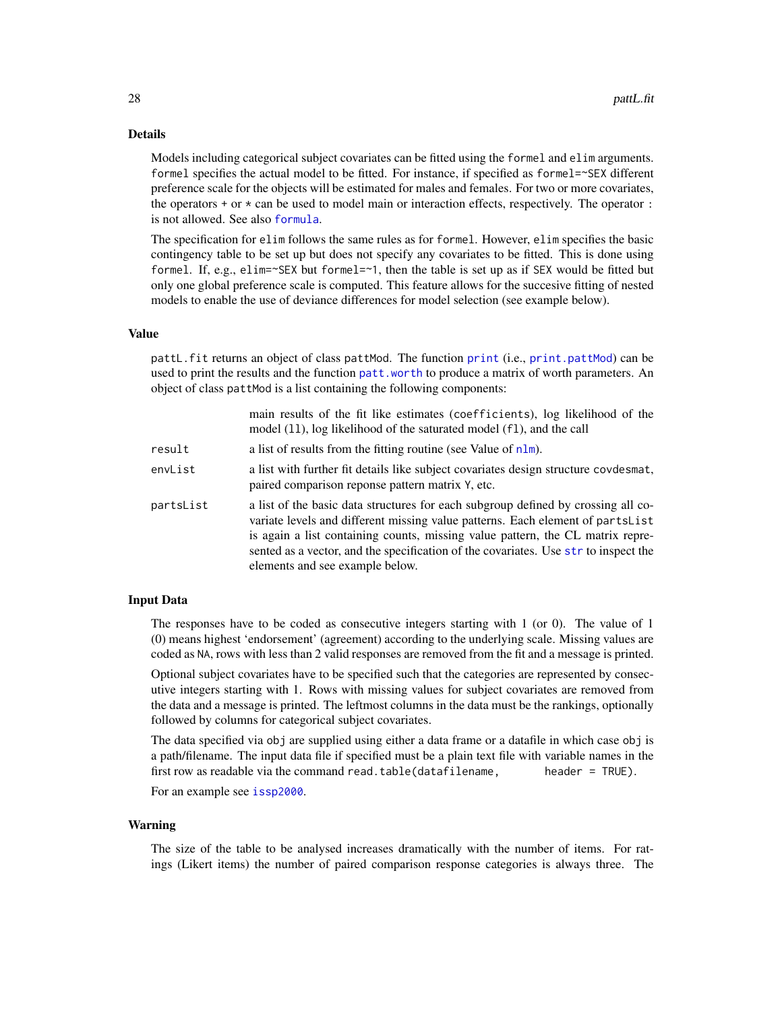## <span id="page-27-0"></span>Details

Models including categorical subject covariates can be fitted using the formel and elim arguments. formel specifies the actual model to be fitted. For instance, if specified as formel=~SEX different preference scale for the objects will be estimated for males and females. For two or more covariates, the operators  $+$  or  $*$  can be used to model main or interaction effects, respectively. The operator  $\colon$ is not allowed. See also [formula](#page-0-0).

The specification for elim follows the same rules as for formel. However, elim specifies the basic contingency table to be set up but does not specify any covariates to be fitted. This is done using formel. If, e.g., elim=~SEX but formel=~1, then the table is set up as if SEX would be fitted but only one global preference scale is computed. This feature allows for the succesive fitting of nested models to enable the use of deviance differences for model selection (see example below).

#### Value

pattL.fit returns an object of class pattMod. The function [print](#page-0-0) (i.e., [print.pattMod](#page-46-1)) can be used to print the results and the function [patt.worth](#page-25-1) to produce a matrix of worth parameters. An object of class pattMod is a list containing the following components:

|           | main results of the fit like estimates (coefficients), log likelihood of the<br>model (11), log likelihood of the saturated model (f1), and the call                                                                                                                                                                                                                            |
|-----------|---------------------------------------------------------------------------------------------------------------------------------------------------------------------------------------------------------------------------------------------------------------------------------------------------------------------------------------------------------------------------------|
| result    | a list of results from the fitting routine (see Value of $n \text{Im}$ ).                                                                                                                                                                                                                                                                                                       |
| envList   | a list with further fit details like subject covariates design structure covdesmat,<br>paired comparison reponse pattern matrix Y, etc.                                                                                                                                                                                                                                         |
| partsList | a list of the basic data structures for each subgroup defined by crossing all co-<br>variate levels and different missing value patterns. Each element of partsList<br>is again a list containing counts, missing value pattern, the CL matrix repre-<br>sented as a vector, and the specification of the covariates. Use str to inspect the<br>elements and see example below. |

## Input Data

The responses have to be coded as consecutive integers starting with 1 (or 0). The value of 1 (0) means highest 'endorsement' (agreement) according to the underlying scale. Missing values are coded as NA, rows with less than 2 valid responses are removed from the fit and a message is printed.

Optional subject covariates have to be specified such that the categories are represented by consecutive integers starting with 1. Rows with missing values for subject covariates are removed from the data and a message is printed. The leftmost columns in the data must be the rankings, optionally followed by columns for categorical subject covariates.

The data specified via obj are supplied using either a data frame or a datafile in which case obj is a path/filename. The input data file if specified must be a plain text file with variable names in the first row as readable via the command read.table(datafilename, header =  $TRUE$ ).

For an example see [issp2000](#page-10-1).

#### Warning

The size of the table to be analysed increases dramatically with the number of items. For ratings (Likert items) the number of paired comparison response categories is always three. The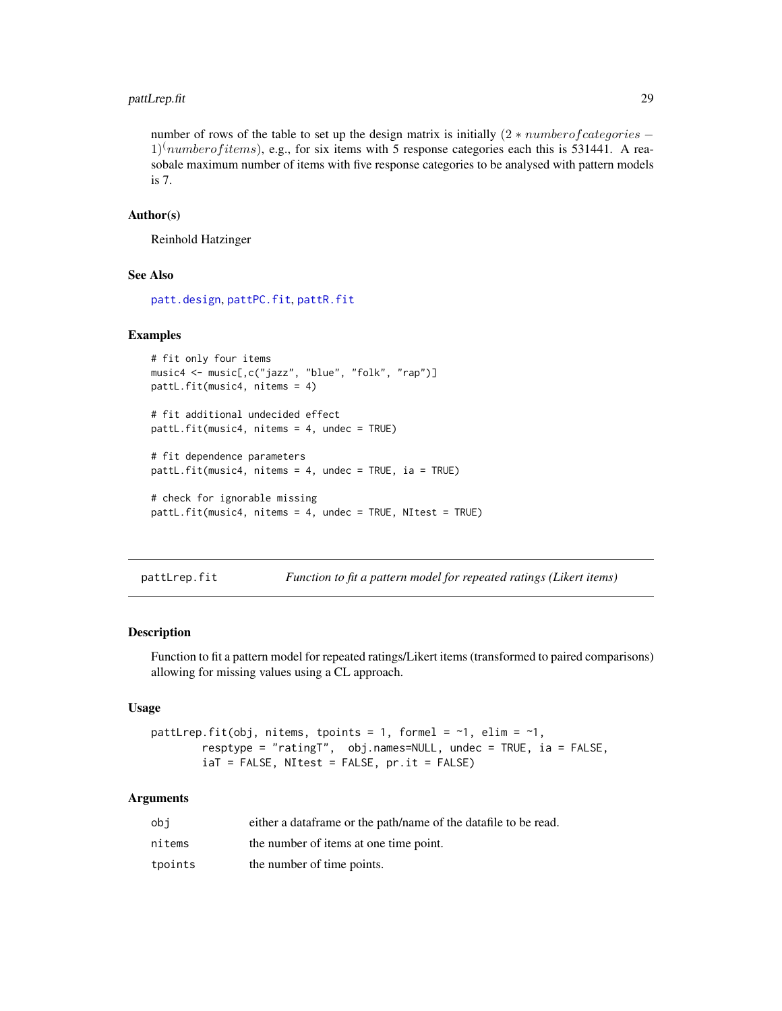## <span id="page-28-0"></span>pattLrep.fit 29

number of rows of the table to set up the design matrix is initially  $(2 * number of categories - )$  $1 \times 10$  numberof *items*), e.g., for six items with 5 response categories each this is 531441. A reasobale maximum number of items with five response categories to be analysed with pattern models is 7.

#### Author(s)

Reinhold Hatzinger

## See Also

[patt.design](#page-21-1), [pattPC.fit](#page-35-1), [pattR.fit](#page-38-1)

## Examples

```
# fit only four items
music4 <- music[,c("jazz", "blue", "folk", "rap")]
pattL.fit(music4, nitems = 4)
# fit additional undecided effect
pattL.fit(music4, nitems = 4, undec = TRUE)
# fit dependence parameters
pattL.fit(music4, nitems = 4, undec = TRUE, ia = TRUE)
# check for ignorable missing
pattL.fit(music4, nitems = 4, undec = TRUE, NItest = TRUE)
```
<span id="page-28-1"></span>pattLrep.fit *Function to fit a pattern model for repeated ratings (Likert items)*

## Description

Function to fit a pattern model for repeated ratings/Likert items (transformed to paired comparisons) allowing for missing values using a CL approach.

## Usage

```
pattLrep.fit(obj, nitems, tpoints = 1, formel = \sim1, elim = \sim1,
        resptype = "ratingT", obj.names=NULL, undec = TRUE, ia = FALSE,
        iaT = FALSE, NItest = FALSE, pr.it = FALSE)
```
## Arguments

| obi     | either a data frame or the path/name of the data file to be read. |
|---------|-------------------------------------------------------------------|
| nitems  | the number of items at one time point.                            |
| tpoints | the number of time points.                                        |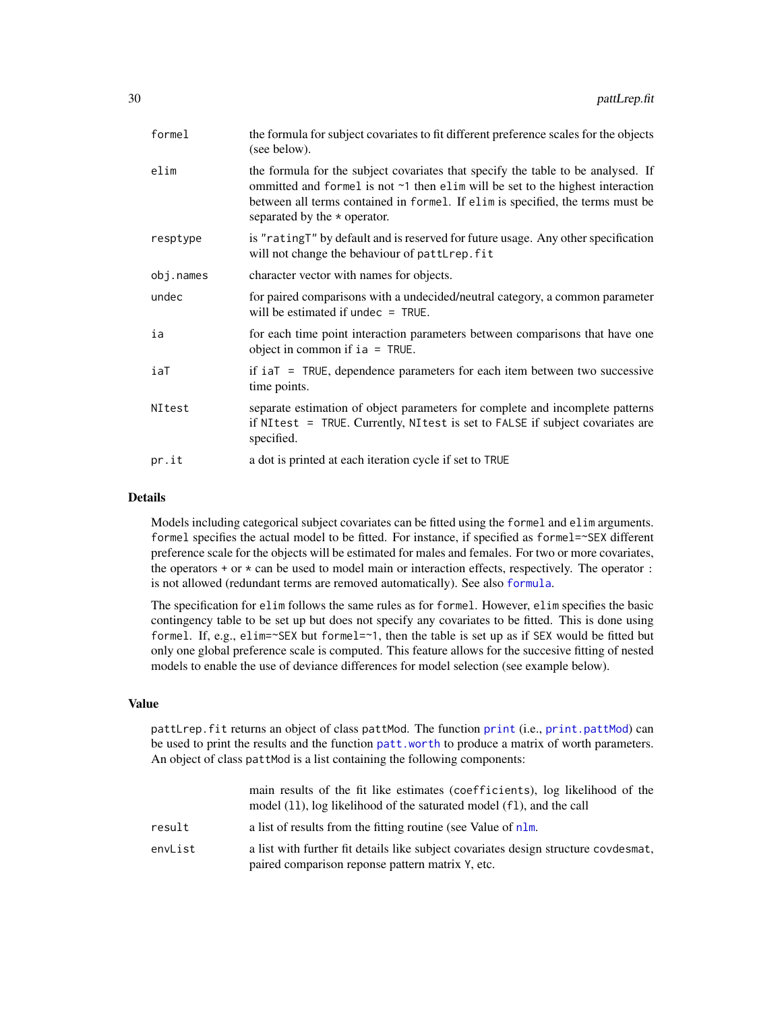<span id="page-29-0"></span>

| formel    | the formula for subject covariates to fit different preference scales for the objects<br>(see below).                                                                                                                                                                                      |
|-----------|--------------------------------------------------------------------------------------------------------------------------------------------------------------------------------------------------------------------------------------------------------------------------------------------|
| elim      | the formula for the subject covariates that specify the table to be analysed. If<br>ommitted and formel is not ~1 then elim will be set to the highest interaction<br>between all terms contained in formel. If elim is specified, the terms must be<br>separated by the $\star$ operator. |
| resptype  | is "ratingT" by default and is reserved for future usage. Any other specification<br>will not change the behaviour of pattLrep. fit                                                                                                                                                        |
| obj.names | character vector with names for objects.                                                                                                                                                                                                                                                   |
| undec     | for paired comparisons with a undecided/neutral category, a common parameter<br>will be estimated if undec $=$ TRUE.                                                                                                                                                                       |
| ia        | for each time point interaction parameters between comparisons that have one<br>object in common if $ia = TRUE$ .                                                                                                                                                                          |
| iaT       | if $iaT = TRUE$ , dependence parameters for each item between two successive<br>time points.                                                                                                                                                                                               |
| NItest    | separate estimation of object parameters for complete and incomplete patterns<br>if NItest = TRUE. Currently, NItest is set to FALSE if subject covariates are<br>specified.                                                                                                               |
| pr.it     | a dot is printed at each iteration cycle if set to TRUE                                                                                                                                                                                                                                    |
|           |                                                                                                                                                                                                                                                                                            |

## Details

Models including categorical subject covariates can be fitted using the formel and elim arguments. formel specifies the actual model to be fitted. For instance, if specified as formel=~SEX different preference scale for the objects will be estimated for males and females. For two or more covariates, the operators  $+$  or  $*$  can be used to model main or interaction effects, respectively. The operator  $\colon$ is not allowed (redundant terms are removed automatically). See also [formula](#page-0-0).

The specification for elim follows the same rules as for formel. However, elim specifies the basic contingency table to be set up but does not specify any covariates to be fitted. This is done using formel. If, e.g., elim= $\sim$ SEX but formel= $\sim$ 1, then the table is set up as if SEX would be fitted but only one global preference scale is computed. This feature allows for the succesive fitting of nested models to enable the use of deviance differences for model selection (see example below).

## Value

pattLrep.fit returns an object of class pattMod. The function [print](#page-0-0) (i.e., [print.pattMod](#page-46-1)) can be used to print the results and the function [patt.worth](#page-25-1) to produce a matrix of worth parameters. An object of class pattMod is a list containing the following components:

|         | main results of the fit like estimates (coefficients), log likelihood of the<br>model (11), log likelihood of the saturated model (f1), and the call |
|---------|------------------------------------------------------------------------------------------------------------------------------------------------------|
| result  | a list of results from the fitting routine (see Value of nlm.                                                                                        |
| envList | a list with further fit details like subject covariates design structure covdesmat,<br>paired comparison reponse pattern matrix Y, etc.              |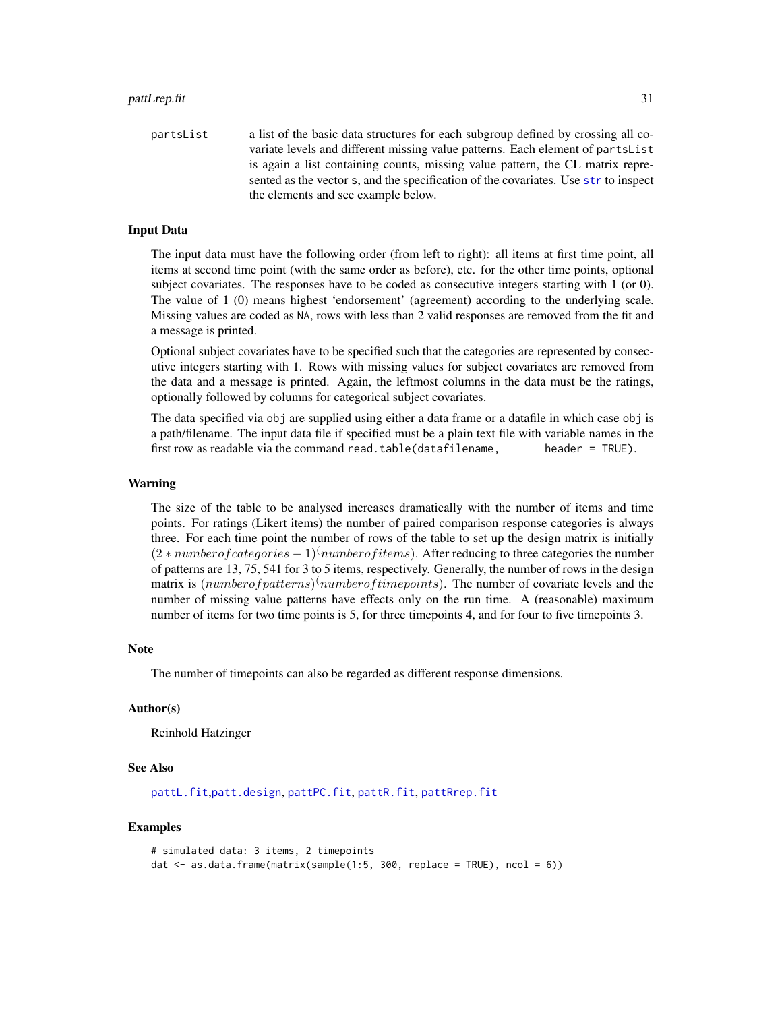<span id="page-30-0"></span>partsList a list of the basic data structures for each subgroup defined by crossing all covariate levels and different missing value patterns. Each element of partsList is again a list containing counts, missing value pattern, the CL matrix represented as the vector s, and the specification of the covariates. Use [str](#page-0-0) to inspect the elements and see example below.

## Input Data

The input data must have the following order (from left to right): all items at first time point, all items at second time point (with the same order as before), etc. for the other time points, optional subject covariates. The responses have to be coded as consecutive integers starting with 1 (or 0). The value of 1 (0) means highest 'endorsement' (agreement) according to the underlying scale. Missing values are coded as NA, rows with less than 2 valid responses are removed from the fit and a message is printed.

Optional subject covariates have to be specified such that the categories are represented by consecutive integers starting with 1. Rows with missing values for subject covariates are removed from the data and a message is printed. Again, the leftmost columns in the data must be the ratings, optionally followed by columns for categorical subject covariates.

The data specified via obj are supplied using either a data frame or a datafile in which case obj is a path/filename. The input data file if specified must be a plain text file with variable names in the first row as readable via the command read.table(datafilename, header =  $TRUE$ ).

## Warning

The size of the table to be analysed increases dramatically with the number of items and time points. For ratings (Likert items) the number of paired comparison response categories is always three. For each time point the number of rows of the table to set up the design matrix is initially  $(2 * number of categories - 1)$ <sup>(</sup>numberof *items*). After reducing to three categories the number of patterns are 13, 75, 541 for 3 to 5 items, respectively. Generally, the number of rows in the design matrix is  $(number of patterns)^{(number of time points)}$ . The number of covariate levels and the number of missing value patterns have effects only on the run time. A (reasonable) maximum number of items for two time points is 5, for three timepoints 4, and for four to five timepoints 3.

#### Note

The number of timepoints can also be regarded as different response dimensions.

## Author(s)

Reinhold Hatzinger

#### See Also

[pattL.fit](#page-26-1),[patt.design](#page-21-1), [pattPC.fit](#page-35-1), [pattR.fit](#page-38-1), [pattRrep.fit](#page-40-1)

## Examples

```
# simulated data: 3 items, 2 timepoints
dat \leq as.data.frame(matrix(sample(1:5, 300, replace = TRUE), ncol = 6))
```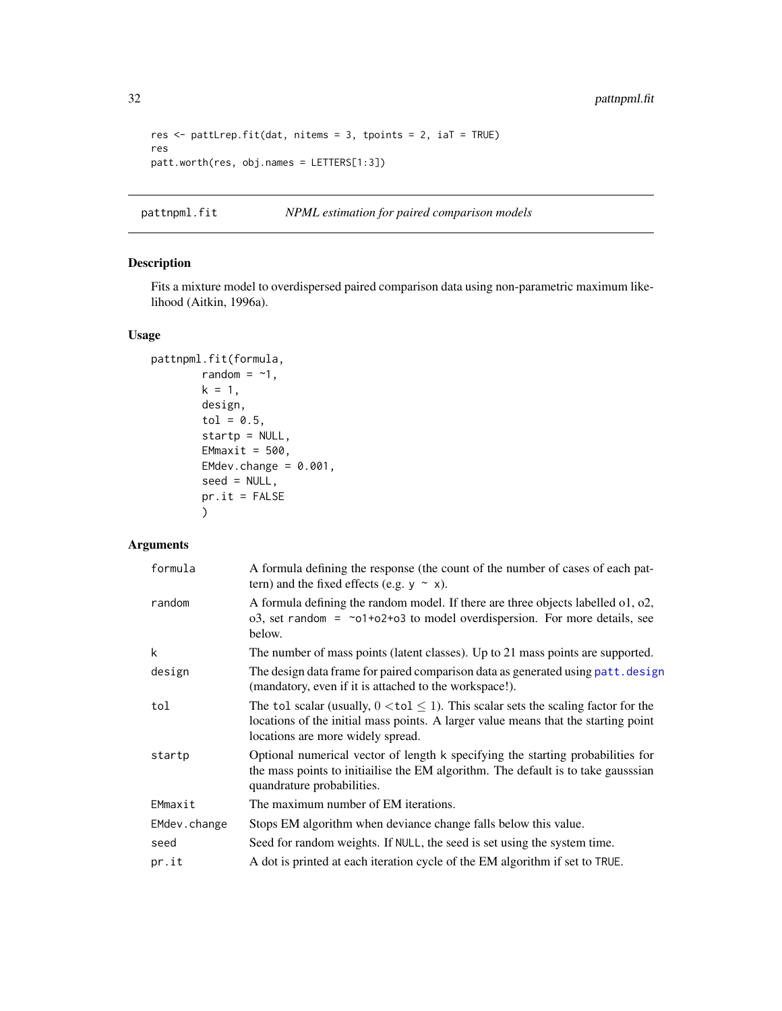```
res <- pattLrep.fit(dat, nitems = 3, tpoints = 2, iaT = TRUE)
res
patt.worth(res, obj.names = LETTERS[1:3])
```
<span id="page-31-1"></span>pattnpml.fit *NPML estimation for paired comparison models*

## Description

Fits a mixture model to overdispersed paired comparison data using non-parametric maximum likelihood (Aitkin, 1996a).

## Usage

```
pattnpml.fit(formula,
        random = -1,
        k = 1,design,
        tol = 0.5,startp = NULL,
       EMmaxit = 500,
        EMdev.change = 0.001,
        seed = NULL,
        pr.it = FALSE)
```
## Arguments

| formula      | A formula defining the response (the count of the number of cases of each pat-<br>tern) and the fixed effects (e.g. $y \sim x$ ).                                                                                     |
|--------------|-----------------------------------------------------------------------------------------------------------------------------------------------------------------------------------------------------------------------|
| random       | A formula defining the random model. If there are three objects labelled $01, 02$ ,<br>$o3$ , set random = $\sim o1+o2+o3$ to model overdispersion. For more details, see<br>below.                                   |
| k            | The number of mass points (latent classes). Up to 21 mass points are supported.                                                                                                                                       |
| design       | The design data frame for paired comparison data as generated using patt. design<br>(mandatory, even if it is attached to the workspace!).                                                                            |
| tol          | The tol scalar (usually, $0 <$ tol $\leq 1$ ). This scalar sets the scaling factor for the<br>locations of the initial mass points. A larger value means that the starting point<br>locations are more widely spread. |
| startp       | Optional numerical vector of length k specifying the starting probabilities for<br>the mass points to initialise the EM algorithm. The default is to take gausssian<br>quandrature probabilities.                     |
| EMmaxit      | The maximum number of EM iterations.                                                                                                                                                                                  |
| EMdev.change | Stops EM algorithm when deviance change falls below this value.                                                                                                                                                       |
| seed         | Seed for random weights. If NULL, the seed is set using the system time.                                                                                                                                              |
| pr.it        | A dot is printed at each iteration cycle of the EM algorithm if set to TRUE.                                                                                                                                          |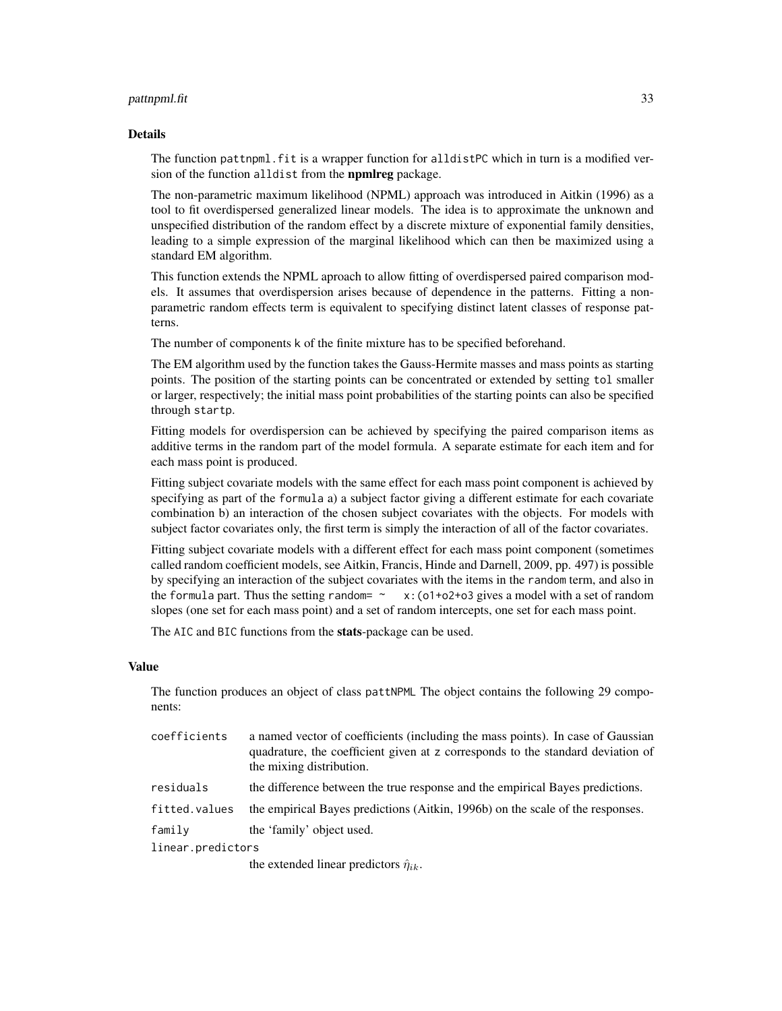#### pattnpml.fit 33

#### Details

The function pattnpml. fit is a wrapper function for alldistPC which in turn is a modified version of the function alldist from the **npmlreg** package.

The non-parametric maximum likelihood (NPML) approach was introduced in Aitkin (1996) as a tool to fit overdispersed generalized linear models. The idea is to approximate the unknown and unspecified distribution of the random effect by a discrete mixture of exponential family densities, leading to a simple expression of the marginal likelihood which can then be maximized using a standard EM algorithm.

This function extends the NPML aproach to allow fitting of overdispersed paired comparison models. It assumes that overdispersion arises because of dependence in the patterns. Fitting a nonparametric random effects term is equivalent to specifying distinct latent classes of response patterns.

The number of components k of the finite mixture has to be specified beforehand.

The EM algorithm used by the function takes the Gauss-Hermite masses and mass points as starting points. The position of the starting points can be concentrated or extended by setting tol smaller or larger, respectively; the initial mass point probabilities of the starting points can also be specified through startp.

Fitting models for overdispersion can be achieved by specifying the paired comparison items as additive terms in the random part of the model formula. A separate estimate for each item and for each mass point is produced.

Fitting subject covariate models with the same effect for each mass point component is achieved by specifying as part of the formula a) a subject factor giving a different estimate for each covariate combination b) an interaction of the chosen subject covariates with the objects. For models with subject factor covariates only, the first term is simply the interaction of all of the factor covariates.

Fitting subject covariate models with a different effect for each mass point component (sometimes called random coefficient models, see Aitkin, Francis, Hinde and Darnell, 2009, pp. 497) is possible by specifying an interaction of the subject covariates with the items in the random term, and also in the formula part. Thus the setting random=  $\sim x:(01+02+03$  gives a model with a set of random slopes (one set for each mass point) and a set of random intercepts, one set for each mass point.

The AIC and BIC functions from the stats-package can be used.

#### Value

The function produces an object of class pattNPML The object contains the following 29 components:

| coefficients | a named vector of coefficients (including the mass points). In case of Gaussian<br>quadrature, the coefficient given at z corresponds to the standard deviation of<br>the mixing distribution. |
|--------------|------------------------------------------------------------------------------------------------------------------------------------------------------------------------------------------------|
| residuals    | the difference between the true response and the empirical Bayes predictions.                                                                                                                  |

fitted.values the empirical Bayes predictions (Aitkin, 1996b) on the scale of the responses.

family the 'family' object used.

linear.predictors

the extended linear predictors  $\hat{\eta}_{ik}$ .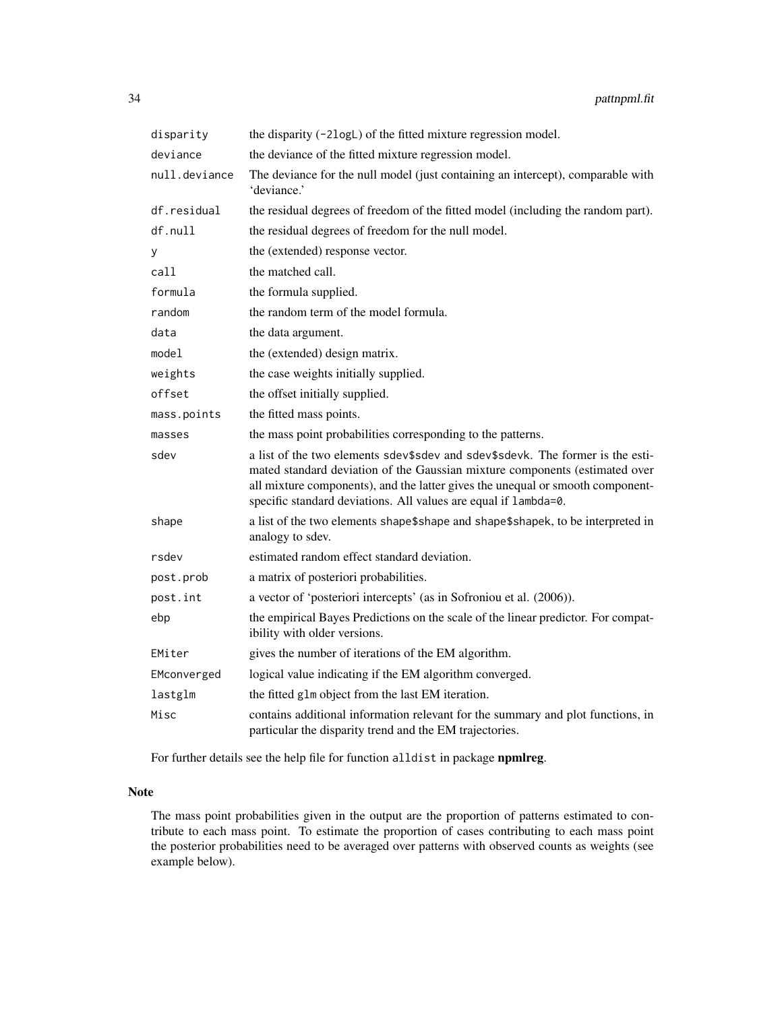| disparity     | the disparity (-2logL) of the fitted mixture regression model.                                                                                                                                                                                                                                                     |
|---------------|--------------------------------------------------------------------------------------------------------------------------------------------------------------------------------------------------------------------------------------------------------------------------------------------------------------------|
| deviance      | the deviance of the fitted mixture regression model.                                                                                                                                                                                                                                                               |
| null.deviance | The deviance for the null model (just containing an intercept), comparable with<br>'deviance.'                                                                                                                                                                                                                     |
| df.residual   | the residual degrees of freedom of the fitted model (including the random part).                                                                                                                                                                                                                                   |
| df.null       | the residual degrees of freedom for the null model.                                                                                                                                                                                                                                                                |
| У             | the (extended) response vector.                                                                                                                                                                                                                                                                                    |
| call          | the matched call.                                                                                                                                                                                                                                                                                                  |
| formula       | the formula supplied.                                                                                                                                                                                                                                                                                              |
| random        | the random term of the model formula.                                                                                                                                                                                                                                                                              |
| data          | the data argument.                                                                                                                                                                                                                                                                                                 |
| model         | the (extended) design matrix.                                                                                                                                                                                                                                                                                      |
| weights       | the case weights initially supplied.                                                                                                                                                                                                                                                                               |
| offset        | the offset initially supplied.                                                                                                                                                                                                                                                                                     |
| mass.points   | the fitted mass points.                                                                                                                                                                                                                                                                                            |
| masses        | the mass point probabilities corresponding to the patterns.                                                                                                                                                                                                                                                        |
| sdev          | a list of the two elements sdev\$sdev and sdev\$sdevk. The former is the esti-<br>mated standard deviation of the Gaussian mixture components (estimated over<br>all mixture components), and the latter gives the unequal or smooth component-<br>specific standard deviations. All values are equal if lambda=0. |
| shape         | a list of the two elements shape\$shape and shape\$shapek, to be interpreted in<br>analogy to sdev.                                                                                                                                                                                                                |
| rsdev         | estimated random effect standard deviation.                                                                                                                                                                                                                                                                        |
| post.prob     | a matrix of posteriori probabilities.                                                                                                                                                                                                                                                                              |
| post.int      | a vector of 'posteriori intercepts' (as in Sofroniou et al. (2006)).                                                                                                                                                                                                                                               |
| ebp           | the empirical Bayes Predictions on the scale of the linear predictor. For compat-<br>ibility with older versions.                                                                                                                                                                                                  |
| EMiter        | gives the number of iterations of the EM algorithm.                                                                                                                                                                                                                                                                |
| EMconverged   | logical value indicating if the EM algorithm converged.                                                                                                                                                                                                                                                            |
| lastglm       | the fitted g1m object from the last EM iteration.                                                                                                                                                                                                                                                                  |
| Misc          | contains additional information relevant for the summary and plot functions, in<br>particular the disparity trend and the EM trajectories.                                                                                                                                                                         |

For further details see the help file for function alldist in package npmlreg.

## Note

The mass point probabilities given in the output are the proportion of patterns estimated to contribute to each mass point. To estimate the proportion of cases contributing to each mass point the posterior probabilities need to be averaged over patterns with observed counts as weights (see example below).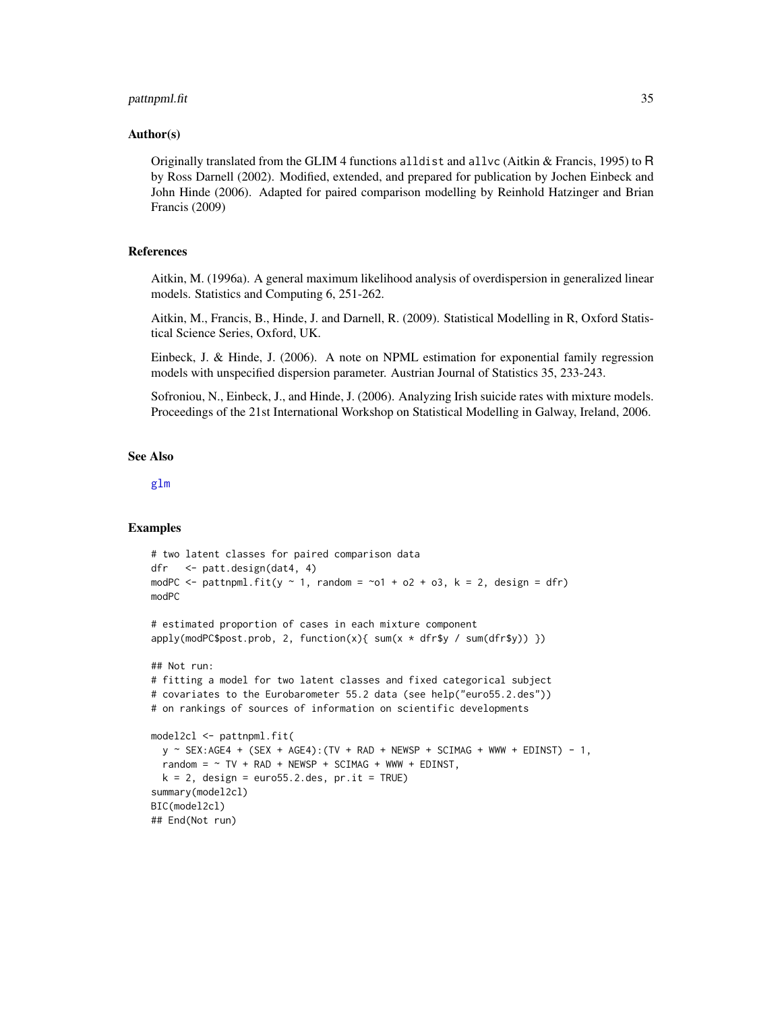#### <span id="page-34-0"></span>pattnpml.fit 35

## Author(s)

Originally translated from the GLIM 4 functions alldist and allvc (Aitkin & Francis, 1995) to R by Ross Darnell (2002). Modified, extended, and prepared for publication by Jochen Einbeck and John Hinde (2006). Adapted for paired comparison modelling by Reinhold Hatzinger and Brian Francis (2009)

## References

Aitkin, M. (1996a). A general maximum likelihood analysis of overdispersion in generalized linear models. Statistics and Computing 6, 251-262.

Aitkin, M., Francis, B., Hinde, J. and Darnell, R. (2009). Statistical Modelling in R, Oxford Statistical Science Series, Oxford, UK.

Einbeck, J. & Hinde, J. (2006). A note on NPML estimation for exponential family regression models with unspecified dispersion parameter. Austrian Journal of Statistics 35, 233-243.

Sofroniou, N., Einbeck, J., and Hinde, J. (2006). Analyzing Irish suicide rates with mixture models. Proceedings of the 21st International Workshop on Statistical Modelling in Galway, Ireland, 2006.

## See Also

[glm](#page-0-0)

#### Examples

```
# two latent classes for paired comparison data
dfr <- patt.design(dat4, 4)
modPC \le pattnpml.fit(y \sim 1, random = \sim01 + o2 + o3, k = 2, design = dfr)
modPC
# estimated proportion of cases in each mixture component
apply(modPC$post.prob, 2, function(x){ sum(x * dfr$y / sum(dfr$y)) })
## Not run:
# fitting a model for two latent classes and fixed categorical subject
# covariates to the Eurobarometer 55.2 data (see help("euro55.2.des"))
# on rankings of sources of information on scientific developments
model2cl <- pattnpml.fit(
 y \sim SEX:AGE4 + (SEX + AGE4):(TV + RAD + NEWSP + SCIMAG + WWW + EDINST) - 1,
 random = \sim TV + RAD + NEWSP + SCIMAG + WWW + EDINST,
 k = 2, design = euro55.2.des, pr.it = TRUE)
summary(model2cl)
BIC(model2cl)
## End(Not run)
```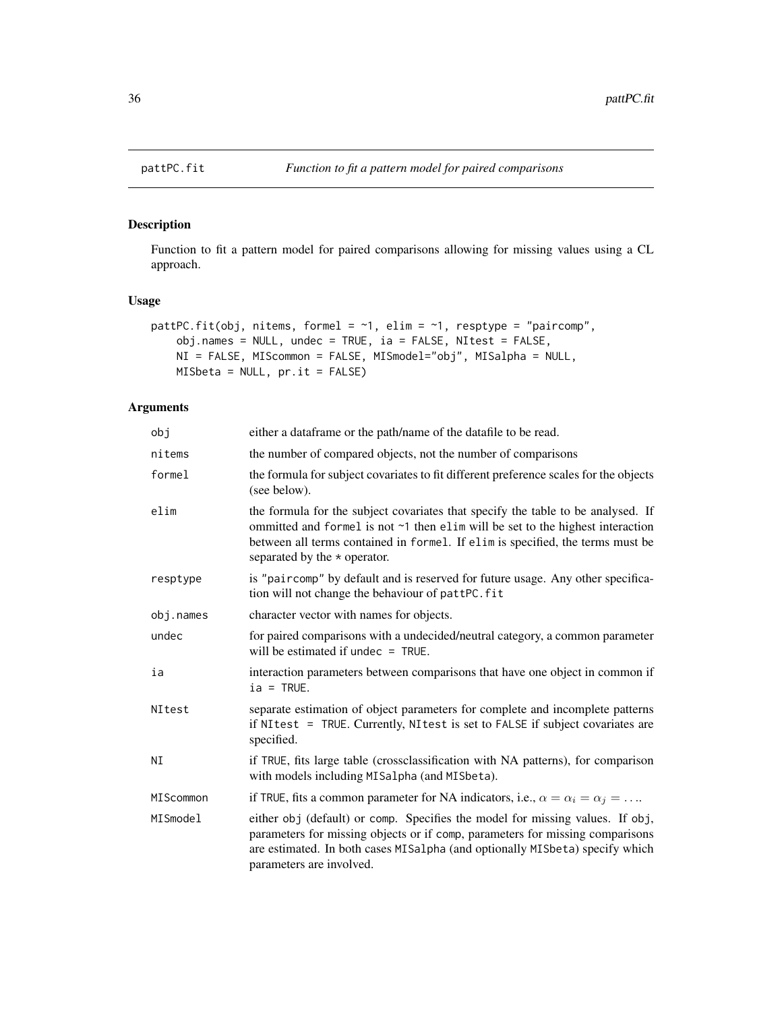<span id="page-35-1"></span><span id="page-35-0"></span>

## Description

Function to fit a pattern model for paired comparisons allowing for missing values using a CL approach.

## Usage

```
pattPC.fit(obj, nitems, formel = \sim1, elim = \sim1, resptype = "paircomp",
    obj.names = NULL, undec = TRUE, ia = FALSE, NItest = FALSE,
    NI = FALSE, MIScommon = FALSE, MISmodel="obj", MISalpha = NULL,
   MISbeta = NULL, pr.it = FALSE)
```
## Arguments

| obj       | either a dataframe or the path/name of the datafile to be read.                                                                                                                                                                                                                            |
|-----------|--------------------------------------------------------------------------------------------------------------------------------------------------------------------------------------------------------------------------------------------------------------------------------------------|
| nitems    | the number of compared objects, not the number of comparisons                                                                                                                                                                                                                              |
| formel    | the formula for subject covariates to fit different preference scales for the objects<br>(see below).                                                                                                                                                                                      |
| elim      | the formula for the subject covariates that specify the table to be analysed. If<br>ommitted and formel is not ~1 then elim will be set to the highest interaction<br>between all terms contained in formel. If elim is specified, the terms must be<br>separated by the $\star$ operator. |
| resptype  | is "paircomp" by default and is reserved for future usage. Any other specifica-<br>tion will not change the behaviour of pattPC.fit                                                                                                                                                        |
| obj.names | character vector with names for objects.                                                                                                                                                                                                                                                   |
| undec     | for paired comparisons with a undecided/neutral category, a common parameter<br>will be estimated if undec $=$ TRUE.                                                                                                                                                                       |
| ia        | interaction parameters between comparisons that have one object in common if<br>$ia = TRUE.$                                                                                                                                                                                               |
| NItest    | separate estimation of object parameters for complete and incomplete patterns<br>if NItest = TRUE. Currently, NItest is set to FALSE if subject covariates are<br>specified.                                                                                                               |
| NI        | if TRUE, fits large table (crossclassification with NA patterns), for comparison<br>with models including MISalpha (and MISbeta).                                                                                                                                                          |
| MIScommon | if TRUE, fits a common parameter for NA indicators, i.e., $\alpha = \alpha_i = \alpha_j = \dots$                                                                                                                                                                                           |
| MISmodel  | either obj (default) or comp. Specifies the model for missing values. If obj,<br>parameters for missing objects or if comp, parameters for missing comparisons<br>are estimated. In both cases MISalpha (and optionally MISbeta) specify which<br>parameters are involved.                 |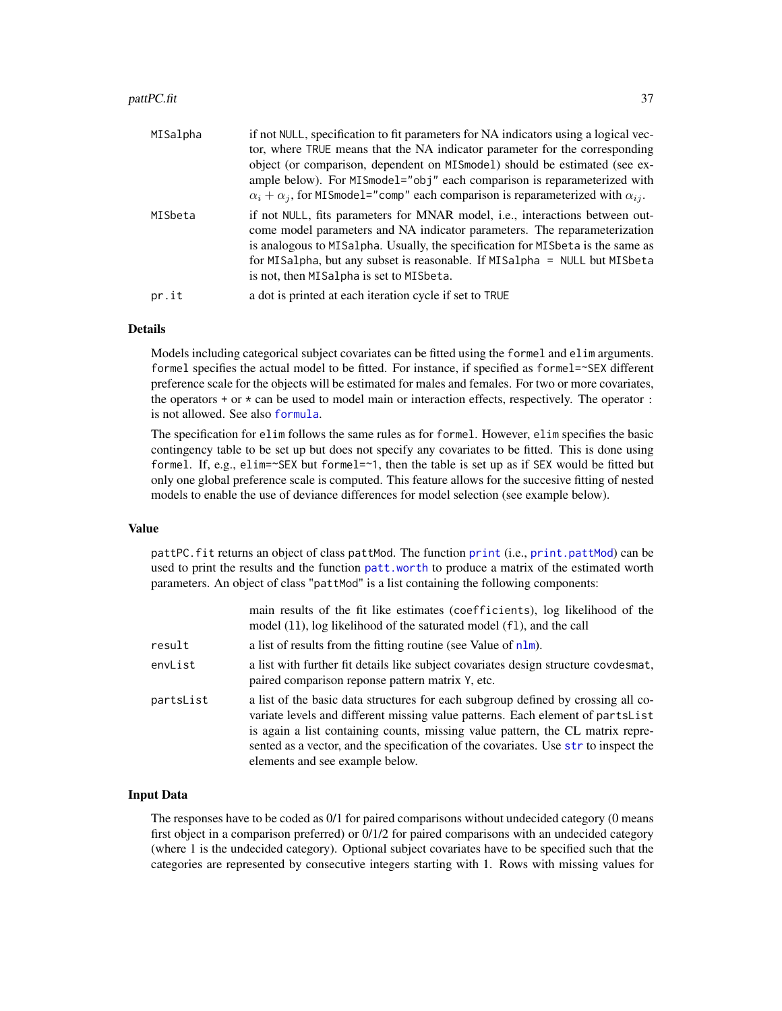#### <span id="page-36-0"></span>pattPC.fit 37

| MISalpha | if not NULL, specification to fit parameters for NA indicators using a logical vec-<br>tor, where TRUE means that the NA indicator parameter for the corresponding<br>object (or comparison, dependent on MISmodel) should be estimated (see ex-<br>ample below). For MISmodel="obj" each comparison is reparameterized with<br>$\alpha_i + \alpha_j$ , for MISmodel="comp" each comparison is reparameterized with $\alpha_{ij}$ . |
|----------|-------------------------------------------------------------------------------------------------------------------------------------------------------------------------------------------------------------------------------------------------------------------------------------------------------------------------------------------------------------------------------------------------------------------------------------|
| MISbeta  | if not NULL, fits parameters for MNAR model, i.e., interactions between out-<br>come model parameters and NA indicator parameters. The reparameterization<br>is analogous to MISalpha. Usually, the specification for MISbeta is the same as<br>for MISalpha, but any subset is reasonable. If MISalpha = NULL but MISbeta<br>is not, then MISalpha is set to MISbeta.                                                              |
| pr.it    | a dot is printed at each iteration cycle if set to TRUE                                                                                                                                                                                                                                                                                                                                                                             |

## Details

Models including categorical subject covariates can be fitted using the formel and elim arguments. formel specifies the actual model to be fitted. For instance, if specified as formel=~SEX different preference scale for the objects will be estimated for males and females. For two or more covariates, the operators  $+$  or  $*$  can be used to model main or interaction effects, respectively. The operator  $\colon$ is not allowed. See also [formula](#page-0-0).

The specification for elim follows the same rules as for formel. However, elim specifies the basic contingency table to be set up but does not specify any covariates to be fitted. This is done using formel. If, e.g., elim=~SEX but formel=~1, then the table is set up as if SEX would be fitted but only one global preference scale is computed. This feature allows for the succesive fitting of nested models to enable the use of deviance differences for model selection (see example below).

#### Value

pattPC.fit returns an object of class pattMod. The function [print](#page-0-0) (i.e., [print.pattMod](#page-46-1)) can be used to print the results and the function [patt.worth](#page-25-1) to produce a matrix of the estimated worth parameters. An object of class "pattMod" is a list containing the following components:

|           | main results of the fit like estimates (coefficients), log likelihood of the<br>model (11), log likelihood of the saturated model (f1), and the call                                                                                                                                                                                                                            |
|-----------|---------------------------------------------------------------------------------------------------------------------------------------------------------------------------------------------------------------------------------------------------------------------------------------------------------------------------------------------------------------------------------|
| result    | a list of results from the fitting routine (see Value of $n \text{Im}$ ).                                                                                                                                                                                                                                                                                                       |
| envList   | a list with further fit details like subject covariates design structure covdesmat,<br>paired comparison reponse pattern matrix Y, etc.                                                                                                                                                                                                                                         |
| partsList | a list of the basic data structures for each subgroup defined by crossing all co-<br>variate levels and different missing value patterns. Each element of partsList<br>is again a list containing counts, missing value pattern, the CL matrix repre-<br>sented as a vector, and the specification of the covariates. Use str to inspect the<br>elements and see example below. |

## Input Data

The responses have to be coded as 0/1 for paired comparisons without undecided category (0 means first object in a comparison preferred) or 0/1/2 for paired comparisons with an undecided category (where 1 is the undecided category). Optional subject covariates have to be specified such that the categories are represented by consecutive integers starting with 1. Rows with missing values for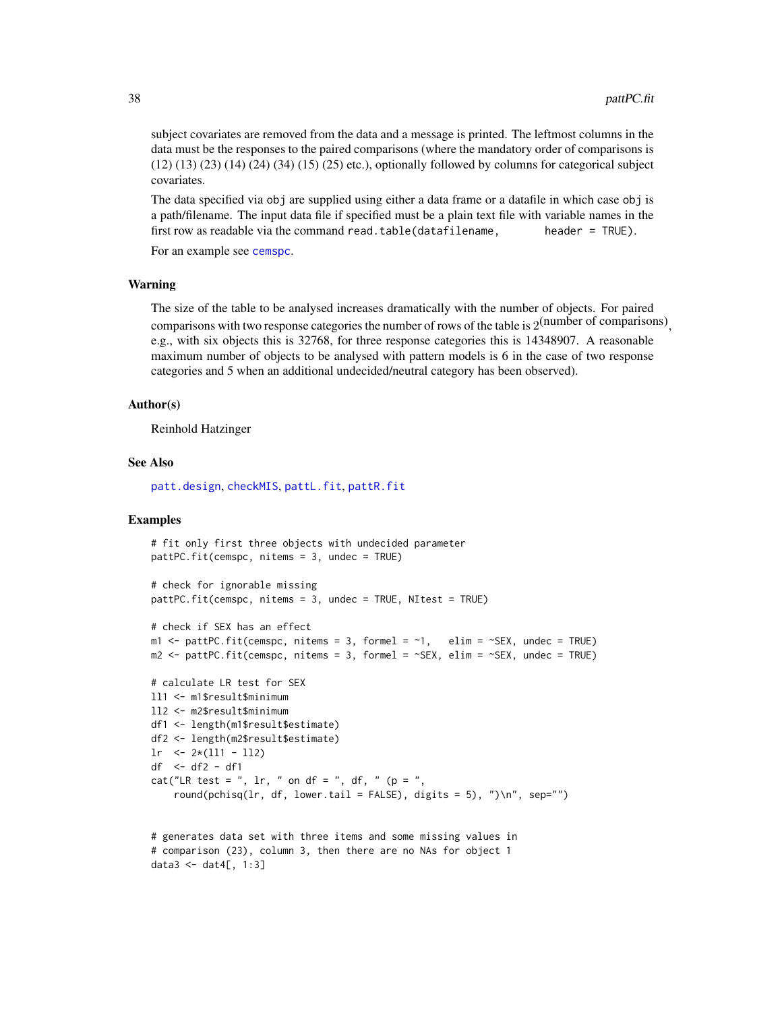<span id="page-37-0"></span>subject covariates are removed from the data and a message is printed. The leftmost columns in the data must be the responses to the paired comparisons (where the mandatory order of comparisons is (12) (13) (23) (14) (24) (34) (15) (25) etc.), optionally followed by columns for categorical subject covariates.

The data specified via obj are supplied using either a data frame or a datafile in which case obj is a path/filename. The input data file if specified must be a plain text file with variable names in the first row as readable via the command read.table(datafilename, header = TRUE).

For an example see [cemspc](#page-4-1).

## Warning

The size of the table to be analysed increases dramatically with the number of objects. For paired comparisons with two response categories the number of rows of the table is  $2^{(number\ of\ comparisons)}$ , e.g., with six objects this is 32768, for three response categories this is 14348907. A reasonable maximum number of objects to be analysed with pattern models is 6 in the case of two response categories and 5 when an additional undecided/neutral category has been observed).

#### Author(s)

Reinhold Hatzinger

#### See Also

[patt.design](#page-21-1), [checkMIS](#page-6-1), [pattL.fit](#page-26-1), [pattR.fit](#page-38-1)

## Examples

```
# fit only first three objects with undecided parameter
pattPC.fit(cemspc, nitems = 3, undec = TRUE)
# check for ignorable missing
pattPC.fit(cemspc, nitems = 3, undec = TRUE, NItest = TRUE)
# check if SEX has an effect
m1 <- pattPC.fit(cemspc, nitems = 3, formel = \neg1, elim = \negSEX, undec = TRUE)
m2 <- pattPC.fit(cemspc, nitems = 3, formel = ~SEX, elim = ~SEX, undec = TRUE)
# calculate LR test for SEX
ll1 <- m1$result$minimum
ll2 <- m2$result$minimum
df1 <- length(m1$result$estimate)
df2 <- length(m2$result$estimate)
lr <- 2*(111 - 112)df <- df2 - df1
cat("LR test = ", \ln, " on df = ", df, " (p = ",
    round(pchisq(lr, df, lower.tail = FALSE), digits = 5), ")\n", sep="")
```

```
# generates data set with three items and some missing values in
# comparison (23), column 3, then there are no NAs for object 1
data3 <- dat4[, 1:3]
```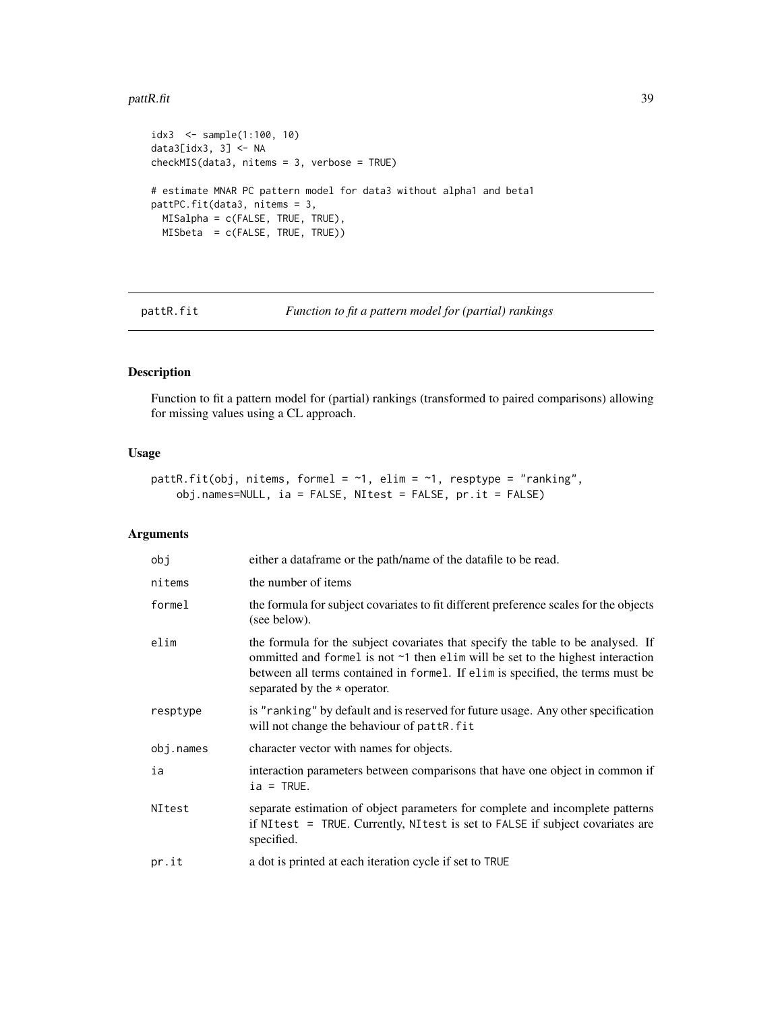#### <span id="page-38-0"></span>pattR.fit 39

```
idx3 <- sample(1:100, 10)
data3[idx3, 3] <- NA
checkMIS(data3, nitems = 3, verbose = TRUE)
# estimate MNAR PC pattern model for data3 without alpha1 and beta1
pattPC.fit(data3, nitems = 3,
 MISalpha = c(FALSE, TRUE, TRUE),
 MISbeta = c(FALSE, TRUE, TRUE))
```
<span id="page-38-1"></span>

pattR.fit *Function to fit a pattern model for (partial) rankings*

## Description

Function to fit a pattern model for (partial) rankings (transformed to paired comparisons) allowing for missing values using a CL approach.

#### Usage

```
pattR.fit(obj, nitems, formel = \sim1, elim = \sim1, resptype = "ranking",
    obj.names=NULL, ia = FALSE, NItest = FALSE, pr.it = FALSE)
```
## Arguments

| obj       | either a dataframe or the path/name of the datafile to be read.                                                                                                                                                                                                                                  |
|-----------|--------------------------------------------------------------------------------------------------------------------------------------------------------------------------------------------------------------------------------------------------------------------------------------------------|
| nitems    | the number of items                                                                                                                                                                                                                                                                              |
| formel    | the formula for subject covariates to fit different preference scales for the objects<br>(see below).                                                                                                                                                                                            |
| elim      | the formula for the subject covariates that specify the table to be analysed. If<br>ommitted and formel is not $\sim$ 1 then elim will be set to the highest interaction<br>between all terms contained in formel. If elim is specified, the terms must be<br>separated by the $\star$ operator. |
| resptype  | is "ranking" by default and is reserved for future usage. Any other specification<br>will not change the behaviour of pattR. fit                                                                                                                                                                 |
| obj.names | character vector with names for objects.                                                                                                                                                                                                                                                         |
| ia        | interaction parameters between comparisons that have one object in common if<br>$ia = TRUE.$                                                                                                                                                                                                     |
| NItest    | separate estimation of object parameters for complete and incomplete patterns<br>if NItest = TRUE. Currently, NItest is set to FALSE if subject covariates are<br>specified.                                                                                                                     |
| pr.it     | a dot is printed at each iteration cycle if set to TRUE                                                                                                                                                                                                                                          |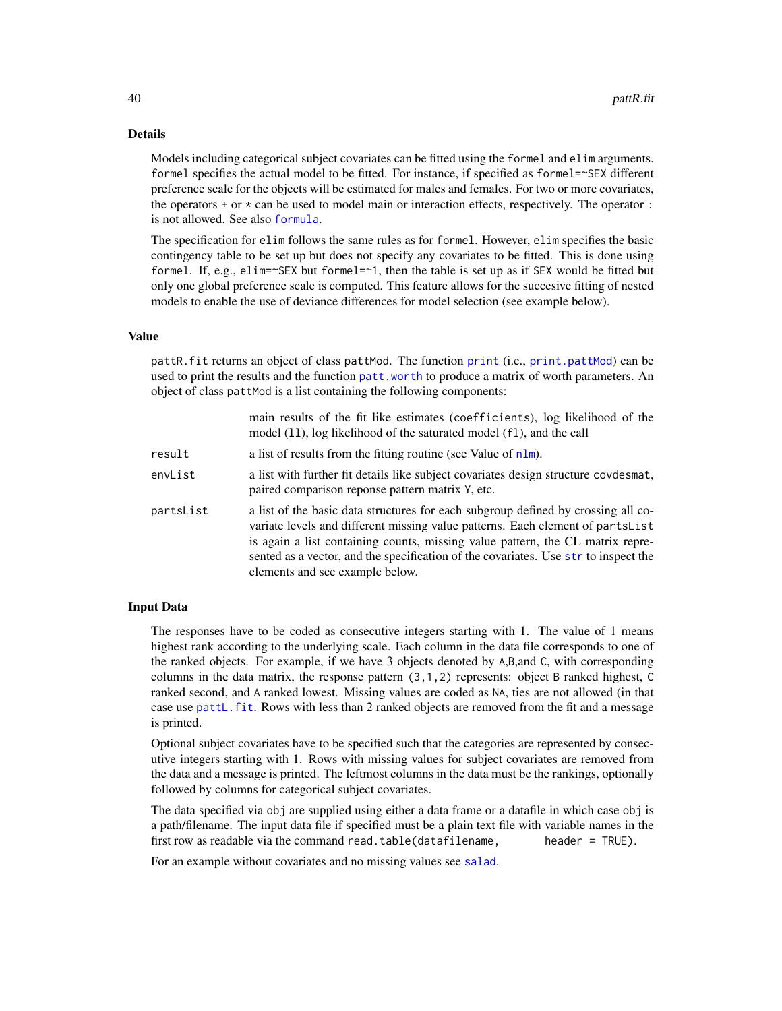## <span id="page-39-0"></span>Details

Models including categorical subject covariates can be fitted using the formel and elim arguments. formel specifies the actual model to be fitted. For instance, if specified as formel=~SEX different preference scale for the objects will be estimated for males and females. For two or more covariates, the operators  $+$  or  $*$  can be used to model main or interaction effects, respectively. The operator  $\colon$ is not allowed. See also [formula](#page-0-0).

The specification for elim follows the same rules as for formel. However, elim specifies the basic contingency table to be set up but does not specify any covariates to be fitted. This is done using formel. If, e.g., elim=~SEX but formel=~1, then the table is set up as if SEX would be fitted but only one global preference scale is computed. This feature allows for the succesive fitting of nested models to enable the use of deviance differences for model selection (see example below).

## Value

pattR.fit returns an object of class pattMod. The function [print](#page-0-0) (i.e., [print.pattMod](#page-46-1)) can be used to print the results and the function [patt.worth](#page-25-1) to produce a matrix of worth parameters. An object of class pattMod is a list containing the following components:

|           | main results of the fit like estimates (coefficients), log likelihood of the<br>model (11), log likelihood of the saturated model (f1), and the call                                                                                                                                                                                                                            |
|-----------|---------------------------------------------------------------------------------------------------------------------------------------------------------------------------------------------------------------------------------------------------------------------------------------------------------------------------------------------------------------------------------|
| result    | a list of results from the fitting routine (see Value of $n \text{Im}$ ).                                                                                                                                                                                                                                                                                                       |
| envList   | a list with further fit details like subject covariates design structure covdesmat,<br>paired comparison reponse pattern matrix Y, etc.                                                                                                                                                                                                                                         |
| partsList | a list of the basic data structures for each subgroup defined by crossing all co-<br>variate levels and different missing value patterns. Each element of partsList<br>is again a list containing counts, missing value pattern, the CL matrix repre-<br>sented as a vector, and the specification of the covariates. Use str to inspect the<br>elements and see example below. |

## Input Data

The responses have to be coded as consecutive integers starting with 1. The value of 1 means highest rank according to the underlying scale. Each column in the data file corresponds to one of the ranked objects. For example, if we have 3 objects denoted by A,B,and C, with corresponding columns in the data matrix, the response pattern (3,1,2) represents: object B ranked highest, C ranked second, and A ranked lowest. Missing values are coded as NA, ties are not allowed (in that case use [pattL.fit](#page-26-1). Rows with less than 2 ranked objects are removed from the fit and a message is printed.

Optional subject covariates have to be specified such that the categories are represented by consecutive integers starting with 1. Rows with missing values for subject covariates are removed from the data and a message is printed. The leftmost columns in the data must be the rankings, optionally followed by columns for categorical subject covariates.

The data specified via obj are supplied using either a data frame or a datafile in which case obj is a path/filename. The input data file if specified must be a plain text file with variable names in the first row as readable via the command read.table(datafilename, header =  $TRUE$ ).

For an example without covariates and no missing values see [salad](#page-46-2).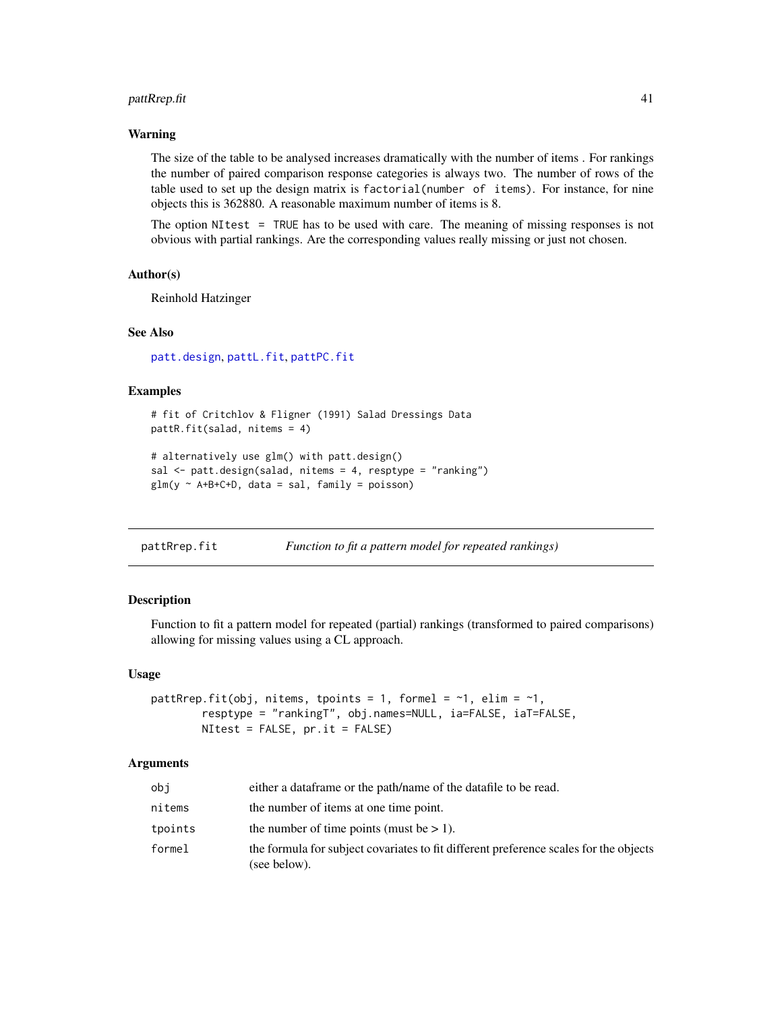## <span id="page-40-0"></span>pattRrep.fit 41

## Warning

The size of the table to be analysed increases dramatically with the number of items . For rankings the number of paired comparison response categories is always two. The number of rows of the table used to set up the design matrix is factorial(number of items). For instance, for nine objects this is 362880. A reasonable maximum number of items is 8.

The option NItest = TRUE has to be used with care. The meaning of missing responses is not obvious with partial rankings. Are the corresponding values really missing or just not chosen.

## Author(s)

Reinhold Hatzinger

## See Also

[patt.design](#page-21-1), [pattL.fit](#page-26-1), [pattPC.fit](#page-35-1)

## Examples

```
# fit of Critchlov & Fligner (1991) Salad Dressings Data
pattR.fit(salad, nitems = 4)
```

```
# alternatively use glm() with patt.design()
sal <- patt.design(salad, nitems = 4, resptype = "ranking")
glm(y \sim A+B+C+D, data = sal, family = poisson)
```
<span id="page-40-1"></span>

| pattRrep.fit | Function to fit a pattern model for repeated rankings) |  |
|--------------|--------------------------------------------------------|--|
|              |                                                        |  |

## Description

Function to fit a pattern model for repeated (partial) rankings (transformed to paired comparisons) allowing for missing values using a CL approach.

#### Usage

```
pattRrep.fit(obj, nitems, tpoints = 1, formel = \sim1, elim = \sim1,
        resptype = "rankingT", obj.names=NULL, ia=FALSE, iaT=FALSE,
        NItest = FALSE, pr.it = FALSE)
```
#### Arguments

| obi     | either a data frame or the path/name of the data file to be read.                                     |
|---------|-------------------------------------------------------------------------------------------------------|
| nitems  | the number of items at one time point.                                                                |
| tpoints | the number of time points (must be $> 1$ ).                                                           |
| formel  | the formula for subject covariates to fit different preference scales for the objects<br>(see below). |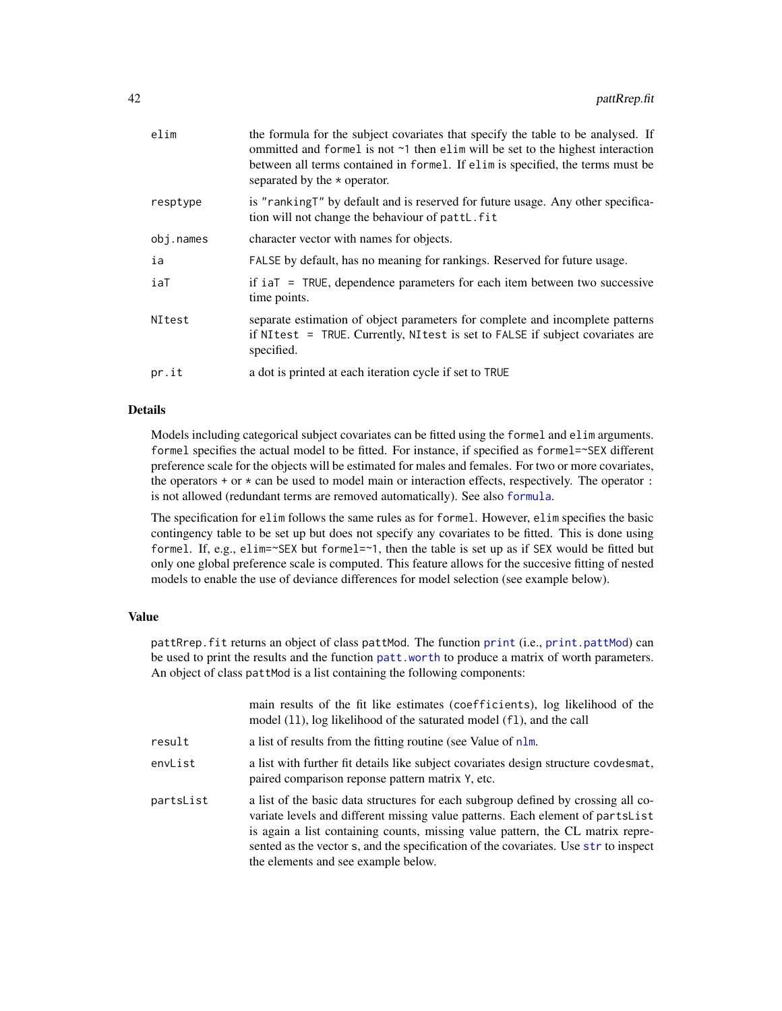<span id="page-41-0"></span>

| elim      | the formula for the subject covariates that specify the table to be analysed. If<br>ommitted and formel is not $\sim$ 1 then elim will be set to the highest interaction<br>between all terms contained in formel. If elim is specified, the terms must be<br>separated by the $\star$ operator. |
|-----------|--------------------------------------------------------------------------------------------------------------------------------------------------------------------------------------------------------------------------------------------------------------------------------------------------|
| resptype  | is "ranking T" by default and is reserved for future usage. Any other specifica-<br>tion will not change the behaviour of pattl. fit                                                                                                                                                             |
| obj.names | character vector with names for objects.                                                                                                                                                                                                                                                         |
| ia        | FALSE by default, has no meaning for rankings. Reserved for future usage.                                                                                                                                                                                                                        |
| iaT       | if $i \in \mathbb{Z}$ = TRUE, dependence parameters for each item between two successive<br>time points.                                                                                                                                                                                         |
| NItest    | separate estimation of object parameters for complete and incomplete patterns<br>if NItest = TRUE. Currently, NItest is set to FALSE if subject covariates are<br>specified.                                                                                                                     |
| pr.it     | a dot is printed at each iteration cycle if set to TRUE                                                                                                                                                                                                                                          |
|           |                                                                                                                                                                                                                                                                                                  |

## Details

Models including categorical subject covariates can be fitted using the formel and elim arguments. formel specifies the actual model to be fitted. For instance, if specified as formel=~SEX different preference scale for the objects will be estimated for males and females. For two or more covariates, the operators + or \* can be used to model main or interaction effects, respectively. The operator : is not allowed (redundant terms are removed automatically). See also [formula](#page-0-0).

The specification for elim follows the same rules as for formel. However, elim specifies the basic contingency table to be set up but does not specify any covariates to be fitted. This is done using formel. If, e.g., elim= $\sim$ SEX but formel= $\sim$ 1, then the table is set up as if SEX would be fitted but only one global preference scale is computed. This feature allows for the succesive fitting of nested models to enable the use of deviance differences for model selection (see example below).

## Value

pattRrep.fit returns an object of class pattMod. The function [print](#page-0-0) (i.e., [print.pattMod](#page-46-1)) can be used to print the results and the function [patt.worth](#page-25-1) to produce a matrix of worth parameters. An object of class pattMod is a list containing the following components:

|           | main results of the fit like estimates (coefficients), log likelihood of the<br>model (11), log likelihood of the saturated model (f1), and the call                                                                                                                                                                                                                                 |
|-----------|--------------------------------------------------------------------------------------------------------------------------------------------------------------------------------------------------------------------------------------------------------------------------------------------------------------------------------------------------------------------------------------|
| result    | a list of results from the fitting routine (see Value of nlm.                                                                                                                                                                                                                                                                                                                        |
| envList   | a list with further fit details like subject covariates design structure covdesmat,<br>paired comparison reponse pattern matrix Y, etc.                                                                                                                                                                                                                                              |
| partsList | a list of the basic data structures for each subgroup defined by crossing all co-<br>variate levels and different missing value patterns. Each element of parts List<br>is again a list containing counts, missing value pattern, the CL matrix repre-<br>sented as the vector s, and the specification of the covariates. Use str to inspect<br>the elements and see example below. |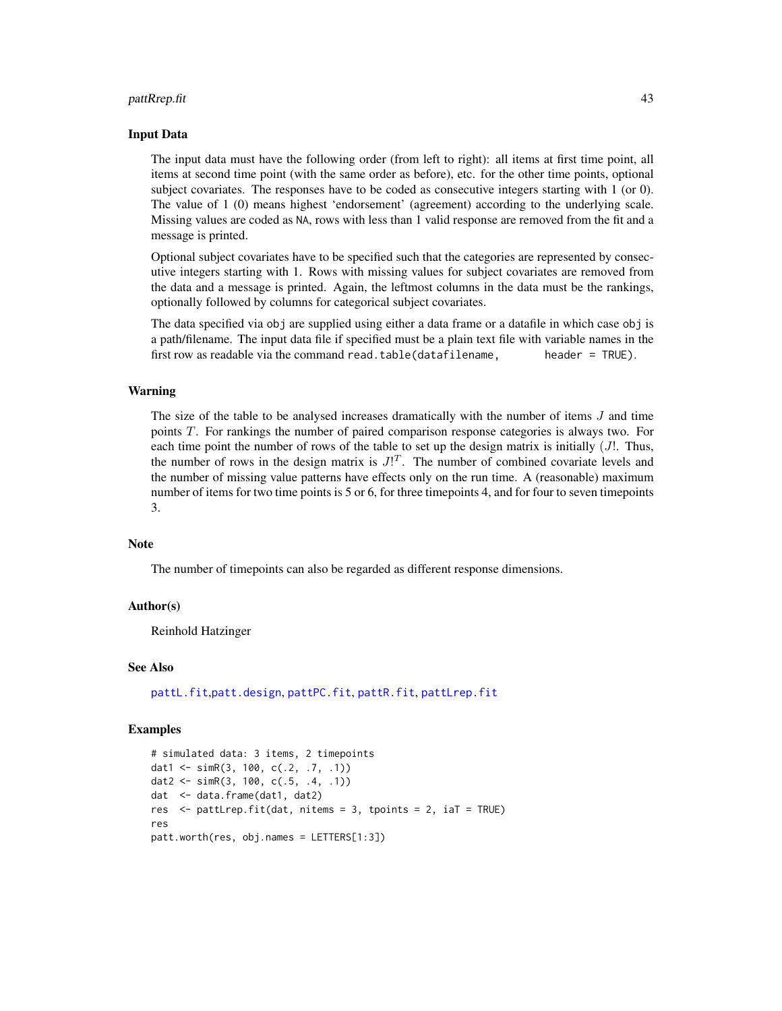#### <span id="page-42-0"></span>pattRrep.fit 43

#### Input Data

The input data must have the following order (from left to right): all items at first time point, all items at second time point (with the same order as before), etc. for the other time points, optional subject covariates. The responses have to be coded as consecutive integers starting with 1 (or 0). The value of 1 (0) means highest 'endorsement' (agreement) according to the underlying scale. Missing values are coded as NA, rows with less than 1 valid response are removed from the fit and a message is printed.

Optional subject covariates have to be specified such that the categories are represented by consecutive integers starting with 1. Rows with missing values for subject covariates are removed from the data and a message is printed. Again, the leftmost columns in the data must be the rankings, optionally followed by columns for categorical subject covariates.

The data specified via obj are supplied using either a data frame or a datafile in which case obj is a path/filename. The input data file if specified must be a plain text file with variable names in the first row as readable via the command read.table(datafilename, header = TRUE).

#### Warning

The size of the table to be analysed increases dramatically with the number of items J and time points T. For rankings the number of paired comparison response categories is always two. For each time point the number of rows of the table to set up the design matrix is initially  $(J!$ . Thus, the number of rows in the design matrix is  $J^{T}$ . The number of combined covariate levels and the number of missing value patterns have effects only on the run time. A (reasonable) maximum number of items for two time points is 5 or 6, for three timepoints 4, and for four to seven timepoints 3.

## **Note**

The number of timepoints can also be regarded as different response dimensions.

#### Author(s)

Reinhold Hatzinger

#### See Also

[pattL.fit](#page-26-1),[patt.design](#page-21-1), [pattPC.fit](#page-35-1), [pattR.fit](#page-38-1), [pattLrep.fit](#page-28-1)

#### Examples

```
# simulated data: 3 items, 2 timepoints
dat1 <- simR(3, 100, c(.2, .7, .1))
dat2 <- simR(3, 100, c(.5, .4, .1))
dat <- data.frame(dat1, dat2)
res <- pattLrep.fit(dat, nitems = 3, tpoints = 2, iaT = TRUE)
res
patt.worth(res, obj.names = LETTERS[1:3])
```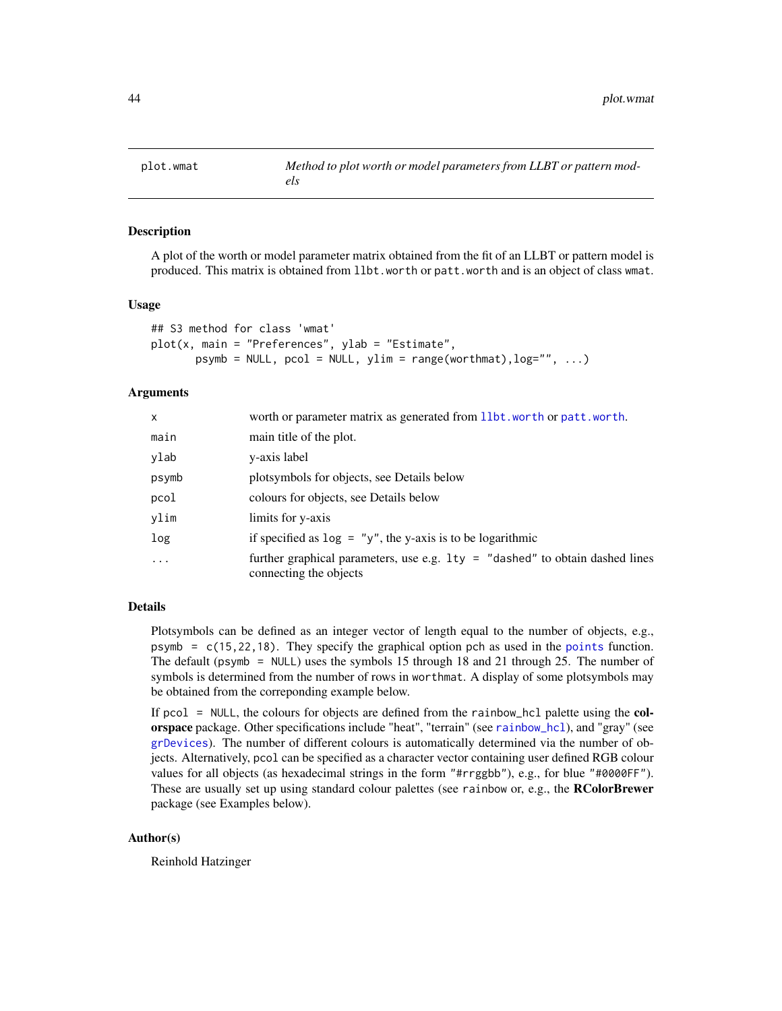<span id="page-43-1"></span><span id="page-43-0"></span>

## **Description**

A plot of the worth or model parameter matrix obtained from the fit of an LLBT or pattern model is produced. This matrix is obtained from llbt.worth or patt.worth and is an object of class wmat.

#### Usage

```
## S3 method for class 'wmat'
plot(x, main = "Preferences", ylab = "Estimate",
       psymb = NULL, pcol = NULL, ylim = range(wordthmat), log="", ...)
```
## Arguments

| $\mathsf{x}$ | worth or parameter matrix as generated from 11bt. worth or patt. worth.                                  |
|--------------|----------------------------------------------------------------------------------------------------------|
| main         | main title of the plot.                                                                                  |
| ylab         | y-axis label                                                                                             |
| psymb        | plotsymbols for objects, see Details below                                                               |
| pcol         | colours for objects, see Details below                                                                   |
| ylim         | limits for y-axis                                                                                        |
| log          | if specified as $log = "y"$ , the y-axis is to be logarithmic                                            |
| $\ddotsc$    | further graphical parameters, use e.g. $lty = "dashed"$ to obtain dashed lines<br>connecting the objects |

## Details

Plotsymbols can be defined as an integer vector of length equal to the number of objects, e.g., psymb =  $c(15, 22, 18)$ . They specify the graphical option pch as used in the [points](#page-0-0) function. The default (psymb = NULL) uses the symbols 15 through 18 and 21 through 25. The number of symbols is determined from the number of rows in worthmat. A display of some plotsymbols may be obtained from the correponding example below.

If pcol = NULL, the colours for objects are defined from the rainbow\_hcl palette using the colorspace package. Other specifications include "heat", "terrain" (see [rainbow\\_hcl](#page-0-0)), and "gray" (see [grDevices](#page-0-0)). The number of different colours is automatically determined via the number of objects. Alternatively, pcol can be specified as a character vector containing user defined RGB colour values for all objects (as hexadecimal strings in the form "#rrggbb"), e.g., for blue "#0000FF"). These are usually set up using standard colour palettes (see rainbow or, e.g., the **RColorBrewer** package (see Examples below).

## Author(s)

Reinhold Hatzinger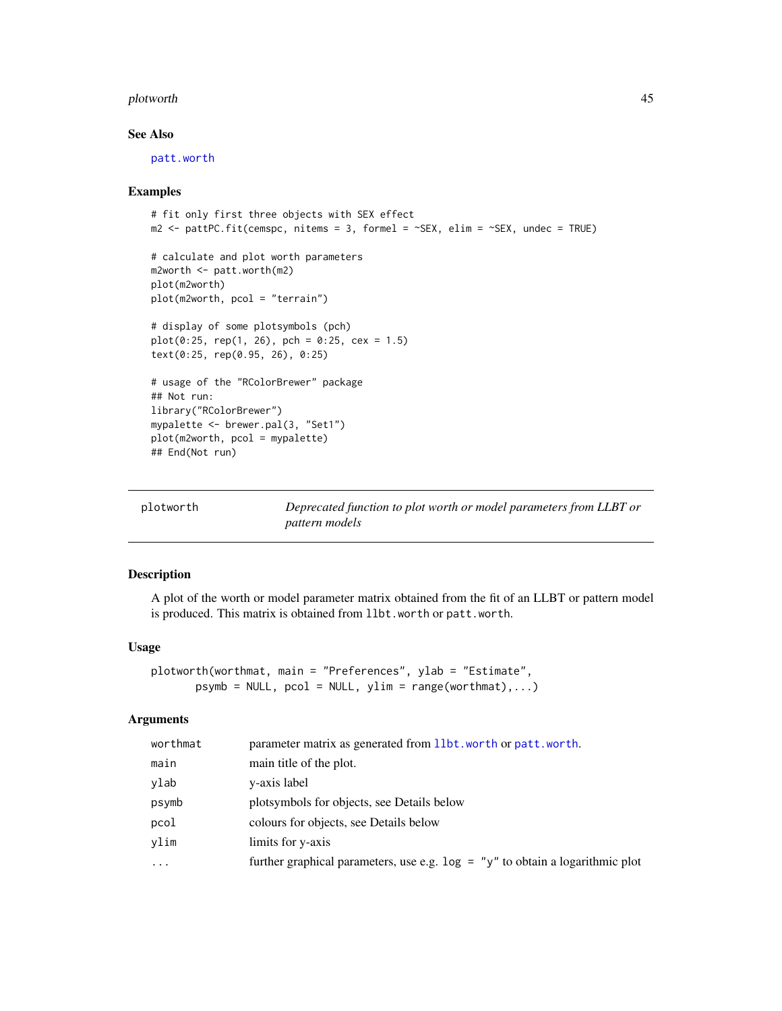#### <span id="page-44-0"></span>plotworth 45

## See Also

[patt.worth](#page-25-1)

#### Examples

```
# fit only first three objects with SEX effect
m2 < - pattPC.fit(cemspc, nitems = 3, formel = \simSEX, elim = \simSEX, undec = TRUE)
# calculate and plot worth parameters
m2worth <- patt.worth(m2)
plot(m2worth)
plot(m2worth, pcol = "terrain")
# display of some plotsymbols (pch)
plot(0:25, rep(1, 26), pch = 0:25, cex = 1.5)text(0:25, rep(0.95, 26), 0:25)
# usage of the "RColorBrewer" package
## Not run:
library("RColorBrewer")
mypalette <- brewer.pal(3, "Set1")
plot(m2worth, pcol = mypalette)
## End(Not run)
```

| plotworth | Deprecated function to plot worth or model parameters from LLBT or |
|-----------|--------------------------------------------------------------------|
|           | <i>pattern models</i>                                              |

## Description

A plot of the worth or model parameter matrix obtained from the fit of an LLBT or pattern model is produced. This matrix is obtained from llbt.worth or patt.worth.

#### Usage

```
plotworth(worthmat, main = "Preferences", ylab = "Estimate",
      psymb = NULL, pcol = NULL, ylim = range(wordthmat),...)
```
#### Arguments

| worthmat | parameter matrix as generated from 11bt, worth or patt, worth.                   |
|----------|----------------------------------------------------------------------------------|
| main     | main title of the plot.                                                          |
| ylab     | y-axis label                                                                     |
| psymb    | plotsymbols for objects, see Details below                                       |
| pcol     | colours for objects, see Details below                                           |
| vlim     | limits for y-axis                                                                |
| $\cdots$ | further graphical parameters, use e.g. $\log =$ "y" to obtain a logarithmic plot |
|          |                                                                                  |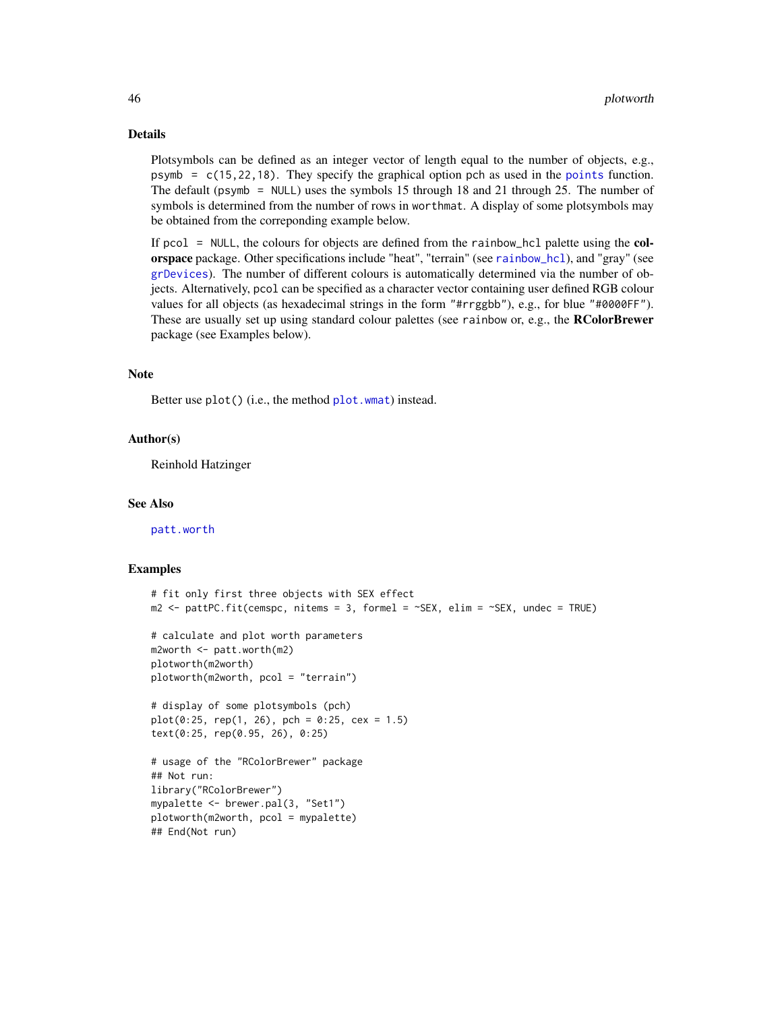## Details

Plotsymbols can be defined as an integer vector of length equal to the number of objects, e.g., psymb =  $c(15, 22, 18)$ . They specify the graphical option pch as used in the [points](#page-0-0) function. The default (psymb = NULL) uses the symbols 15 through 18 and 21 through 25. The number of symbols is determined from the number of rows in worthmat. A display of some plotsymbols may be obtained from the correponding example below.

If pcol = NULL, the colours for objects are defined from the rainbow\_hcl palette using the colorspace package. Other specifications include "heat", "terrain" (see [rainbow\\_hcl](#page-0-0)), and "gray" (see [grDevices](#page-0-0)). The number of different colours is automatically determined via the number of objects. Alternatively, pcol can be specified as a character vector containing user defined RGB colour values for all objects (as hexadecimal strings in the form "#rrggbb"), e.g., for blue "#0000FF"). These are usually set up using standard colour palettes (see rainbow or, e.g., the **RColorBrewer** package (see Examples below).

#### Note

Better use plot() (i.e., the method [plot.wmat](#page-43-1)) instead.

## Author(s)

Reinhold Hatzinger

## See Also

[patt.worth](#page-25-1)

## Examples

```
# fit only first three objects with SEX effect
m2 <- pattPC.fit(cemspc, nitems = 3, formel = ~SEX, elim = ~SEX, undec = TRUE)
# calculate and plot worth parameters
m2worth <- patt.worth(m2)
plotworth(m2worth)
plotworth(m2worth, pcol = "terrain")
# display of some plotsymbols (pch)
plot(0:25, rep(1, 26), pch = 0:25, cex = 1.5)text(0:25, rep(0.95, 26), 0:25)
# usage of the "RColorBrewer" package
## Not run:
library("RColorBrewer")
mypalette <- brewer.pal(3, "Set1")
plotworth(m2worth, pcol = mypalette)
## End(Not run)
```
<span id="page-45-0"></span>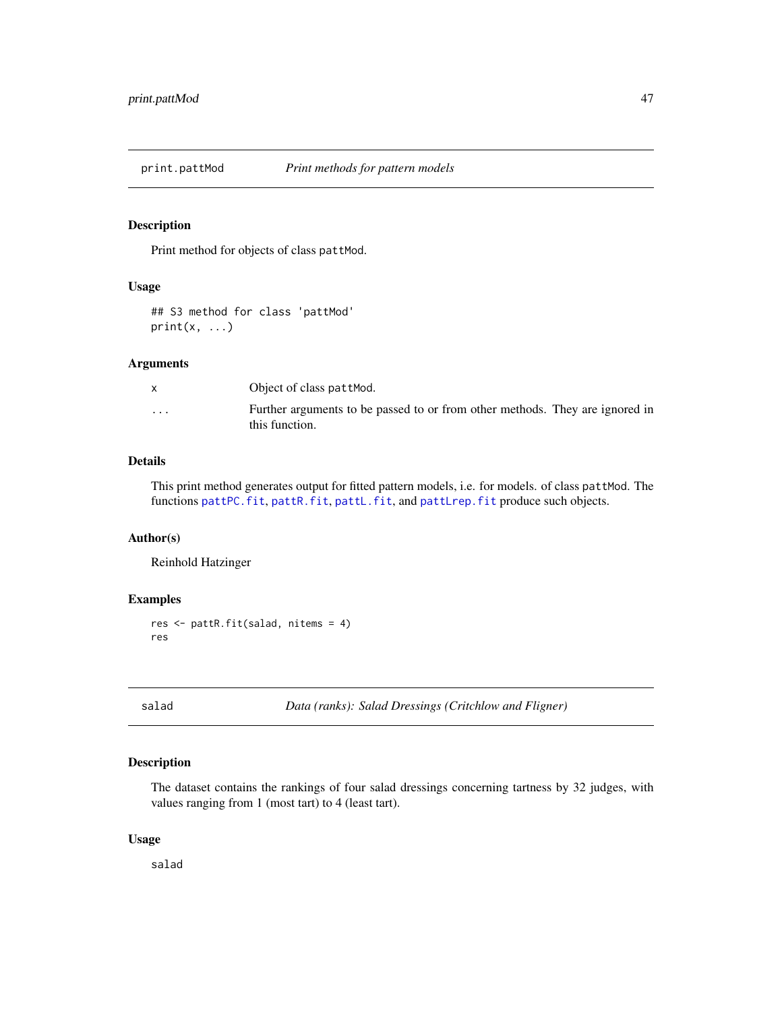<span id="page-46-1"></span><span id="page-46-0"></span>

## Description

Print method for objects of class pattMod.

## Usage

## S3 method for class 'pattMod'  $print(x, \ldots)$ 

#### Arguments

| $\mathbf{x}$      | Object of class pattMod.                                                                       |
|-------------------|------------------------------------------------------------------------------------------------|
| $\cdot\cdot\cdot$ | Further arguments to be passed to or from other methods. They are ignored in<br>this function. |

## Details

This print method generates output for fitted pattern models, i.e. for models. of class pattMod. The functions [pattPC.fit](#page-35-1), [pattR.fit](#page-38-1), [pattL.fit](#page-26-1), and [pattLrep.fit](#page-28-1) produce such objects.

## Author(s)

Reinhold Hatzinger

#### Examples

res <- pattR.fit(salad, nitems = 4) res

<span id="page-46-2"></span>salad *Data (ranks): Salad Dressings (Critchlow and Fligner)*

## Description

The dataset contains the rankings of four salad dressings concerning tartness by 32 judges, with values ranging from 1 (most tart) to 4 (least tart).

## Usage

salad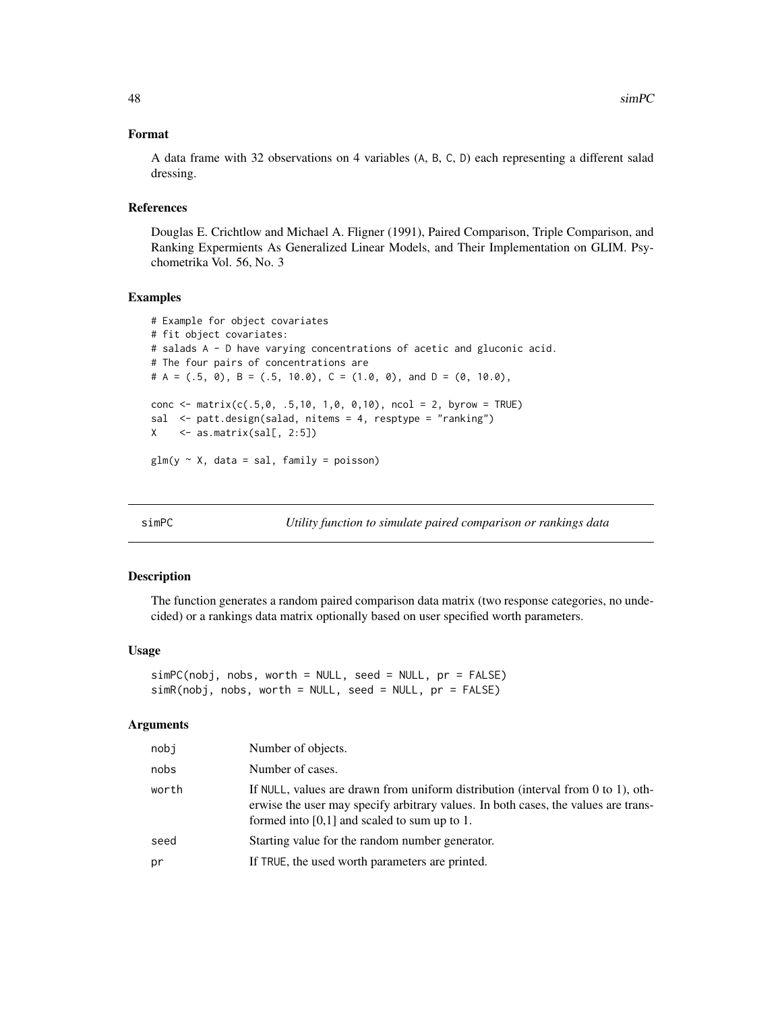## <span id="page-47-0"></span>Format

A data frame with 32 observations on 4 variables (A, B, C, D) each representing a different salad dressing.

## References

Douglas E. Crichtlow and Michael A. Fligner (1991), Paired Comparison, Triple Comparison, and Ranking Expermients As Generalized Linear Models, and Their Implementation on GLIM. Psychometrika Vol. 56, No. 3

#### Examples

```
# Example for object covariates
# fit object covariates:
# salads A - D have varying concentrations of acetic and gluconic acid.
# The four pairs of concentrations are
# A = (.5, 0), B = (.5, 10.0), C = (1.0, 0), and D = (0, 10.0),conc <- matrix(c(.5,0, .5,10, 1,0, 0,10), ncol = 2, byrow = TRUE)
sal <- patt.design(salad, nitems = 4, resptype = "ranking")
X \leftarrow \text{as_matrix(sall}, 2:5]glm(y \sim X, data = sal, family = poisson)
```
simPC *Utility function to simulate paired comparison or rankings data*

## Description

The function generates a random paired comparison data matrix (two response categories, no undecided) or a rankings data matrix optionally based on user specified worth parameters.

## Usage

```
simPC(nobj, nobs, worth = NULL, seed = NULL, pr = FALSE)
simR(nobj, nobs, worth = NULL, seed = NULL, pr = FALSE)
```
#### Arguments

| nobi  | Number of objects.                                                                                                                                                                                                         |
|-------|----------------------------------------------------------------------------------------------------------------------------------------------------------------------------------------------------------------------------|
| nobs  | Number of cases.                                                                                                                                                                                                           |
| worth | If NULL, values are drawn from uniform distribution (interval from $0$ to 1), oth-<br>erwise the user may specify arbitrary values. In both cases, the values are trans-<br>formed into $[0,1]$ and scaled to sum up to 1. |
| seed  | Starting value for the random number generator.                                                                                                                                                                            |
| pr    | If TRUE, the used worth parameters are printed.                                                                                                                                                                            |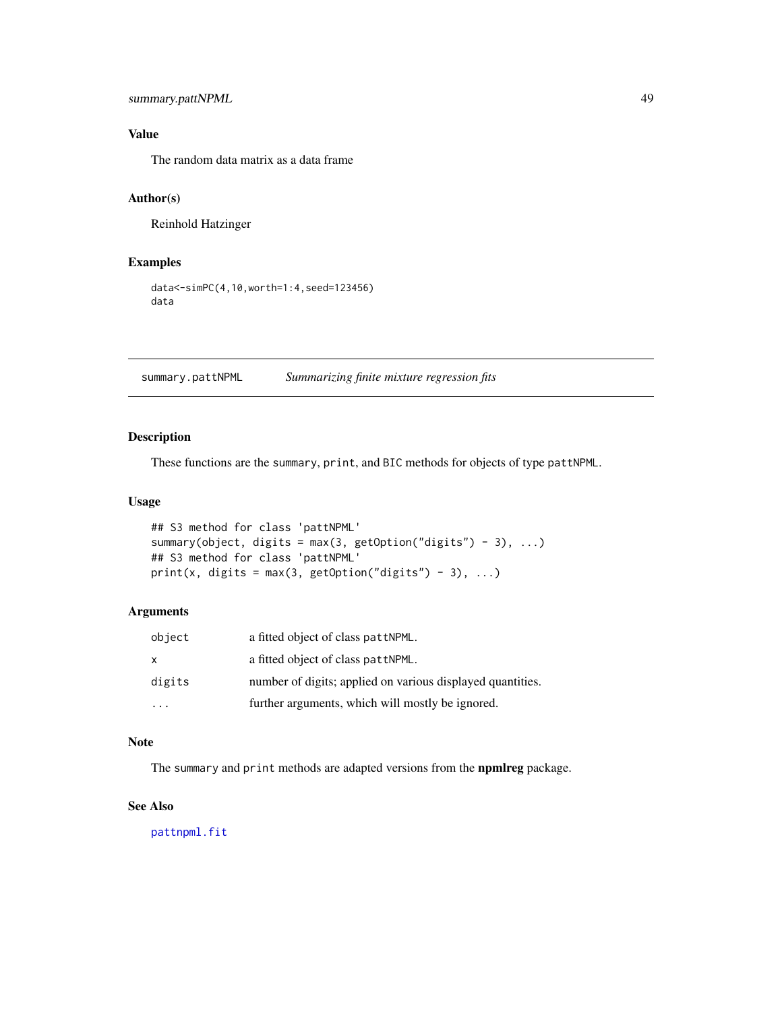## <span id="page-48-0"></span>summary.pattNPML 49

## Value

The random data matrix as a data frame

## Author(s)

Reinhold Hatzinger

## Examples

```
data<-simPC(4,10,worth=1:4,seed=123456)
data
```
summary.pattNPML *Summarizing finite mixture regression fits*

## Description

These functions are the summary, print, and BIC methods for objects of type pattNPML.

## Usage

```
## S3 method for class 'pattNPML'
summary(object, digits = max(3, getOption("digits") - 3), ...)
## S3 method for class 'pattNPML'
print(x, digits = max(3, getOption("digits") - 3), ...)
```
## Arguments

| object       | a fitted object of class pattNPML.                         |
|--------------|------------------------------------------------------------|
| $\mathsf{x}$ | a fitted object of class pattNPML.                         |
| digits       | number of digits; applied on various displayed quantities. |
|              | further arguments, which will mostly be ignored.           |

## Note

The summary and print methods are adapted versions from the **npmlreg** package.

## See Also

[pattnpml.fit](#page-31-1)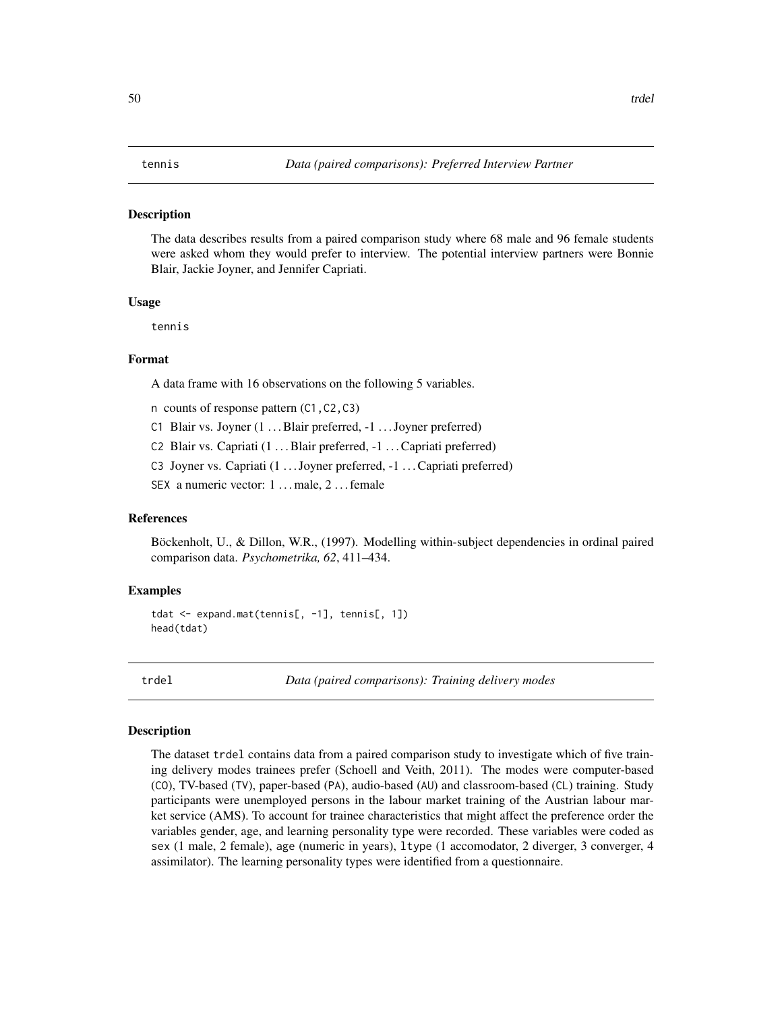#### <span id="page-49-0"></span>**Description**

The data describes results from a paired comparison study where 68 male and 96 female students were asked whom they would prefer to interview. The potential interview partners were Bonnie Blair, Jackie Joyner, and Jennifer Capriati.

#### Usage

tennis

## Format

A data frame with 16 observations on the following 5 variables.

n counts of response pattern (C1,C2,C3)

- C1 Blair vs. Joyner (1 ... Blair preferred, -1 ... Joyner preferred)
- C2 Blair vs. Capriati (1 ... Blair preferred, -1 ... Capriati preferred)
- C3 Joyner vs. Capriati (1 ... Joyner preferred, -1 ... Capriati preferred)

SEX a numeric vector: 1 ... male, 2 ... female

## References

Böckenholt, U., & Dillon, W.R., (1997). Modelling within-subject dependencies in ordinal paired comparison data. *Psychometrika, 62*, 411–434.

## Examples

```
tdat <- expand.mat(tennis[, -1], tennis[, 1])
head(tdat)
```
trdel *Data (paired comparisons): Training delivery modes*

#### Description

The dataset trdel contains data from a paired comparison study to investigate which of five training delivery modes trainees prefer (Schoell and Veith, 2011). The modes were computer-based (CO), TV-based (TV), paper-based (PA), audio-based (AU) and classroom-based (CL) training. Study participants were unemployed persons in the labour market training of the Austrian labour market service (AMS). To account for trainee characteristics that might affect the preference order the variables gender, age, and learning personality type were recorded. These variables were coded as sex (1 male, 2 female), age (numeric in years), ltype (1 accomodator, 2 diverger, 3 converger, 4 assimilator). The learning personality types were identified from a questionnaire.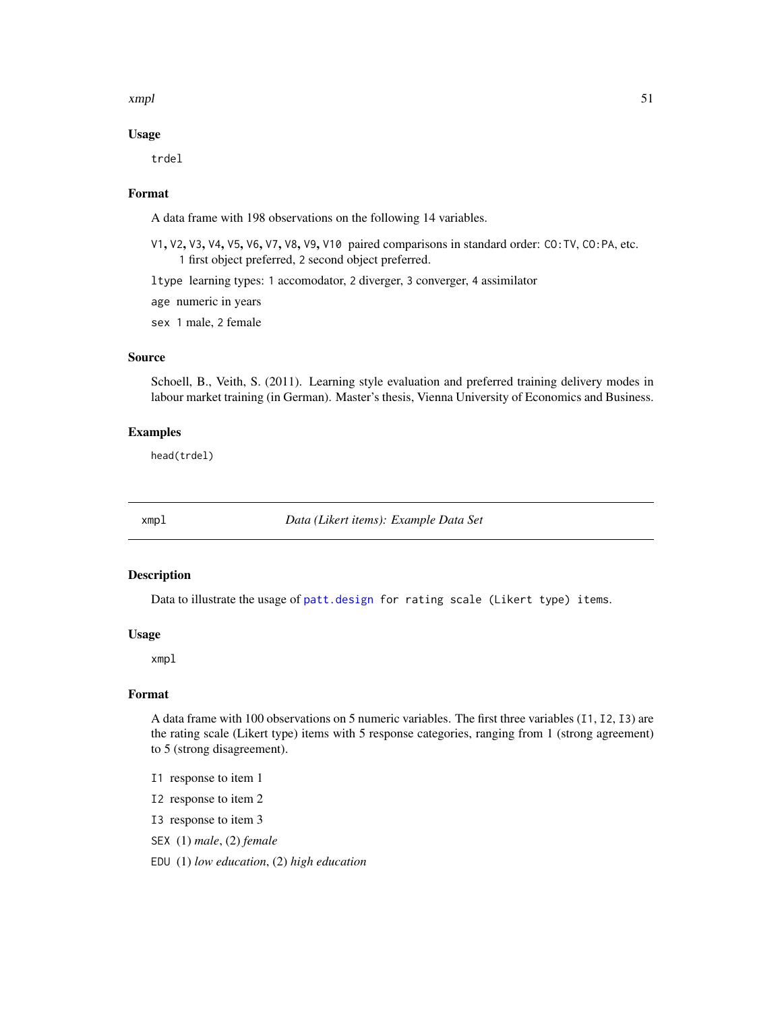#### <span id="page-50-0"></span>xmpl 51

## Usage

trdel

## Format

A data frame with 198 observations on the following 14 variables.

V1, V2, V3, V4, V5, V6, V7, V8, V9, V10 paired comparisons in standard order: CO:TV, CO:PA, etc. 1 first object preferred, 2 second object preferred.

ltype learning types: 1 accomodator, 2 diverger, 3 converger, 4 assimilator

age numeric in years

sex 1 male, 2 female

## Source

Schoell, B., Veith, S. (2011). Learning style evaluation and preferred training delivery modes in labour market training (in German). Master's thesis, Vienna University of Economics and Business.

## Examples

head(trdel)

<span id="page-50-1"></span>xmpl *Data (Likert items): Example Data Set*

## Description

Data to illustrate the usage of [patt.design](#page-21-1) for rating scale (Likert type) items.

#### Usage

xmpl

## Format

A data frame with 100 observations on 5 numeric variables. The first three variables (I1, I2, I3) are the rating scale (Likert type) items with 5 response categories, ranging from 1 (strong agreement) to 5 (strong disagreement).

- I1 response to item 1
- I2 response to item 2
- I3 response to item 3
- SEX (1) *male*, (2) *female*

EDU (1) *low education*, (2) *high education*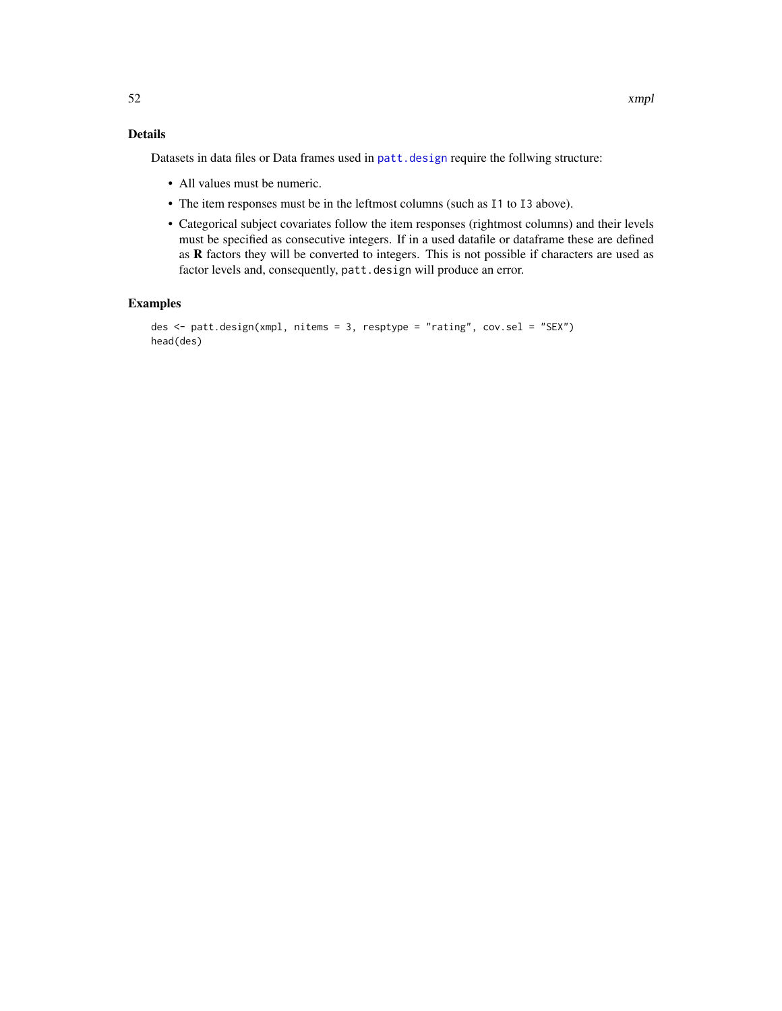## <span id="page-51-0"></span>Details

Datasets in data files or Data frames used in patt. design require the follwing structure:

- All values must be numeric.
- The item responses must be in the leftmost columns (such as I1 to I3 above).
- Categorical subject covariates follow the item responses (rightmost columns) and their levels must be specified as consecutive integers. If in a used datafile or dataframe these are defined as R factors they will be converted to integers. This is not possible if characters are used as factor levels and, consequently, patt.design will produce an error.

## Examples

```
des <- patt.design(xmpl, nitems = 3, resptype = "rating", cov.sel = "SEX")
head(des)
```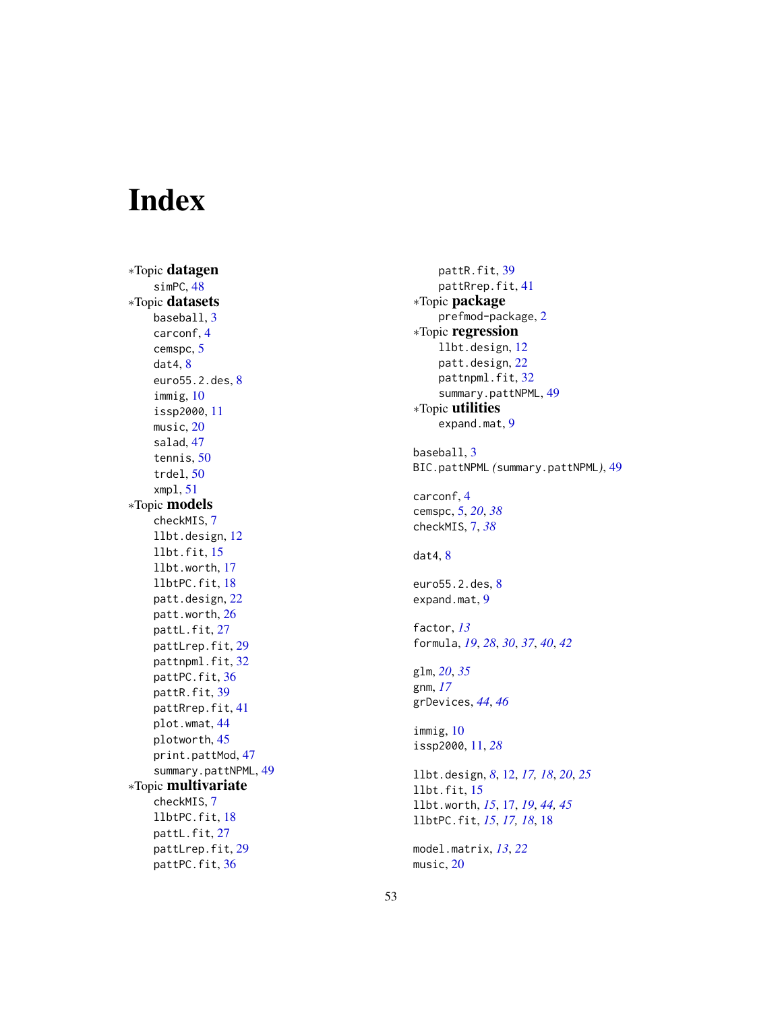# <span id="page-52-0"></span>Index

∗Topic datagen simPC, [48](#page-47-0) ∗Topic datasets baseball , [3](#page-2-0) carconf , [4](#page-3-0) cemspc , [5](#page-4-0) dat4 , [8](#page-7-0) euro55.2.des, [8](#page-7-0) immig , [10](#page-9-0) issp2000 , [11](#page-10-0) music, [20](#page-19-0) salad , [47](#page-46-0) tennis , [50](#page-49-0) trdel , [50](#page-49-0) xmpl , [51](#page-50-0) ∗Topic models checkMIS , [7](#page-6-0) llbt.design , [12](#page-11-0) llbt.fit , [15](#page-14-0) llbt.worth , [17](#page-16-0) llbtPC.fit , [18](#page-17-0) patt.design , [22](#page-21-0) patt.worth , [26](#page-25-0) pattL.fit, [27](#page-26-0) pattLrep.fit , [29](#page-28-0) pattnpml.fit, [32](#page-31-0) pattPC.fit, [36](#page-35-0) pattR.fit , [39](#page-38-0) pattRrep.fit, [41](#page-40-0) plot.wmat , [44](#page-43-0) plotworth , [45](#page-44-0) print.pattMod, [47](#page-46-0) summary.pattNPML , [49](#page-48-0) ∗Topic multivariate checkMIS , [7](#page-6-0) llbtPC.fit , [18](#page-17-0) pattL.fit, [27](#page-26-0) pattLrep.fit, [29](#page-28-0) pattPC.fit , [36](#page-35-0)

pattR.fit , [39](#page-38-0) pattRrep.fit , [41](#page-40-0) ∗Topic package prefmod-package , [2](#page-1-0) ∗Topic regression llbt.design , [12](#page-11-0) patt.design , [22](#page-21-0) pattnpml.fit , [32](#page-31-0) summary.pattNPML, [49](#page-48-0) ∗Topic utilities expand.mat, [9](#page-8-0) baseball , [3](#page-2-0) BIC.pattNPML *(*summary.pattNPML *)* , [49](#page-48-0) carconf , [4](#page-3-0) cemspc , [5](#page-4-0) , *[20](#page-19-0)* , *[38](#page-37-0)* checkMIS , [7](#page-6-0) , *[38](#page-37-0)* dat4, [8](#page-7-0) euro55.2.des, <mark>[8](#page-7-0)</mark> expand.mat , [9](#page-8-0) factor , *[13](#page-12-0)* formula , *[19](#page-18-0)* , *[28](#page-27-0)* , *[30](#page-29-0)* , *[37](#page-36-0)* , *[40](#page-39-0)* , *[42](#page-41-0)* glm , *[20](#page-19-0)* , *[35](#page-34-0)* gnm , *[17](#page-16-0)* grDevices , *[44](#page-43-0)* , *[46](#page-45-0)* immig , [10](#page-9-0) issp2000 , [11](#page-10-0) , *[28](#page-27-0)* llbt.design , *[8](#page-7-0)* , [12](#page-11-0) , *[17,](#page-16-0) [18](#page-17-0)* , *[20](#page-19-0)* , *[25](#page-24-0)* llbt.fit , [15](#page-14-0) llbt.worth , *[15](#page-14-0)* , [17](#page-16-0) , *[19](#page-18-0)* , *[44](#page-43-0) , [45](#page-44-0)* llbtPC.fit , *[15](#page-14-0)* , *[17,](#page-16-0) [18](#page-17-0)* , [18](#page-17-0) model.matrix , *[13](#page-12-0)* , *[22](#page-21-0)* music,[20](#page-19-0)